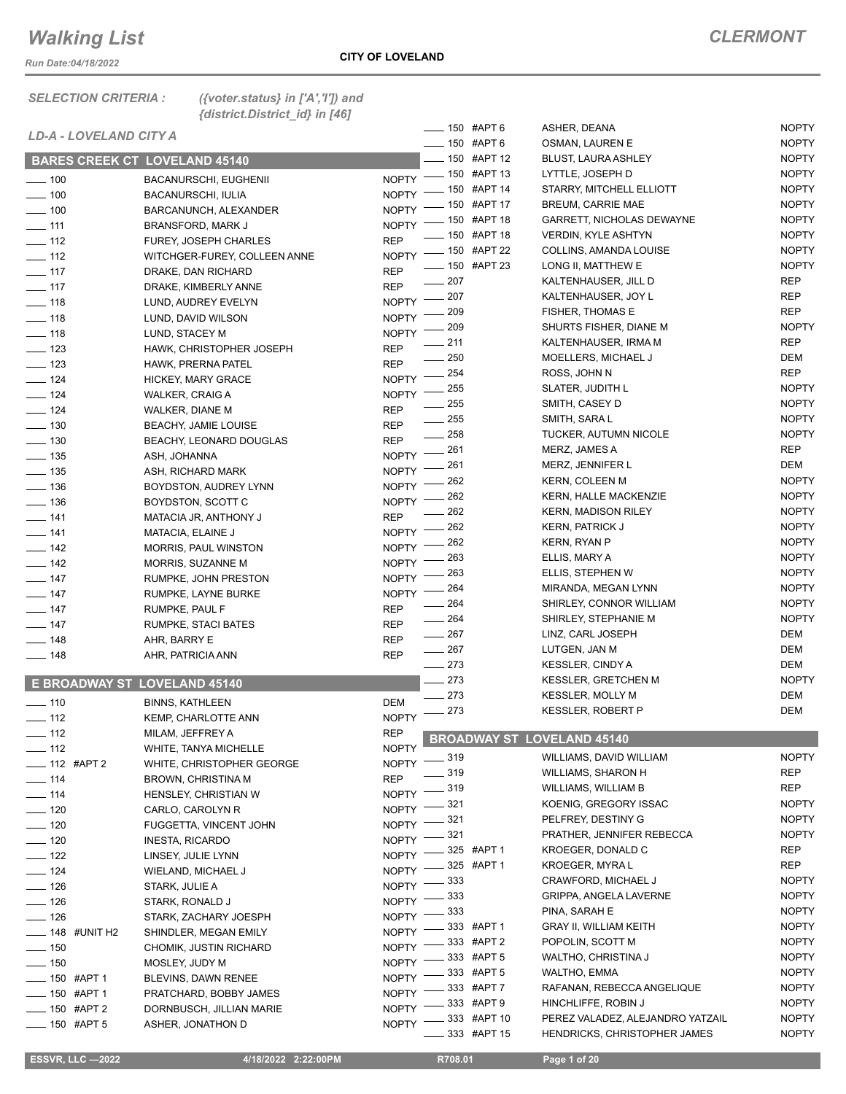*Run Date:04/18/2022*

#### *SELECTION CRITERIA : ({voter.status} in ['A','I']) and {district.District\_id} in [46]*

|                            |                                      |                              |                    | ____ 150 #APT 6 |                | ASHER, DEANA                      |                                  | <b>NOPTY</b> |
|----------------------------|--------------------------------------|------------------------------|--------------------|-----------------|----------------|-----------------------------------|----------------------------------|--------------|
|                            | LD-A - LOVELAND CITY A               |                              |                    |                 | $-150$ #APT 6  |                                   | OSMAN, LAUREN E                  | <b>NOPTY</b> |
|                            | <b>BARES CREEK CT LOVELAND 45140</b> |                              |                    |                 | _ 150 #APT 12  |                                   | <b>BLUST, LAURA ASHLEY</b>       | <b>NOPTY</b> |
| $\frac{1}{2}$ 100          | BACANURSCHI, EUGHENII                |                              | $N$ OPTY -         |                 | $-150$ #APT 13 |                                   | LYTTLE, JOSEPH D                 | <b>NOPTY</b> |
| $\frac{1}{2}$ 100          | <b>BACANURSCHI, IULIA</b>            |                              | NOPTY <sup>-</sup> |                 | _ 150 #APT 14  |                                   | STARRY, MITCHELL ELLIOTT         | <b>NOPTY</b> |
| $\frac{1}{2}$ 100          |                                      |                              | <b>NOPTY</b>       |                 | $-150$ #APT 17 |                                   | <b>BREUM, CARRIE MAE</b>         | <b>NOPTY</b> |
| $\frac{1}{2}$ 111          | BARCANUNCH, ALEXANDER                |                              | <b>NOPTY</b>       |                 | _ 150 #APT 18  |                                   | <b>GARRETT, NICHOLAS DEWAYNE</b> | <b>NOPTY</b> |
|                            | <b>BRANSFORD, MARK J</b>             |                              | <b>REP</b>         |                 | $-150$ #APT 18 |                                   | <b>VERDIN, KYLE ASHTYN</b>       | <b>NOPTY</b> |
| $\frac{1}{2}$ 112          | <b>FUREY, JOSEPH CHARLES</b>         |                              |                    |                 | $-150$ #APT 22 |                                   | COLLINS, AMANDA LOUISE           | <b>NOPTY</b> |
| $\frac{1}{2}$ 112          |                                      | WITCHGER-FUREY, COLLEEN ANNE | <b>NOPTY</b>       |                 | _ 150 #APT 23  |                                   | LONG II, MATTHEW E               | <b>NOPTY</b> |
| $\frac{1}{2}$ 117          | DRAKE, DAN RICHARD                   |                              | <b>REP</b>         | $-207$          |                |                                   | KALTENHAUSER, JILL D             | <b>REP</b>   |
| $\frac{1}{2}$ 117          | DRAKE, KIMBERLY ANNE                 |                              | <b>REP</b>         | $-207$          |                |                                   | KALTENHAUSER, JOY L              | <b>REP</b>   |
| $\frac{1}{2}$ 118          | LUND, AUDREY EVELYN                  |                              | NOPTY -            | 209             |                |                                   | <b>FISHER, THOMAS E</b>          | <b>REP</b>   |
| $- 118$                    | LUND, DAVID WILSON                   |                              | NOPTY -            | 209             |                |                                   | SHURTS FISHER, DIANE M           | <b>NOPTY</b> |
| $- 118$                    | LUND, STACEY M                       |                              | <b>NOPTY</b>       | _ 211           |                |                                   | KALTENHAUSER, IRMA M             | <b>REP</b>   |
| $\frac{1}{2}$ 123          | HAWK, CHRISTOPHER JOSEPH             |                              | <b>REP</b>         | 250             |                |                                   | MOELLERS, MICHAEL J              | DEM          |
| $\frac{1}{2}$ 123          | HAWK, PRERNA PATEL                   |                              | <b>REP</b>         | 254             |                | ROSS, JOHN N                      |                                  | REP          |
| $- 124$                    | HICKEY, MARY GRACE                   |                              | <b>NOPTY</b>       | 255             |                |                                   | SLATER, JUDITH L                 | <b>NOPTY</b> |
| $- 124$                    | WALKER, CRAIG A                      |                              | <b>NOPTY</b>       | 255             |                | SMITH, CASEY D                    |                                  | <b>NOPTY</b> |
| $\frac{1}{2}$ 124          | WALKER, DIANE M                      |                              | <b>REP</b>         | $\frac{1}{255}$ |                | SMITH, SARA L                     |                                  | <b>NOPTY</b> |
| $\frac{1}{2}$ 130          | <b>BEACHY, JAMIE LOUISE</b>          |                              | <b>REP</b>         | $\equiv$ 258    |                |                                   | TUCKER, AUTUMN NICOLE            | <b>NOPTY</b> |
| $\frac{1}{2}$ 130          | BEACHY, LEONARD DOUGLAS              |                              | <b>REP</b>         |                 |                |                                   |                                  |              |
| $\frac{1}{2}$ 135          | ASH, JOHANNA                         |                              | <b>NOPTY</b>       | 261             |                | MERZ, JAMES A                     |                                  | REP          |
| $\frac{1}{2}$ 135          | ASH, RICHARD MARK                    |                              | <b>NOPTY</b>       | 261             |                |                                   | MERZ, JENNIFER L                 | DEM          |
| $\frac{1}{2}$ 136          | BOYDSTON, AUDREY LYNN                |                              | <b>NOPTY</b>       | 262             |                | <b>KERN, COLEEN M</b>             |                                  | <b>NOPTY</b> |
| $\frac{1}{2}$ 136          | BOYDSTON, SCOTT C                    |                              | <b>NOPTY</b>       | 262             |                |                                   | <b>KERN, HALLE MACKENZIE</b>     | <b>NOPTY</b> |
| $- 141$                    | MATACIA JR, ANTHONY J                |                              | <b>REP</b>         | 262             |                |                                   | <b>KERN, MADISON RILEY</b>       | <b>NOPTY</b> |
| $- 141$                    | MATACIA, ELAINE J                    |                              | <b>NOPTY</b>       | 262             |                | <b>KERN, PATRICK J</b>            |                                  | <b>NOPTY</b> |
| $\frac{1}{2}$ 142          | <b>MORRIS, PAUL WINSTON</b>          |                              | <b>NOPTY</b>       | 262             |                | KERN, RYAN P                      |                                  | <b>NOPTY</b> |
| $\frac{1}{2}$ 142          | MORRIS, SUZANNE M                    |                              | <b>NOPTY</b>       | 263             |                | ELLIS, MARY A                     |                                  | <b>NOPTY</b> |
| $\frac{1}{2}$ 147          | RUMPKE, JOHN PRESTON                 |                              | <b>NOPTY</b>       | 263             |                |                                   | ELLIS, STEPHEN W                 | <b>NOPTY</b> |
| $- 147$                    | RUMPKE, LAYNE BURKE                  |                              | <b>NOPTY</b>       | 264             |                |                                   | MIRANDA, MEGAN LYNN              | <b>NOPTY</b> |
| $\frac{1}{2}$ 147          | RUMPKE, PAUL F                       |                              | <b>REP</b>         | 264             |                |                                   | SHIRLEY, CONNOR WILLIAM          | <b>NOPTY</b> |
| $\frac{1}{2}$ 147          | RUMPKE, STACI BATES                  |                              | <b>REP</b>         | $- 264$         |                |                                   | SHIRLEY, STEPHANIE M             | <b>NOPTY</b> |
| $\frac{1}{2}$ 148          | AHR, BARRY E                         |                              | <b>REP</b>         | $-267$          |                |                                   | LINZ, CARL JOSEPH                | DEM          |
| $\frac{1}{2}$ 148          | AHR, PATRICIA ANN                    |                              | <b>REP</b>         | $\frac{1}{267}$ |                | LUTGEN, JAN M                     |                                  | DEM          |
|                            |                                      |                              |                    | $\frac{273}{2}$ |                |                                   | <b>KESSLER, CINDY A</b>          | DEM          |
|                            | <b>E BROADWAY ST LOVELAND 45140</b>  |                              |                    | 273             |                |                                   | <b>KESSLER, GRETCHEN M</b>       | <b>NOPTY</b> |
| $\frac{1}{2}$ 110          | <b>BINNS, KATHLEEN</b>               |                              | <b>DEM</b>         | $\frac{273}{2}$ |                |                                   | <b>KESSLER, MOLLY M</b>          | DEM          |
| $\frac{1}{2}$ 112          | KEMP, CHARLOTTE ANN                  |                              | <b>NOPTY</b>       | 273             |                |                                   | <b>KESSLER, ROBERT P</b>         | DEM          |
| $-112$                     | MILAM, JEFFREY A                     |                              | <b>REP</b>         |                 |                |                                   |                                  |              |
| $-112$                     | WHITE, TANYA MICHELLE                |                              | <b>NOPTY</b>       |                 |                | <b>BROADWAY ST LOVELAND 45140</b> |                                  |              |
| $-$ 112 #APT 2             | WHITE, CHRISTOPHER GEORGE            |                              | <b>NOPTY</b>       | $-319$          |                |                                   | WILLIAMS, DAVID WILLIAM          | <b>NOPTY</b> |
| $- 114$                    | BROWN, CHRISTINA M                   |                              | <b>REP</b>         | 319             |                |                                   | WILLIAMS, SHARON H               | <b>REP</b>   |
| $\frac{1}{2}$ 114          | HENSLEY, CHRISTIAN W                 |                              | <b>NOPTY</b>       | 319             |                |                                   | WILLIAMS, WILLIAM B              | REP          |
| $- 120$                    | CARLO, CAROLYN R                     |                              | <b>NOPTY</b>       | 321             |                |                                   | KOENIG, GREGORY ISSAC            | <b>NOPTY</b> |
|                            | FUGGETTA, VINCENT JOHN               |                              | <b>NOPTY</b>       | 321             |                |                                   | PELFREY, DESTINY G               | <b>NOPTY</b> |
| $- 120$                    |                                      |                              | <b>NOPTY</b>       | 321             |                |                                   | PRATHER, JENNIFER REBECCA        | <b>NOPTY</b> |
| $\frac{1}{2}$ 120          | <b>INESTA, RICARDO</b>               |                              | <b>NOPTY</b>       |                 | 325 #APT 1     |                                   | KROEGER, DONALD C                | REP          |
| $- 122$                    | LINSEY, JULIE LYNN                   |                              | <b>NOPTY</b>       |                 | 325 #APT 1     |                                   | KROEGER, MYRAL                   | REP          |
| $- 124$                    | WIELAND, MICHAEL J                   |                              |                    | 333             |                |                                   | CRAWFORD, MICHAEL J              | <b>NOPTY</b> |
| $- 126$                    | STARK, JULIE A                       |                              | <b>NOPTY</b>       | 333             |                |                                   | GRIPPA, ANGELA LAVERNE           | <b>NOPTY</b> |
| $- 126$                    | STARK, RONALD J                      |                              | <b>NOPTY</b>       | 333             |                | PINA, SARAH E                     |                                  | <b>NOPTY</b> |
| $- 126$                    | STARK, ZACHARY JOESPH                |                              | <b>NOPTY</b>       |                 | 333 #APT 1     |                                   | <b>GRAY II, WILLIAM KEITH</b>    | <b>NOPTY</b> |
| $\frac{1}{2}$ 148 #UNIT H2 | SHINDLER, MEGAN EMILY                |                              | <b>NOPTY</b>       |                 | 333 #APT 2     |                                   | POPOLIN, SCOTT M                 | <b>NOPTY</b> |
| $\frac{1}{2}$ 150          | CHOMIK, JUSTIN RICHARD               |                              | <b>NOPTY</b>       |                 | 333 #APT 5     |                                   | WALTHO, CHRISTINA J              | <b>NOPTY</b> |
| $- 150$                    | MOSLEY, JUDY M                       |                              | <b>NOPTY</b>       |                 | 333 #APT 5     | WALTHO, EMMA                      |                                  | <b>NOPTY</b> |
| <sub>—</sub> 150 #APT 1    | BLEVINS, DAWN RENEE                  |                              | <b>NOPTY</b>       |                 | 333 #APT 7     |                                   | RAFANAN, REBECCA ANGELIQUE       | <b>NOPTY</b> |
| __ 150   #APT 1            | PRATCHARD, BOBBY JAMES               |                              | <b>NOPTY</b>       |                 | 333 #APT 9     |                                   | HINCHLIFFE, ROBIN J              | <b>NOPTY</b> |
| <b>___ 150 #APT 2</b>      | DORNBUSCH, JILLIAN MARIE             |                              | <b>NOPTY</b>       |                 | 333 #APT 10    |                                   | PEREZ VALADEZ, ALEJANDRO YATZAIL | <b>NOPTY</b> |
| $- 150$ #APT 5             | ASHER, JONATHON D                    |                              | <b>NOPTY</b>       |                 | 333 #APT 15    |                                   | HENDRICKS, CHRISTOPHER JAMES     | <b>NOPTY</b> |
|                            |                                      |                              |                    |                 |                |                                   |                                  |              |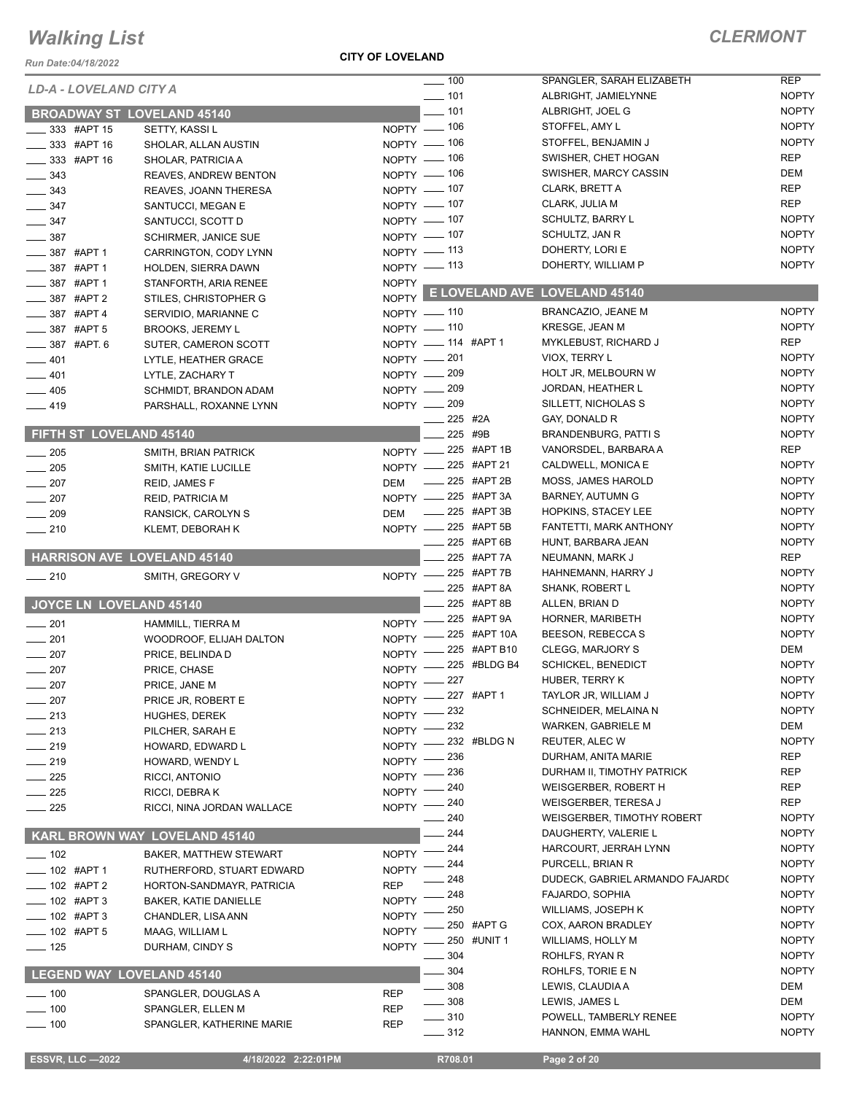*Run Date:04/18/2022*

### **CITY OF LOVELAND**

### *CLERMONT*

|                                      |                                      |              | $\overline{\phantom{0}}$ 100 |                         | SPANGLER, SARAH ELIZABETH           | <b>REP</b>   |
|--------------------------------------|--------------------------------------|--------------|------------------------------|-------------------------|-------------------------------------|--------------|
| <b>LD-A - LOVELAND CITY A</b>        |                                      |              | $\frac{1}{2}$ 101            |                         | ALBRIGHT, JAMIELYNNE                | <b>NOPTY</b> |
| <b>BROADWAY ST LOVELAND 45140</b>    |                                      |              | $- 101$                      |                         | ALBRIGHT, JOEL G                    | <b>NOPTY</b> |
|                                      |                                      |              | NOPTY - 106                  |                         | STOFFEL, AMY L                      | <b>NOPTY</b> |
| $\_333$ #APT 15                      | SETTY, KASSI L                       |              | NOPTY $-$ 106                |                         | STOFFEL, BENJAMIN J                 | <b>NOPTY</b> |
| $\frac{1}{2}$ 333 #APT 16            | SHOLAR, ALLAN AUSTIN                 |              | NOPTY - 106                  |                         | SWISHER, CHET HOGAN                 | <b>REP</b>   |
| __ 333 #APT 16                       | SHOLAR, PATRICIA A                   |              | NOPTY - 106                  |                         | SWISHER, MARCY CASSIN               | DEM          |
| $-343$                               | <b>REAVES, ANDREW BENTON</b>         |              | NOPTY - 107                  |                         | CLARK, BRETT A                      | REP          |
| $\frac{1}{2}$ 343<br>$\frac{347}{2}$ | REAVES, JOANN THERESA                |              | NOPTY - 107                  |                         | CLARK, JULIA M                      | <b>REP</b>   |
|                                      | SANTUCCI, MEGAN E                    |              | NOPTY $-$ 107                |                         | <b>SCHULTZ, BARRY L</b>             | <b>NOPTY</b> |
| $\frac{1}{2}$ 347                    | SANTUCCI, SCOTT D                    |              | NOPTY $-$ 107                |                         | SCHULTZ, JAN R                      | <b>NOPTY</b> |
| $\frac{1}{2}$ 387<br>____ 387 #APT 1 | <b>SCHIRMER, JANICE SUE</b>          |              | NOPTY $-$ 113                |                         | DOHERTY, LORI E                     | <b>NOPTY</b> |
| $- 387$ #APT 1                       | CARRINGTON, CODY LYNN                |              | NOPTY - 113                  |                         | DOHERTY, WILLIAM P                  | <b>NOPTY</b> |
| $-387$ #APT 1                        | HOLDEN, SIERRA DAWN                  | <b>NOPTY</b> |                              |                         |                                     |              |
| $\frac{1}{2}$ 387 #APT 2             | STANFORTH, ARIA RENEE                |              |                              |                         | NOPTY E LOVELAND AVE LOVELAND 45140 |              |
| $-387$ #APT 4                        | STILES, CHRISTOPHER G                |              | NOPTY - 110                  |                         | BRANCAZIO, JEANE M                  | <b>NOPTY</b> |
| $\frac{1}{2}$ 387 #APT 5             | SERVIDIO, MARIANNE C                 |              | $NOPTY$ - 110                |                         | KRESGE, JEAN M                      | <b>NOPTY</b> |
|                                      | <b>BROOKS, JEREMY L</b>              |              | NOPTY __ 114 #APT 1          |                         | MYKLEBUST, RICHARD J                | <b>REP</b>   |
| $\frac{1}{2}$ 387 #APT. 6            | SUTER, CAMERON SCOTT                 |              | NOPTY - 201                  |                         | VIOX, TERRY L                       | <b>NOPTY</b> |
| $-401$                               | LYTLE, HEATHER GRACE                 |              | NOPTY -209                   |                         | HOLT JR, MELBOURN W                 | <b>NOPTY</b> |
| $-401$                               | LYTLE, ZACHARY T                     |              | NOPTY - 209                  |                         | JORDAN, HEATHER L                   | <b>NOPTY</b> |
| $-405$                               | SCHMIDT, BRANDON ADAM                |              | NOPTY - 209                  |                         | SILLETT, NICHOLAS S                 | <b>NOPTY</b> |
| $-419$                               | PARSHALL, ROXANNE LYNN               |              |                              | 225 #2A                 | GAY, DONALD R                       | <b>NOPTY</b> |
| FIFTH ST LOVELAND 45140              |                                      |              |                              | 225 #9B                 | <b>BRANDENBURG, PATTI S</b>         | <b>NOPTY</b> |
|                                      |                                      |              | NOPTY -225 #APT 1B           |                         | VANORSDEL, BARBARA A                | <b>REP</b>   |
| . 205                                | SMITH, BRIAN PATRICK                 |              | NOPTY -225 #APT 21           |                         | CALDWELL, MONICA E                  | <b>NOPTY</b> |
| $\frac{1}{205}$                      | SMITH, KATIE LUCILLE                 |              |                              | -225 #APT 2B            | <b>MOSS, JAMES HAROLD</b>           | <b>NOPTY</b> |
| $\sim$ 207                           | REID, JAMES F                        | DEM          | NOPTY -225 #APT 3A           |                         | <b>BARNEY, AUTUMN G</b>             | <b>NOPTY</b> |
| $-207$                               | <b>REID, PATRICIA M</b>              |              |                              | $\frac{1}{225}$ #APT 3B | <b>HOPKINS, STACEY LEE</b>          | <b>NOPTY</b> |
| $\frac{1}{209}$                      | RANSICK, CAROLYN S                   | <b>DEM</b>   | NOPTY -225 #APT 5B           |                         | FANTETTI, MARK ANTHONY              | <b>NOPTY</b> |
| $-210$                               | KLEMT, DEBORAH K                     |              |                              | 225 #APT 6B             | HUNT, BARBARA JEAN                  | <b>NOPTY</b> |
| <b>HARRISON AVE LOVELAND 45140</b>   |                                      |              |                              | 225 #APT 7A             | NEUMANN, MARK J                     | <b>REP</b>   |
|                                      |                                      |              | NOPTY -225 #APT 7B           |                         | HAHNEMANN, HARRY J                  | <b>NOPTY</b> |
| $-210$                               | SMITH, GREGORY V                     |              |                              | _____ 225 #APT 8A       | <b>SHANK, ROBERT L</b>              | <b>NOPTY</b> |
| JOYCE LN LOVELAND 45140              |                                      |              |                              | _225 #APT 8B            | ALLEN, BRIAN D                      | <b>NOPTY</b> |
|                                      |                                      |              |                              | 225 #APT 9A             | HORNER, MARIBETH                    | <b>NOPTY</b> |
| $\frac{1}{201}$                      | HAMMILL, TIERRA M                    | $NOPTY$ ––   |                              | _225 #APT 10A           | BEESON, REBECCA S                   | <b>NOPTY</b> |
| $\sim$ 201                           | WOODROOF, ELIJAH DALTON              | $N$ OPTY $-$ |                              | 225 #APT B10            | <b>CLEGG, MARJORY S</b>             | DEM          |
| $\frac{1}{207}$                      | PRICE, BELINDA D                     | $NOPTY =$    |                              | $-225$ #BLDG B4         | <b>SCHICKEL, BENEDICT</b>           | <b>NOPTY</b> |
| $\frac{1}{207}$                      | PRICE, CHASE                         | $N$ OPTY -   | NOPTY -227                   |                         | HUBER, TERRY K                      | <b>NOPTY</b> |
| 207                                  | PRICE, JANE M                        |              |                              | <sub>–</sub> 227 #APT 1 | TAYLOR JR, WILLIAM J                | <b>NOPTY</b> |
| $\equiv$ 207                         | PRICE JR, ROBERT E                   | NOPTY -      | 232                          |                         | SCHNEIDER, MELAINA N                | <b>NOPTY</b> |
| $-213$                               | <b>HUGHES, DEREK</b>                 | <b>NOPTY</b> | 232                          |                         | WARKEN, GABRIELE M                  | DEM          |
| $-213$                               | PILCHER, SARAH E                     | <b>NOPTY</b> |                              | 232 #BLDG N             | REUTER, ALEC W                      | <b>NOPTY</b> |
| $-219$                               | HOWARD, EDWARD L                     | <b>NOPTY</b> | . 236                        |                         | DURHAM, ANITA MARIE                 | REP          |
| $-219$                               | HOWARD, WENDY L                      | <b>NOPTY</b> | 236                          |                         | DURHAM II, TIMOTHY PATRICK          | REP          |
| $-225$                               | RICCI, ANTONIO                       | <b>NOPTY</b> | - 240                        |                         | WEISGERBER, ROBERT H                | REP          |
| $-225$                               | RICCI, DEBRAK                        | NOPTY -      | - 240                        |                         | WEISGERBER, TERESA J                | REP          |
| $\frac{1}{225}$                      | RICCI, NINA JORDAN WALLACE           | NOPTY $-$    | 240                          |                         | <b>WEISGERBER, TIMOTHY ROBERT</b>   | <b>NOPTY</b> |
|                                      | <b>KARL BROWN WAY LOVELAND 45140</b> |              | 244                          |                         | DAUGHERTY, VALERIE L                | <b>NOPTY</b> |
|                                      |                                      |              | 244                          |                         | HARCOURT, JERRAH LYNN               | <b>NOPTY</b> |
| $- 102$                              | <b>BAKER, MATTHEW STEWART</b>        | <b>NOPTY</b> | 244                          |                         | PURCELL, BRIAN R                    | <b>NOPTY</b> |
| ____ 102 #APT 1                      | RUTHERFORD, STUART EDWARD            | <b>NOPTY</b> | 248                          |                         | DUDECK, GABRIEL ARMANDO FAJARDO     | <b>NOPTY</b> |
| ____ 102 #APT 2                      | HORTON-SANDMAYR, PATRICIA            | <b>REP</b>   | 248                          |                         | FAJARDO, SOPHIA                     | <b>NOPTY</b> |
| ____ 102 #APT 3                      | <b>BAKER, KATIE DANIELLE</b>         | <b>NOPTY</b> | 250                          |                         | WILLIAMS, JOSEPH K                  | <b>NOPTY</b> |
| $- 102$ #APT 3                       | CHANDLER, LISA ANN                   | <b>NOPTY</b> |                              | 250 #APT G              | COX, AARON BRADLEY                  | <b>NOPTY</b> |
| ____ 102 #APT 5                      | MAAG, WILLIAM L                      | <b>NOPTY</b> |                              | 250 #UNIT 1             | WILLIAMS, HOLLY M                   | <b>NOPTY</b> |
| $\frac{1}{2}$ 125                    | DURHAM, CINDY S                      | <b>NOPTY</b> | 304                          |                         | ROHLFS, RYAN R                      | <b>NOPTY</b> |
|                                      |                                      |              | . 304                        |                         | ROHLFS, TORIE E N                   | <b>NOPTY</b> |
| <b>LEGEND WAY LOVELAND 45140</b>     |                                      |              | $-308$                       |                         | LEWIS, CLAUDIA A                    | DEM          |
| $-100$                               | SPANGLER, DOUGLAS A                  | <b>REP</b>   | - 308                        |                         | LEWIS, JAMES L                      | DEM          |
| $- 100$                              | SPANGLER, ELLEN M                    | <b>REP</b>   | $-310$                       |                         | POWELL, TAMBERLY RENEE              | <b>NOPTY</b> |
| $\frac{1}{2}$ 100                    | SPANGLER, KATHERINE MARIE            | <b>REP</b>   | $- 312$                      |                         | HANNON, EMMA WAHL                   | <b>NOPTY</b> |
|                                      |                                      |              |                              |                         |                                     |              |

 **ESSVR, LLC —2022 4/18/2022 2:22:01PM R708.01 Page 2 of 20**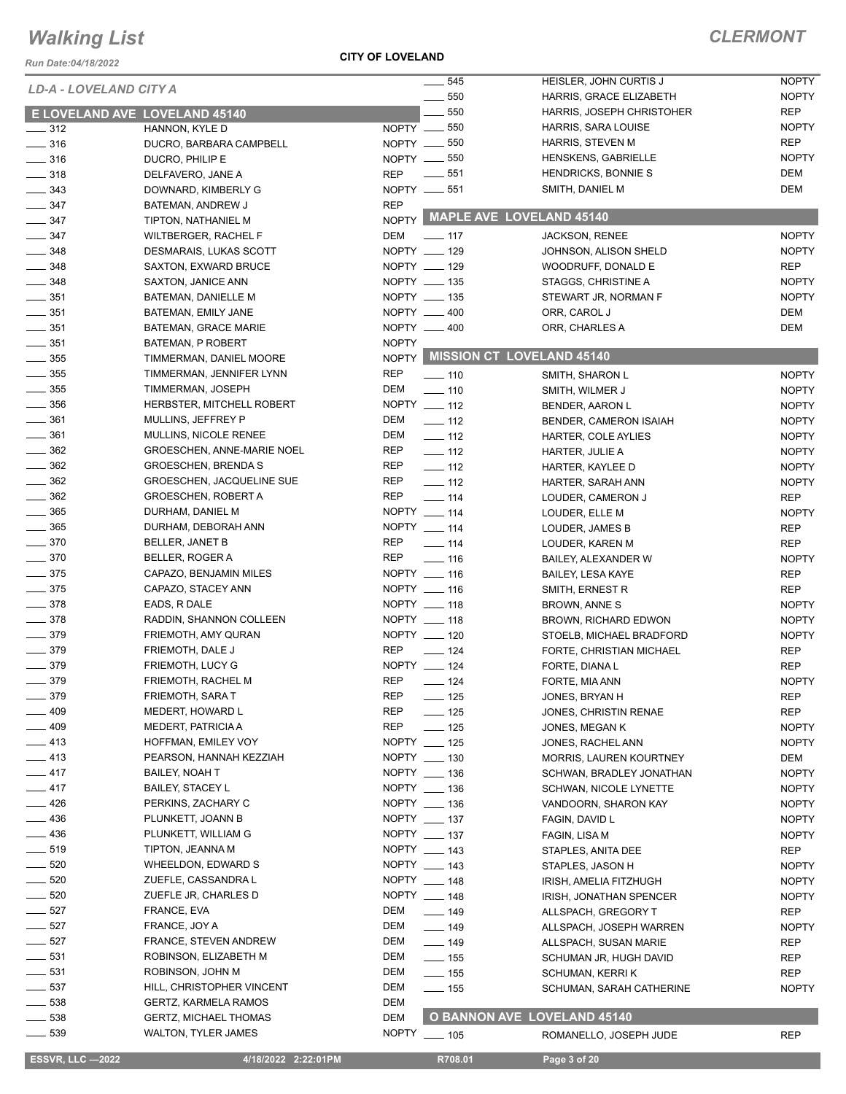*Run Date:04/18/2022*

#### **CITY OF LOVELAND**

| LD-A - LOVELAND CITY A  |                                   |              | $- 545$           | HEISLER, JOHN CURTIS J             | <b>NOPTY</b> |
|-------------------------|-----------------------------------|--------------|-------------------|------------------------------------|--------------|
|                         |                                   |              | 550               | HARRIS, GRACE ELIZABETH            | <b>NOPTY</b> |
|                         | E LOVELAND AVE LOVELAND 45140     |              | $-550$            | HARRIS, JOSEPH CHRISTOHER          | <b>REP</b>   |
| $\frac{1}{2}$ 312       | HANNON, KYLE D                    |              | $NOPTY$ = 550     | HARRIS, SARA LOUISE                | <b>NOPTY</b> |
| $\frac{1}{2}$ 316       | DUCRO, BARBARA CAMPBELL           |              | NOPTY __ 550      | <b>HARRIS, STEVEN M</b>            | <b>REP</b>   |
| $\frac{1}{2}$ 316       | DUCRO, PHILIP E                   |              | NOPTY -650        | HENSKENS, GABRIELLE                | <b>NOPTY</b> |
| $- 318$                 | DELFAVERO, JANE A                 | <b>REP</b>   | $\frac{1}{2}$ 551 | HENDRICKS, BONNIE S                | DEM          |
| $\frac{1}{2}$ 343       | DOWNARD, KIMBERLY G               |              | NOPTY __ 551      | SMITH, DANIEL M                    | DEM          |
| $\frac{1}{2}$ 347       | BATEMAN, ANDREW J                 | <b>REP</b>   |                   |                                    |              |
| $\frac{1}{2}$ 347       | TIPTON, NATHANIEL M               |              |                   | NOPTY MAPLE AVE LOVELAND 45140     |              |
| $\frac{1}{2}$ 347       | <b>WILTBERGER, RACHEL F</b>       | DEM          | $\frac{1}{2}$ 117 | <b>JACKSON, RENEE</b>              | <b>NOPTY</b> |
| $\frac{1}{2}$ 348       | DESMARAIS, LUKAS SCOTT            |              | NOPTY __ 129      | JOHNSON, ALISON SHELD              | <b>NOPTY</b> |
| $\frac{1}{2}$ 348       | SAXTON, EXWARD BRUCE              |              | NOPTY __ 129      | WOODRUFF, DONALD E                 | <b>REP</b>   |
| $- 348$                 | SAXTON, JANICE ANN                |              | NOPTY __ 135      | STAGGS, CHRISTINE A                | <b>NOPTY</b> |
| $\frac{1}{2}$ 351       | BATEMAN, DANIELLE M               |              | NOPTY __ 135      | STEWART JR, NORMAN F               | <b>NOPTY</b> |
| $\frac{1}{2}$ 351       | BATEMAN, EMILY JANE               |              | NOPTY __ 400      | ORR, CAROL J                       | DEM          |
| $\frac{1}{2}$ 351       | BATEMAN, GRACE MARIE              |              | NOPTY __ 400      | ORR, CHARLES A                     | DEM          |
| $\frac{1}{2}$ 351       | <b>BATEMAN, P ROBERT</b>          | <b>NOPTY</b> |                   |                                    |              |
| $\frac{1}{2}$ 355       | TIMMERMAN, DANIEL MOORE           |              |                   | NOPTY MISSION CT LOVELAND 45140    |              |
| $\frac{1}{2}$ 355       | TIMMERMAN, JENNIFER LYNN          | <b>REP</b>   | $\frac{1}{2}$ 110 | SMITH, SHARON L                    | <b>NOPTY</b> |
| $\frac{1}{2}$ 355       | TIMMERMAN, JOSEPH                 | DEM          | $- 110$           | SMITH, WILMER J                    | <b>NOPTY</b> |
| $\frac{1}{2}$ 356       | HERBSTER, MITCHELL ROBERT         |              | NOPTY __ 112      | BENDER, AARON L                    | <b>NOPTY</b> |
| $- 361$                 | MULLINS, JEFFREY P                | DEM          | $\frac{1}{2}$ 112 | BENDER, CAMERON ISAIAH             | <b>NOPTY</b> |
| $\frac{1}{2}$ 361       | MULLINS, NICOLE RENEE             | DEM          | $\frac{1}{2}$ 112 | HARTER, COLE AYLIES                | <b>NOPTY</b> |
| $\frac{1}{2}$ 362       | <b>GROESCHEN, ANNE-MARIE NOEL</b> | REP          | $\frac{1}{2}$ 112 | <b>HARTER, JULIE A</b>             | <b>NOPTY</b> |
| $\frac{1}{2}$ 362       | <b>GROESCHEN, BRENDA S</b>        | REP          | $\frac{1}{2}$ 112 |                                    | <b>NOPTY</b> |
| $\frac{1}{2}$ 362       | <b>GROESCHEN, JACQUELINE SUE</b>  | REP          | $\frac{1}{2}$ 112 | HARTER, KAYLEE D                   | <b>NOPTY</b> |
| $\frac{1}{2}$ 362       | <b>GROESCHEN, ROBERT A</b>        | <b>REP</b>   | $\frac{1}{2}$ 114 | HARTER, SARAH ANN                  | <b>REP</b>   |
| $\frac{1}{2}$ 365       | DURHAM, DANIEL M                  |              | NOPTY __ 114      | LOUDER, CAMERON J                  |              |
| $\frac{1}{2}$ 365       |                                   |              | NOPTY __ 114      | LOUDER, ELLE M                     | <b>NOPTY</b> |
| $- 370$                 | DURHAM, DEBORAH ANN               |              |                   | LOUDER, JAMES B                    | <b>REP</b>   |
|                         | <b>BELLER, JANET B</b>            | <b>REP</b>   | $- 114$           | LOUDER, KAREN M                    | <b>REP</b>   |
| $- 370$                 | BELLER, ROGER A                   | <b>REP</b>   | $\frac{1}{16}$    | BAILEY, ALEXANDER W                | <b>NOPTY</b> |
| $\frac{1}{2}$ 375       | CAPAZO, BENJAMIN MILES            |              | NOPTY __ 116      | <b>BAILEY, LESA KAYE</b>           | <b>REP</b>   |
| $\frac{1}{2}$ 375       | CAPAZO, STACEY ANN                |              | NOPTY __ 116      | SMITH, ERNEST R                    | <b>REP</b>   |
| $\frac{1}{2}$ 378       | EADS, R DALE                      |              | NOPTY __ 118      | BROWN, ANNE S                      | <b>NOPTY</b> |
| $- 378$                 | RADDIN, SHANNON COLLEEN           |              | NOPTY __ 118      | <b>BROWN, RICHARD EDWON</b>        | <b>NOPTY</b> |
| $- 379$                 | FRIEMOTH, AMY QURAN               |              | NOPTY __ 120      | STOELB, MICHAEL BRADFORD           | <b>NOPTY</b> |
| $- 379$                 | FRIEMOTH, DALE J                  | <b>REP</b>   | $-$ 124           | FORTE, CHRISTIAN MICHAEL           | <b>REP</b>   |
| $- 379$                 | <b>FRIEMOTH, LUCY G</b>           |              | NOPTY __ 124      | FORTE, DIANA L                     | <b>REP</b>   |
| $- 379$                 | FRIEMOTH, RACHEL M                | <b>REP</b>   | $- 124$           | FORTE, MIA ANN                     | <b>NOPTY</b> |
| 379                     | FRIEMOTH, SARA T                  | REP          | $\frac{1}{2}$ 125 | JONES, BRYAN H                     | REP          |
| 409                     | MEDERT, HOWARD L                  | REP          | $-$ 125           | JONES, CHRISTIN RENAE              | <b>REP</b>   |
| 409                     | MEDERT, PATRICIA A                | <b>REP</b>   | $-$ 125           | JONES, MEGAN K                     | <b>NOPTY</b> |
| _ 413                   | HOFFMAN, EMILEY VOY               |              | NOPTY __ 125      | JONES, RACHEL ANN                  | <b>NOPTY</b> |
| $-413$                  | PEARSON, HANNAH KEZZIAH           |              | NOPTY __ 130      | MORRIS, LAUREN KOURTNEY            | DEM          |
| $-417$                  | <b>BAILEY, NOAH T</b>             |              | NOPTY __ 136      | SCHWAN, BRADLEY JONATHAN           | <b>NOPTY</b> |
| $-417$                  | <b>BAILEY, STACEY L</b>           |              | NOPTY __ 136      | <b>SCHWAN, NICOLE LYNETTE</b>      | <b>NOPTY</b> |
| $-426$                  | PERKINS, ZACHARY C                |              | NOPTY __ 136      | VANDOORN, SHARON KAY               | <b>NOPTY</b> |
| $-436$                  | PLUNKETT, JOANN B                 |              | NOPTY __ 137      | FAGIN, DAVID L                     | <b>NOPTY</b> |
| $-436$                  | PLUNKETT, WILLIAM G               |              | NOPTY __ 137      | FAGIN, LISA M                      | <b>NOPTY</b> |
| 519                     | TIPTON, JEANNA M                  |              | NOPTY __ 143      | STAPLES, ANITA DEE                 | REP          |
| 520                     | WHEELDON, EDWARD S                |              | NOPTY __ 143      | STAPLES, JASON H                   | <b>NOPTY</b> |
| 520                     | ZUEFLE, CASSANDRA L               |              | NOPTY __ 148      | IRISH, AMELIA FITZHUGH             | <b>NOPTY</b> |
| 520                     | ZUEFLE JR, CHARLES D              |              | NOPTY __ 148      | IRISH, JONATHAN SPENCER            | <b>NOPTY</b> |
| $\frac{1}{2}$ 527       | FRANCE, EVA                       | DEM          | $\frac{1}{2}$ 149 | ALLSPACH, GREGORY T                | <b>REP</b>   |
| 527                     | FRANCE, JOY A                     | DEM          | $- 149$           | ALLSPACH, JOSEPH WARREN            | <b>NOPTY</b> |
| 527                     | <b>FRANCE, STEVEN ANDREW</b>      | DEM          | ___ 149           | ALLSPACH, SUSAN MARIE              | REP          |
| $\frac{1}{2}$ 531       | ROBINSON, ELIZABETH M             | DEM          | $\equiv$ 155      | SCHUMAN JR, HUGH DAVID             | REP          |
| $\frac{1}{2}$ 531       | ROBINSON, JOHN M                  | DEM          | $- 155$           | SCHUMAN, KERRI K                   | <b>REP</b>   |
| $\frac{1}{2}$ 537       | HILL, CHRISTOPHER VINCENT         | DEM          | $- 155$           | SCHUMAN, SARAH CATHERINE           | <b>NOPTY</b> |
| $\frac{1}{2}$ 538       | <b>GERTZ, KARMELA RAMOS</b>       | DEM          |                   |                                    |              |
| $\frac{1}{2}$ 538       | <b>GERTZ, MICHAEL THOMAS</b>      | <b>DEM</b>   |                   | <b>O BANNON AVE LOVELAND 45140</b> |              |
| $- 539$                 | <b>WALTON, TYLER JAMES</b>        |              | NOPTY __ 105      | ROMANELLO, JOSEPH JUDE             | <b>REP</b>   |
|                         |                                   |              |                   |                                    |              |
| <b>ESSVR, LLC -2022</b> | 4/18/2022 2:22:01PM               |              | R708.01           | Page 3 of 20                       |              |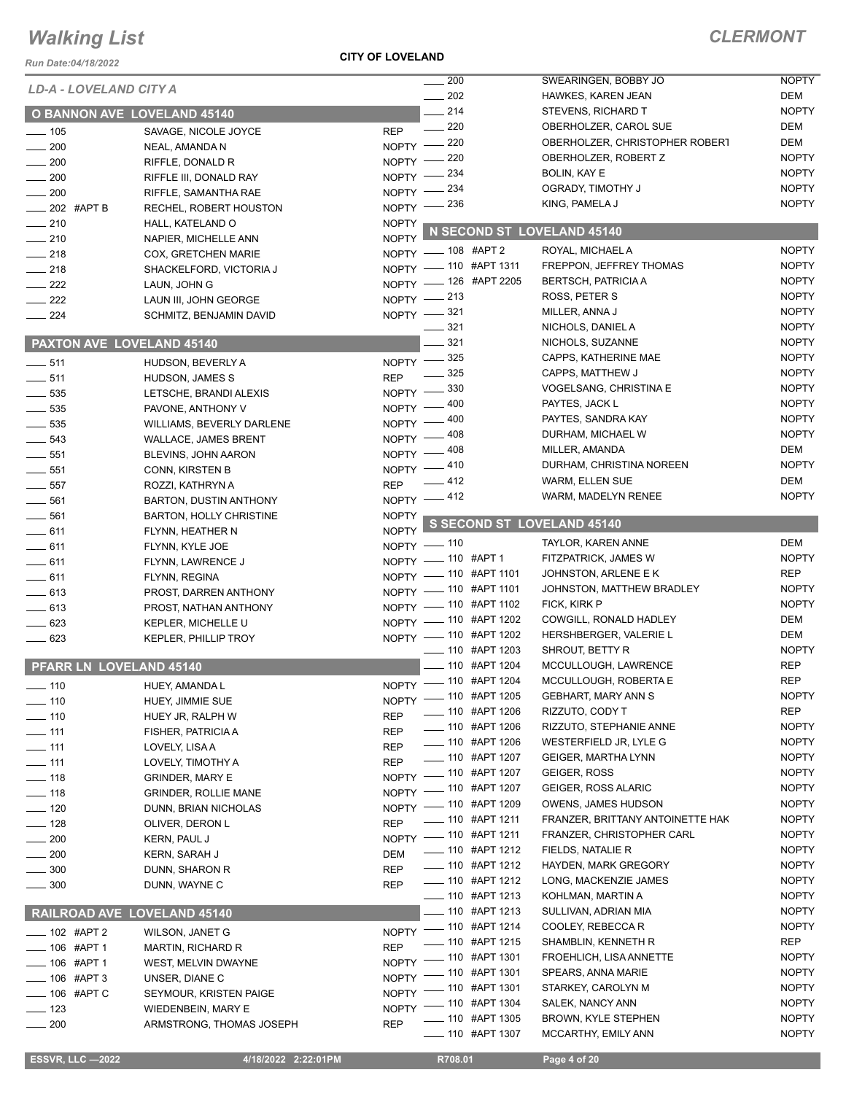#### *Run Date:04/18/2022*

#### **CITY OF LOVELAND**

## *CLERMONT*

| Run Date:04/18/2022           |                                             |              |                                                |                                                       |                              |
|-------------------------------|---------------------------------------------|--------------|------------------------------------------------|-------------------------------------------------------|------------------------------|
| <b>LD-A - LOVELAND CITY A</b> |                                             |              | $\frac{1}{200}$<br>202                         | SWEARINGEN, BOBBY JO<br>HAWKES, KAREN JEAN            | <b>NOPTY</b><br><b>DEM</b>   |
|                               | <b>O BANNON AVE LOVELAND 45140</b>          |              | $-214$                                         | STEVENS, RICHARD T                                    | <b>NOPTY</b>                 |
|                               |                                             | <b>REP</b>   | $\frac{1}{220}$                                | OBERHOLZER, CAROL SUE                                 | DEM                          |
| $\frac{1}{2}$ 105<br>200      | SAVAGE, NICOLE JOYCE                        | $NOPTY =$    | $-220$                                         | OBERHOLZER, CHRISTOPHER ROBERT                        | DEM                          |
| $\sim$ 200                    | NEAL, AMANDA N<br>RIFFLE, DONALD R          | $NOPTY$ –    | _ 220                                          | OBERHOLZER, ROBERT Z                                  | <b>NOPTY</b>                 |
| $\sim$ 200                    | RIFFLE III, DONALD RAY                      |              | NOPTY -234                                     | BOLIN, KAY E                                          | <b>NOPTY</b>                 |
| $\frac{1}{200}$               | RIFFLE, SAMANTHA RAE                        |              | NOPTY -234                                     | OGRADY, TIMOTHY J                                     | <b>NOPTY</b>                 |
| $-202$ #APT B                 | RECHEL, ROBERT HOUSTON                      |              | NOPTY $-$ 236                                  | KING, PAMELA J                                        | <b>NOPTY</b>                 |
| $-210$                        | HALL, KATELAND O                            | <b>NOPTY</b> |                                                |                                                       |                              |
| $-210$                        | NAPIER, MICHELLE ANN                        | <b>NOPTY</b> |                                                | N SECOND ST LOVELAND 45140                            |                              |
| $\frac{1}{218}$               | COX, GRETCHEN MARIE                         |              | NOPTY - 108 #APT 2                             | ROYAL, MICHAEL A                                      | <b>NOPTY</b>                 |
| $\frac{1}{218}$               | SHACKELFORD, VICTORIA J                     |              | NOPTY - 110 #APT 1311                          | FREPPON, JEFFREY THOMAS                               | <b>NOPTY</b>                 |
| $\frac{222}{2}$               | LAUN, JOHN G                                |              | NOPTY - 126 #APT 2205                          | <b>BERTSCH, PATRICIA A</b>                            | <b>NOPTY</b>                 |
| $\frac{222}{2}$               | LAUN III, JOHN GEORGE                       |              | NOPTY -213                                     | ROSS, PETER S                                         | <b>NOPTY</b>                 |
| $\frac{224}{ }$               | SCHMITZ, BENJAMIN DAVID                     |              | NOPTY -821                                     | MILLER, ANNA J                                        | <b>NOPTY</b>                 |
|                               |                                             |              | $- 321$                                        | NICHOLS, DANIEL A                                     | <b>NOPTY</b>                 |
| PAXTON AVE LOVELAND 45140     |                                             |              | 321                                            | NICHOLS, SUZANNE                                      | <b>NOPTY</b>                 |
| $\frac{1}{2}$ 511             | HUDSON, BEVERLY A                           |              | NOPTY -825                                     | CAPPS, KATHERINE MAE                                  | <b>NOPTY</b>                 |
| $\frac{1}{2}$ 511             | HUDSON, JAMES S                             | <b>REP</b>   | $\frac{1}{2}$ 325                              | CAPPS, MATTHEW J                                      | <b>NOPTY</b>                 |
| $\frac{1}{2}$ 535             | LETSCHE, BRANDI ALEXIS                      |              | NOPTY -830                                     | VOGELSANG, CHRISTINA E                                | <b>NOPTY</b>                 |
| $\frac{1}{2}$ 535             | PAVONE, ANTHONY V                           |              | NOPTY - 400                                    | PAYTES, JACK L                                        | <b>NOPTY</b>                 |
| $\frac{1}{2}$ 535             | WILLIAMS, BEVERLY DARLENE                   |              | NOPTY - 400                                    | PAYTES, SANDRA KAY                                    | <b>NOPTY</b>                 |
| $\frac{1}{2}$ 543             | <b>WALLACE, JAMES BRENT</b>                 | $N$ OPTY $-$ | - 408                                          | DURHAM, MICHAEL W                                     | <b>NOPTY</b>                 |
| $\frac{1}{2}$ 551             | BLEVINS, JOHN AARON                         | NOPTY -      | - 408                                          | MILLER, AMANDA                                        | DEM                          |
| $\frac{1}{2}$ 551             | CONN, KIRSTEN B                             | $NOPTY$ -    | _ 410                                          | DURHAM, CHRISTINA NOREEN                              | <b>NOPTY</b>                 |
| $\frac{1}{2}$ 557             | ROZZI, KATHRYN A                            | <b>REP</b>   | $-412$                                         | WARM, ELLEN SUE                                       | <b>DEM</b>                   |
| $- 561$                       | <b>BARTON, DUSTIN ANTHONY</b>               |              | NOPTY -412                                     | WARM, MADELYN RENEE                                   | <b>NOPTY</b>                 |
| $-561$                        | <b>BARTON, HOLLY CHRISTINE</b>              | <b>NOPTY</b> |                                                | NOPTY S SECOND ST LOVELAND 45140                      |                              |
| $\frac{1}{2}$ 611             | FLYNN, HEATHER N                            |              |                                                | TAYLOR, KAREN ANNE                                    | <b>DEM</b>                   |
| $-611$                        | FLYNN, KYLE JOE                             |              | NOPTY - 110<br>NOPTY - 110 #APT 1              | FITZPATRICK, JAMES W                                  | <b>NOPTY</b>                 |
| $-611$                        | FLYNN, LAWRENCE J                           |              | NOPTY - 110 #APT 1101                          | JOHNSTON, ARLENE E K                                  | REP                          |
| $-611$                        | FLYNN, REGINA                               |              | NOPTY - 110 #APT 1101                          | JOHNSTON, MATTHEW BRADLEY                             | <b>NOPTY</b>                 |
| $-613$<br>$\frac{1}{2}$ 613   | PROST, DARREN ANTHONY                       |              | NOPTY - 110 #APT 1102                          | FICK, KIRK P                                          | <b>NOPTY</b>                 |
| $\sim$ 623                    | PROST, NATHAN ANTHONY<br>KEPLER, MICHELLE U |              | NOPTY - 110 #APT 1202                          | COWGILL, RONALD HADLEY                                | DEM                          |
| $\sim$ 623                    | <b>KEPLER, PHILLIP TROY</b>                 |              | NOPTY - 110 #APT 1202                          | HERSHBERGER, VALERIE L                                | <b>DEM</b>                   |
|                               |                                             |              | ____ 110 #APT 1203                             | SHROUT, BETTY R                                       | <b>NOPTY</b>                 |
| PFARR LN LOVELAND 45140       |                                             |              | ___ 110 #APT 1204                              | MCCULLOUGH, LAWRENCE                                  | <b>REP</b>                   |
| $\frac{1}{10}$ 110            | HUEY, AMANDA L                              |              | NOPTY - 110 #APT 1204                          | MCCULLOUGH, ROBERTA E                                 | <b>REP</b>                   |
| $- 110$                       | HUEY, JIMMIE SUE                            |              | NOPTY - 110 #APT 1205                          | <b>GEBHART, MARY ANN S</b>                            | <b>NOPTY</b>                 |
| $- 110$                       | HUEY JR, RALPH W                            | <b>REP</b>   | - 110 #APT 1206                                | RIZZUTO, CODY T                                       | REP                          |
| $\frac{1}{111}$               | FISHER, PATRICIA A                          | <b>REP</b>   | -810 #APT 1206                                 | RIZZUTO, STEPHANIE ANNE                               | <b>NOPTY</b>                 |
| $-111$                        | LOVELY, LISA A                              | <b>REP</b>   | ___ 110 #APT 1206                              | WESTERFIELD JR, LYLE G                                | <b>NOPTY</b>                 |
| $-111$                        | LOVELY, TIMOTHY A                           | <b>REP</b>   | ____ 110 #APT 1207                             | <b>GEIGER, MARTHA LYNN</b>                            | <b>NOPTY</b>                 |
| $- 118$                       | <b>GRINDER, MARY E</b>                      |              | NOPTY - 110 #APT 1207                          | GEIGER, ROSS                                          | <b>NOPTY</b>                 |
| $- 118$                       | <b>GRINDER, ROLLIE MANE</b>                 |              | NOPTY - 110 #APT 1207                          | <b>GEIGER, ROSS ALARIC</b>                            | <b>NOPTY</b>                 |
| $- 120$                       | DUNN, BRIAN NICHOLAS                        |              | NOPTY - 110 #APT 1209                          | OWENS, JAMES HUDSON                                   | <b>NOPTY</b>                 |
| $-128$                        | OLIVER, DERON L                             | <b>REP</b>   | ___ 110 #APT 1211                              | FRANZER, BRITTANY ANTOINETTE HAK                      | <b>NOPTY</b>                 |
| $-200$                        | KERN, PAUL J                                |              | NOPTY - 110 #APT 1211                          | FRANZER, CHRISTOPHER CARL                             | <b>NOPTY</b>                 |
| 200                           | KERN, SARAH J                               | <b>DEM</b>   | ___ 110 #APT 1212                              | FIELDS, NATALIE R                                     | <b>NOPTY</b>                 |
| $\equiv$ 300                  | DUNN, SHARON R                              | REP          | ___ 110 #APT 1212                              | <b>HAYDEN, MARK GREGORY</b>                           | <b>NOPTY</b>                 |
| $\frac{1}{2}$ 300             | DUNN, WAYNE C                               | REP          | ___ 110 #APT 1212                              | LONG, MACKENZIE JAMES                                 | <b>NOPTY</b>                 |
|                               |                                             |              | __ 110 #APT 1213                               | KOHLMAN, MARTIN A                                     | <b>NOPTY</b>                 |
|                               | RAILROAD AVE LOVELAND 45140                 |              | ____ 110 #APT 1213                             | SULLIVAN, ADRIAN MIA<br>COOLEY, REBECCA R             | <b>NOPTY</b><br><b>NOPTY</b> |
| $- 102$ #APT 2                | <b>WILSON, JANET G</b>                      |              | NOPTY - 110 #APT 1214<br>-810 #APT 1215        |                                                       | REP                          |
| ____ 106 #APT 1               | <b>MARTIN, RICHARD R</b>                    | <b>REP</b>   |                                                | SHAMBLIN, KENNETH R<br><b>FROEHLICH, LISA ANNETTE</b> | <b>NOPTY</b>                 |
| $-$ 106 #APT 1                | WEST, MELVIN DWAYNE                         |              | NOPTY - 110 #APT 1301<br>NOPTY - 110 #APT 1301 | SPEARS, ANNA MARIE                                    | <b>NOPTY</b>                 |
| $\frac{1}{2}$ 106 #APT 3      | UNSER, DIANE C                              |              | NOPTY - 110 #APT 1301                          | STARKEY, CAROLYN M                                    | <b>NOPTY</b>                 |
| $\frac{1}{2}$ 106 #APT C      | SEYMOUR, KRISTEN PAIGE                      |              | NOPTY - 110 #APT 1304                          | SALEK, NANCY ANN                                      | <b>NOPTY</b>                 |
| $\frac{1}{2}$ 123             | WIEDENBEIN, MARY E                          |              | -010 #APT 1305                                 | BROWN, KYLE STEPHEN                                   | <b>NOPTY</b>                 |
| $\frac{1}{200}$               | ARMSTRONG, THOMAS JOSEPH                    | <b>REP</b>   | -810 #APT 1307                                 | MCCARTHY, EMILY ANN                                   | <b>NOPTY</b>                 |
|                               |                                             |              |                                                |                                                       |                              |

 **ESSVR, LLC —2022 4/18/2022 2:22:01PM R708.01 Page 4 of 20**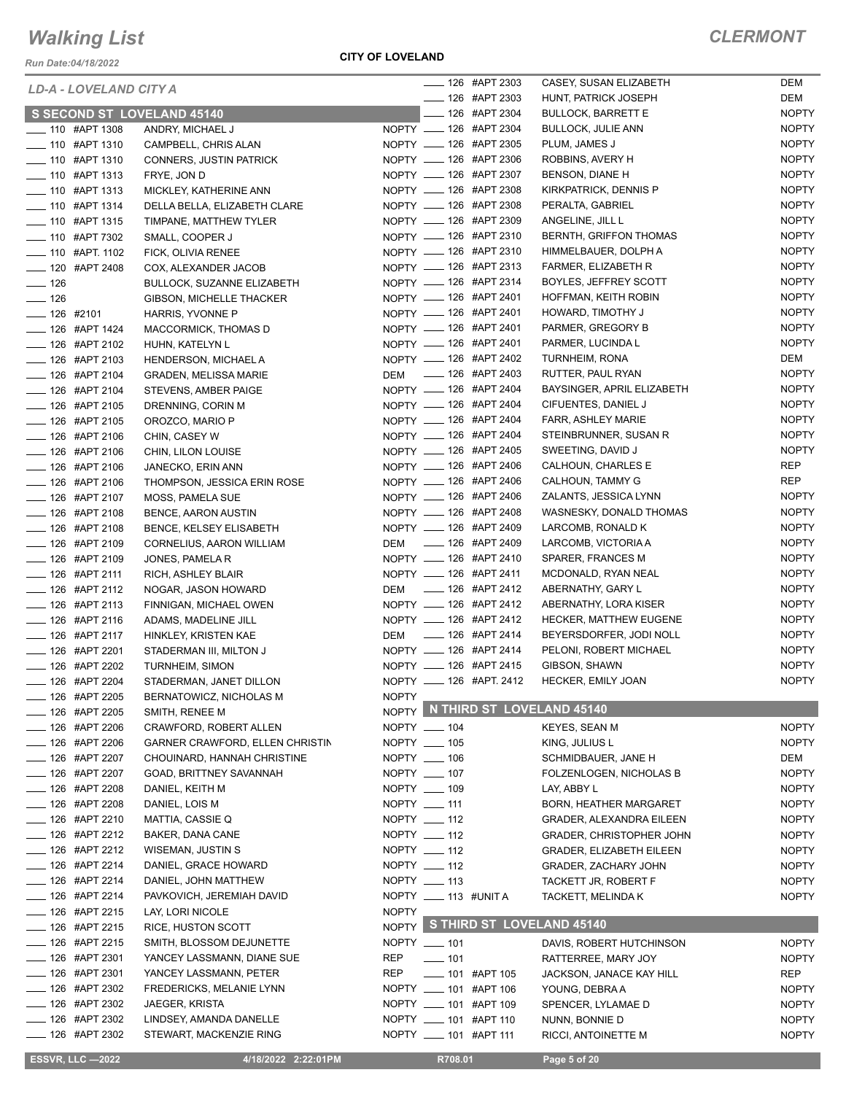*Run Date:04/18/2022*

#### **CITY OF LOVELAND**

| LD-A - LOVELAND CITY A      |                                        |                       |         | ____ 126 #APT 2303         | CASEY, SUSAN ELIZABETH          | DEM          |
|-----------------------------|----------------------------------------|-----------------------|---------|----------------------------|---------------------------------|--------------|
|                             |                                        |                       |         | ____ 126 #APT 2303         | HUNT, PATRICK JOSEPH            | DEM          |
| S SECOND ST LOVELAND 45140  |                                        |                       |         | ____ 126 #APT 2304         | <b>BULLOCK, BARRETT E</b>       | <b>NOPTY</b> |
| ___ 110 #APT 1308           | ANDRY, MICHAEL J                       |                       |         | NOPTY __ 126 #APT 2304     | <b>BULLOCK, JULIE ANN</b>       | <b>NOPTY</b> |
| -810 #APT 1310              | CAMPBELL, CHRIS ALAN                   |                       |         | NOPTY __ 126 #APT 2305     | PLUM, JAMES J                   | <b>NOPTY</b> |
| <b>____ 110 #APT 1310</b>   | CONNERS, JUSTIN PATRICK                |                       |         | NOPTY __ 126 #APT 2306     | ROBBINS, AVERY H                | <b>NOPTY</b> |
| $\frac{1}{2}$ 110 #APT 1313 | FRYE, JON D                            |                       |         | NOPTY __ 126 #APT 2307     | BENSON, DIANE H                 | <b>NOPTY</b> |
| <b>LEGGE 110 #APT 1313</b>  | MICKLEY, KATHERINE ANN                 |                       |         | NOPTY __ 126 #APT 2308     | KIRKPATRICK, DENNIS P           | <b>NOPTY</b> |
| $\frac{1}{2}$ 110 #APT 1314 | DELLA BELLA, ELIZABETH CLARE           |                       |         | NOPTY __ 126 #APT 2308     | PERALTA, GABRIEL                | <b>NOPTY</b> |
| - 110 #APT 1315             | TIMPANE, MATTHEW TYLER                 |                       |         | NOPTY __ 126 #APT 2309     | ANGELINE, JILL L                | <b>NOPTY</b> |
| <b>_____ 110 #APT 7302</b>  | SMALL, COOPER J                        |                       |         | NOPTY __ 126 #APT 2310     | BERNTH, GRIFFON THOMAS          | <b>NOPTY</b> |
| ____ 110 #APT. 1102         | FICK, OLIVIA RENEE                     |                       |         | NOPTY __ 126 #APT 2310     | HIMMELBAUER, DOLPH A            | <b>NOPTY</b> |
| -120 #APT 2408              | COX, ALEXANDER JACOB                   |                       |         | NOPTY __ 126 #APT 2313     | FARMER, ELIZABETH R             | <b>NOPTY</b> |
| $\frac{1}{2}$ 126           | <b>BULLOCK, SUZANNE ELIZABETH</b>      |                       |         | NOPTY __ 126 #APT 2314     | BOYLES, JEFFREY SCOTT           | <b>NOPTY</b> |
| $\frac{1}{2}$ 126           | <b>GIBSON, MICHELLE THACKER</b>        |                       |         | NOPTY __ 126 #APT 2401     | HOFFMAN, KEITH ROBIN            | <b>NOPTY</b> |
| $- 126$ #2101               | HARRIS, YVONNE P                       |                       |         | NOPTY __ 126 #APT 2401     | HOWARD, TIMOTHY J               | <b>NOPTY</b> |
| $\frac{1}{2}$ 126 #APT 1424 | MACCORMICK, THOMAS D                   |                       |         | NOPTY __ 126 #APT 2401     | PARMER, GREGORY B               | <b>NOPTY</b> |
| <b>LEGGE #APT 2102</b>      | HUHN, KATELYN L                        |                       |         | NOPTY __ 126 #APT 2401     | PARMER, LUCINDA L               | <b>NOPTY</b> |
| $\frac{1}{2}$ 126 #APT 2103 | HENDERSON, MICHAEL A                   |                       |         | NOPTY __ 126 #APT 2402     | TURNHEIM, RONA                  | DEM          |
| ____ 126 #APT 2104          | <b>GRADEN, MELISSA MARIE</b>           |                       |         | DEM __ 126 #APT 2403       | RUTTER, PAUL RYAN               | <b>NOPTY</b> |
| $\frac{1}{2}$ 126 #APT 2104 | STEVENS, AMBER PAIGE                   |                       |         | NOPTY __ 126 #APT 2404     | BAYSINGER, APRIL ELIZABETH      | <b>NOPTY</b> |
| $\frac{1}{2}$ 126 #APT 2105 | DRENNING, CORIN M                      |                       |         | NOPTY __ 126 #APT 2404     | CIFUENTES, DANIEL J             | <b>NOPTY</b> |
| <b>_____ 126 #APT 2105</b>  | OROZCO, MARIO P                        |                       |         | NOPTY __ 126 #APT 2404     | FARR, ASHLEY MARIE              | <b>NOPTY</b> |
| ___ 126 #APT 2106           | CHIN, CASEY W                          |                       |         | NOPTY __ 126 #APT 2404     | STEINBRUNNER, SUSAN R           | <b>NOPTY</b> |
| - 126 #APT 2106             | CHIN, LILON LOUISE                     |                       |         | NOPTY __ 126 #APT 2405     | SWEETING, DAVID J               | <b>NOPTY</b> |
| <b>_____ 126 #APT 2106</b>  | JANECKO, ERIN ANN                      |                       |         | NOPTY __ 126 #APT 2406     | CALHOUN, CHARLES E              | <b>REP</b>   |
| ___ 126 #APT 2106           | THOMPSON, JESSICA ERIN ROSE            |                       |         | NOPTY __ 126 #APT 2406     | CALHOUN, TAMMY G                | <b>REP</b>   |
| $\frac{1}{2}$ 126 #APT 2107 | MOSS, PAMELA SUE                       |                       |         | NOPTY __ 126 #APT 2406     | ZALANTS, JESSICA LYNN           | <b>NOPTY</b> |
| $\frac{1}{2}$ 126 #APT 2108 | <b>BENCE, AARON AUSTIN</b>             |                       |         | NOPTY __ 126 #APT 2408     | WASNESKY, DONALD THOMAS         | <b>NOPTY</b> |
| <b>LEGGE #APT 2108</b>      | <b>BENCE, KELSEY ELISABETH</b>         |                       |         | NOPTY __ 126 #APT 2409     | LARCOMB, RONALD K               | <b>NOPTY</b> |
| $\frac{1}{2}$ 126 #APT 2109 | CORNELIUS, AARON WILLIAM               |                       |         | DEM __ 126 #APT 2409       | LARCOMB, VICTORIA A             | <b>NOPTY</b> |
| ____ 126 #APT 2109          | JONES, PAMELA R                        |                       |         | NOPTY __ 126 #APT 2410     | SPARER, FRANCES M               | <b>NOPTY</b> |
| $\frac{1}{2}$ 126 #APT 2111 | RICH, ASHLEY BLAIR                     |                       |         | NOPTY __ 126 #APT 2411     | MCDONALD, RYAN NEAL             | <b>NOPTY</b> |
| $\frac{1}{2}$ 126 #APT 2112 | NOGAR, JASON HOWARD                    |                       |         | DEM __ 126 #APT 2412       | ABERNATHY, GARY L               | <b>NOPTY</b> |
| <b>LEGGE #APT 2113</b>      | FINNIGAN, MICHAEL OWEN                 |                       |         | NOPTY __ 126 #APT 2412     | ABERNATHY, LORA KISER           | <b>NOPTY</b> |
| <b>44PT 2116</b>            | ADAMS, MADELINE JILL                   |                       |         | NOPTY __ 126 #APT 2412     | HECKER, MATTHEW EUGENE          | <b>NOPTY</b> |
| __ 126 #APT 2117            | HINKLEY, KRISTEN KAE                   |                       |         | DEM __ 126 #APT 2414       | BEYERSDORFER, JODI NOLL         | <b>NOPTY</b> |
| -8 #APT 2201                | STADERMAN III, MILTON J                |                       |         | NOPTY __ 126 #APT 2414     | PELONI, ROBERT MICHAEL          | <b>NOPTY</b> |
| $\frac{1}{2}$ 126 #APT 2202 | TURNHEIM, SIMON                        |                       |         | NOPTY __ 126 #APT 2415     | GIBSON, SHAWN                   | <b>NOPTY</b> |
| ___ 126 #APT 2204           | STADERMAN, JANET DILLON                |                       |         | NOPTY __ 126 #APT. 2412    | HECKER, EMILY JOAN              | <b>NOPTY</b> |
| __ 126 #APT 2205            | BERNATOWICZ, NICHOLAS M                | NOPTY _               |         |                            |                                 |              |
| $\frac{1}{2}$ 126 #APT 2205 | SMITH, RENEE M                         |                       |         |                            | NOPTY N THIRD ST LOVELAND 45140 |              |
| ____ 126 #APT 2206          | CRAWFORD, ROBERT ALLEN                 | NOPTY __ 104          |         |                            | KEYES, SEAN M                   | <b>NOPTY</b> |
| $\frac{1}{2}$ 126 #APT 2206 | <b>GARNER CRAWFORD, ELLEN CHRISTIN</b> | NOPTY __ 105          |         |                            | KING, JULIUS L                  | <b>NOPTY</b> |
| ___ 126 #APT 2207           | CHOUINARD, HANNAH CHRISTINE            | NOPTY __ 106          |         |                            | SCHMIDBAUER, JANE H             | DEM          |
| ____ 126 #APT 2207          | GOAD, BRITTNEY SAVANNAH                | NOPTY __ 107          |         |                            | FOLZENLOGEN, NICHOLAS B         | <b>NOPTY</b> |
| _ 126 #APT 2208             | DANIEL, KEITH M                        | NOPTY __ 109          |         |                            | LAY, ABBY L                     | <b>NOPTY</b> |
| _ 126 #APT 2208             | DANIEL, LOIS M                         | NOPTY __ 111          |         |                            | <b>BORN, HEATHER MARGARET</b>   | <b>NOPTY</b> |
| ____ 126 #APT 2210          | MATTIA, CASSIE Q                       | NOPTY __ 112          |         |                            | <b>GRADER, ALEXANDRA EILEEN</b> | <b>NOPTY</b> |
| ____ 126 #APT 2212          | BAKER, DANA CANE                       | NOPTY __ 112          |         |                            | <b>GRADER, CHRISTOPHER JOHN</b> | <b>NOPTY</b> |
| $\frac{1}{2}$ 126 #APT 2212 | WISEMAN, JUSTIN S                      | NOPTY __ 112          |         |                            | <b>GRADER, ELIZABETH EILEEN</b> | <b>NOPTY</b> |
| $\frac{1}{2}$ 126 #APT 2214 | DANIEL, GRACE HOWARD                   | NOPTY __ 112          |         |                            | GRADER, ZACHARY JOHN            | <b>NOPTY</b> |
| ____ 126 #APT 2214          | DANIEL, JOHN MATTHEW                   | NOPTY __ 113          |         |                            | TACKETT JR, ROBERT F            | <b>NOPTY</b> |
| $\frac{1}{2}$ 126 #APT 2214 | PAVKOVICH, JEREMIAH DAVID              | NOPTY __ 113 #UNIT A  |         |                            | TACKETT, MELINDA K              | <b>NOPTY</b> |
| ____ 126 #APT 2215          | LAY, LORI NICOLE                       | <b>NOPTY</b>          |         |                            |                                 |              |
| ____ 126 #APT 2215          | RICE, HUSTON SCOTT                     |                       |         |                            | NOPTY S THIRD ST LOVELAND 45140 |              |
| $\frac{1}{2}$ 126 #APT 2215 | SMITH, BLOSSOM DEJUNETTE               | NOPTY __ 101          |         |                            | DAVIS, ROBERT HUTCHINSON        | <b>NOPTY</b> |
| $\frac{1}{26}$ #APT 2301    | YANCEY LASSMANN, DIANE SUE             | REP                   | $- 101$ |                            | RATTERREE, MARY JOY             | <b>NOPTY</b> |
| $\frac{1}{2}$ 126 #APT 2301 | YANCEY LASSMANN, PETER                 | REP                   |         | <b>______ 101 #APT 105</b> | JACKSON, JANACE KAY HILL        | REP          |
| ____ 126 #APT 2302          | FREDERICKS, MELANIE LYNN               | NOPTY __ 101 #APT 106 |         |                            | YOUNG, DEBRA A                  | <b>NOPTY</b> |
| _ 126 #APT 2302             | JAEGER, KRISTA                         | NOPTY __ 101 #APT 109 |         |                            | SPENCER, LYLAMAE D              | <b>NOPTY</b> |
| ____ 126 #APT 2302          |                                        |                       |         |                            |                                 | <b>NOPTY</b> |
|                             | LINDSEY, AMANDA DANELLE                |                       |         |                            |                                 |              |
| ____ 126 #APT 2302          | STEWART, MACKENZIE RING                |                       |         | NOPTY __ 101 #APT 110      | NUNN, BONNIE D                  |              |
| <b>ESSVR, LLC -2022</b>     | 4/18/2022 2:22:01PM                    | NOPTY __ 101 #APT 111 | R708.01 |                            | RICCI, ANTOINETTE M             | <b>NOPTY</b> |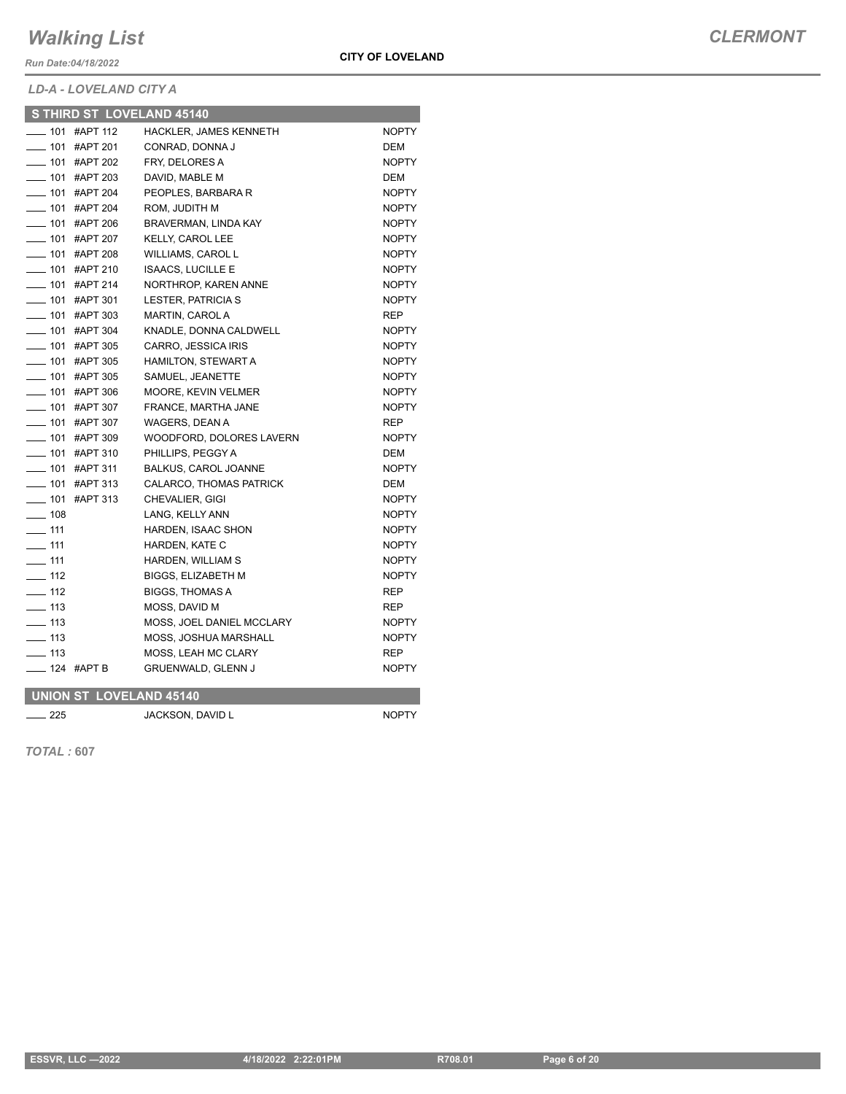*Run Date:04/18/2022*

**CITY OF LOVELAND**

*LD-A - LOVELAND CITY A*

| ____ 101 #APT 112<br>HACKLER, JAMES KENNETH<br><b>NOPTY</b><br>$- 101$<br>CONRAD, DONNA J<br>#APT 201<br><b>DEM</b><br>$\sim$ 101<br>#APT 202<br>FRY, DELORES A<br><b>NOPTY</b><br>$- 101$<br>#APT 203<br>DAVID, MABLE M<br><b>DEM</b><br>$- 101$<br>#APT 204<br>PEOPLES, BARBARA R<br><b>NOPTY</b><br>$- 101$<br>#APT 204<br>ROM, JUDITH M<br><b>NOPTY</b><br>$- 101$<br>#APT 206<br>BRAVERMAN, LINDA KAY<br><b>NOPTY</b><br>—— 101   #АРТ 207<br><b>KELLY, CAROL LEE</b><br><b>NOPTY</b><br>$- 101$<br>#APT 208<br><b>WILLIAMS, CAROL L</b><br><b>NOPTY</b><br>$-$ 101<br>#APT 210<br><b>ISAACS, LUCILLE E</b><br><b>NOPTY</b><br>$-101$<br>#APT 214<br>NORTHROP, KAREN ANNE<br><b>NOPTY</b><br>$-101$<br>#APT 301<br><b>LESTER, PATRICIA S</b><br><b>NOPTY</b><br>$- 101$<br>#APT 303<br><b>MARTIN, CAROL A</b><br><b>REP</b><br>$- 101$<br>#APT 304<br>KNADLE, DONNA CALDWELL<br><b>NOPTY</b><br>$- 101$<br>#APT 305<br>CARRO, JESSICA IRIS<br><b>NOPTY</b><br>$-$ 101<br>#APT 305<br>HAMILTON, STEWART A<br><b>NOPTY</b><br>$- 101$ #APT 305<br>SAMUEL, JEANETTE<br><b>NOPTY</b><br>$- 101$ #APT 306<br>MOORE, KEVIN VELMER<br><b>NOPTY</b><br>$- 101$<br>FRANCE, MARTHA JANE<br>#APT 307<br><b>NOPTY</b><br>$- 101$<br>#APT 307<br>WAGERS, DEAN A<br><b>REP</b><br>$\frac{1}{2}$ 101<br>#APT 309<br>WOODFORD, DOLORES LAVERN<br><b>NOPTY</b><br>$- 101$<br>PHILLIPS, PEGGY A<br>#APT 310<br><b>DEM</b><br>$- 101$<br><b>NOPTY</b><br>#APT 311<br><b>BALKUS, CAROL JOANNE</b><br>$- 101$<br>#APT 313<br>CALARCO, THOMAS PATRICK<br><b>DEM</b><br>$- 101$<br>#APT 313<br>CHEVALIER, GIGI<br><b>NOPTY</b><br>$\equiv$ 108<br>LANG, KELLY ANN<br><b>NOPTY</b><br>$-111$<br><b>HARDEN, ISAAC SHON</b><br><b>NOPTY</b><br>$\equiv$ 111<br>HARDEN, KATE C<br><b>NOPTY</b><br>$\overline{\phantom{0}}$ 111<br>HARDEN, WILLIAM S<br><b>NOPTY</b><br>$-112$<br><b>BIGGS, ELIZABETH M</b><br><b>NOPTY</b><br>$-112$<br><b>BIGGS, THOMAS A</b><br><b>REP</b><br>$\frac{1}{2}$ 113<br>MOSS, DAVID M<br><b>REP</b><br>$\equiv$ 113<br>MOSS, JOEL DANIEL MCCLARY<br><b>NOPTY</b><br>$\equiv$ 113<br><b>MOSS, JOSHUA MARSHALL</b><br><b>NOPTY</b><br>$\frac{1}{13}$<br><b>MOSS, LEAH MC CLARY</b><br><b>REP</b><br>$- 124$ #APT B<br><b>GRUENWALD, GLENN J</b><br><b>NOPTY</b><br><b>UNION ST LOVELAND 45140</b> | S THIRD ST LOVELAND 45140 |  |
|--------------------------------------------------------------------------------------------------------------------------------------------------------------------------------------------------------------------------------------------------------------------------------------------------------------------------------------------------------------------------------------------------------------------------------------------------------------------------------------------------------------------------------------------------------------------------------------------------------------------------------------------------------------------------------------------------------------------------------------------------------------------------------------------------------------------------------------------------------------------------------------------------------------------------------------------------------------------------------------------------------------------------------------------------------------------------------------------------------------------------------------------------------------------------------------------------------------------------------------------------------------------------------------------------------------------------------------------------------------------------------------------------------------------------------------------------------------------------------------------------------------------------------------------------------------------------------------------------------------------------------------------------------------------------------------------------------------------------------------------------------------------------------------------------------------------------------------------------------------------------------------------------------------------------------------------------------------------------------------------------------------------------------------------------------------------------------------------------------------------------------------------------------------------------------------------------------------------------------------------------------------------------------------------------------|---------------------------|--|
|                                                                                                                                                                                                                                                                                                                                                                                                                                                                                                                                                                                                                                                                                                                                                                                                                                                                                                                                                                                                                                                                                                                                                                                                                                                                                                                                                                                                                                                                                                                                                                                                                                                                                                                                                                                                                                                                                                                                                                                                                                                                                                                                                                                                                                                                                                        |                           |  |
|                                                                                                                                                                                                                                                                                                                                                                                                                                                                                                                                                                                                                                                                                                                                                                                                                                                                                                                                                                                                                                                                                                                                                                                                                                                                                                                                                                                                                                                                                                                                                                                                                                                                                                                                                                                                                                                                                                                                                                                                                                                                                                                                                                                                                                                                                                        |                           |  |
|                                                                                                                                                                                                                                                                                                                                                                                                                                                                                                                                                                                                                                                                                                                                                                                                                                                                                                                                                                                                                                                                                                                                                                                                                                                                                                                                                                                                                                                                                                                                                                                                                                                                                                                                                                                                                                                                                                                                                                                                                                                                                                                                                                                                                                                                                                        |                           |  |
|                                                                                                                                                                                                                                                                                                                                                                                                                                                                                                                                                                                                                                                                                                                                                                                                                                                                                                                                                                                                                                                                                                                                                                                                                                                                                                                                                                                                                                                                                                                                                                                                                                                                                                                                                                                                                                                                                                                                                                                                                                                                                                                                                                                                                                                                                                        |                           |  |
|                                                                                                                                                                                                                                                                                                                                                                                                                                                                                                                                                                                                                                                                                                                                                                                                                                                                                                                                                                                                                                                                                                                                                                                                                                                                                                                                                                                                                                                                                                                                                                                                                                                                                                                                                                                                                                                                                                                                                                                                                                                                                                                                                                                                                                                                                                        |                           |  |
|                                                                                                                                                                                                                                                                                                                                                                                                                                                                                                                                                                                                                                                                                                                                                                                                                                                                                                                                                                                                                                                                                                                                                                                                                                                                                                                                                                                                                                                                                                                                                                                                                                                                                                                                                                                                                                                                                                                                                                                                                                                                                                                                                                                                                                                                                                        |                           |  |
|                                                                                                                                                                                                                                                                                                                                                                                                                                                                                                                                                                                                                                                                                                                                                                                                                                                                                                                                                                                                                                                                                                                                                                                                                                                                                                                                                                                                                                                                                                                                                                                                                                                                                                                                                                                                                                                                                                                                                                                                                                                                                                                                                                                                                                                                                                        |                           |  |
|                                                                                                                                                                                                                                                                                                                                                                                                                                                                                                                                                                                                                                                                                                                                                                                                                                                                                                                                                                                                                                                                                                                                                                                                                                                                                                                                                                                                                                                                                                                                                                                                                                                                                                                                                                                                                                                                                                                                                                                                                                                                                                                                                                                                                                                                                                        |                           |  |
|                                                                                                                                                                                                                                                                                                                                                                                                                                                                                                                                                                                                                                                                                                                                                                                                                                                                                                                                                                                                                                                                                                                                                                                                                                                                                                                                                                                                                                                                                                                                                                                                                                                                                                                                                                                                                                                                                                                                                                                                                                                                                                                                                                                                                                                                                                        |                           |  |
|                                                                                                                                                                                                                                                                                                                                                                                                                                                                                                                                                                                                                                                                                                                                                                                                                                                                                                                                                                                                                                                                                                                                                                                                                                                                                                                                                                                                                                                                                                                                                                                                                                                                                                                                                                                                                                                                                                                                                                                                                                                                                                                                                                                                                                                                                                        |                           |  |
|                                                                                                                                                                                                                                                                                                                                                                                                                                                                                                                                                                                                                                                                                                                                                                                                                                                                                                                                                                                                                                                                                                                                                                                                                                                                                                                                                                                                                                                                                                                                                                                                                                                                                                                                                                                                                                                                                                                                                                                                                                                                                                                                                                                                                                                                                                        |                           |  |
|                                                                                                                                                                                                                                                                                                                                                                                                                                                                                                                                                                                                                                                                                                                                                                                                                                                                                                                                                                                                                                                                                                                                                                                                                                                                                                                                                                                                                                                                                                                                                                                                                                                                                                                                                                                                                                                                                                                                                                                                                                                                                                                                                                                                                                                                                                        |                           |  |
|                                                                                                                                                                                                                                                                                                                                                                                                                                                                                                                                                                                                                                                                                                                                                                                                                                                                                                                                                                                                                                                                                                                                                                                                                                                                                                                                                                                                                                                                                                                                                                                                                                                                                                                                                                                                                                                                                                                                                                                                                                                                                                                                                                                                                                                                                                        |                           |  |
|                                                                                                                                                                                                                                                                                                                                                                                                                                                                                                                                                                                                                                                                                                                                                                                                                                                                                                                                                                                                                                                                                                                                                                                                                                                                                                                                                                                                                                                                                                                                                                                                                                                                                                                                                                                                                                                                                                                                                                                                                                                                                                                                                                                                                                                                                                        |                           |  |
|                                                                                                                                                                                                                                                                                                                                                                                                                                                                                                                                                                                                                                                                                                                                                                                                                                                                                                                                                                                                                                                                                                                                                                                                                                                                                                                                                                                                                                                                                                                                                                                                                                                                                                                                                                                                                                                                                                                                                                                                                                                                                                                                                                                                                                                                                                        |                           |  |
|                                                                                                                                                                                                                                                                                                                                                                                                                                                                                                                                                                                                                                                                                                                                                                                                                                                                                                                                                                                                                                                                                                                                                                                                                                                                                                                                                                                                                                                                                                                                                                                                                                                                                                                                                                                                                                                                                                                                                                                                                                                                                                                                                                                                                                                                                                        |                           |  |
|                                                                                                                                                                                                                                                                                                                                                                                                                                                                                                                                                                                                                                                                                                                                                                                                                                                                                                                                                                                                                                                                                                                                                                                                                                                                                                                                                                                                                                                                                                                                                                                                                                                                                                                                                                                                                                                                                                                                                                                                                                                                                                                                                                                                                                                                                                        |                           |  |
|                                                                                                                                                                                                                                                                                                                                                                                                                                                                                                                                                                                                                                                                                                                                                                                                                                                                                                                                                                                                                                                                                                                                                                                                                                                                                                                                                                                                                                                                                                                                                                                                                                                                                                                                                                                                                                                                                                                                                                                                                                                                                                                                                                                                                                                                                                        |                           |  |
|                                                                                                                                                                                                                                                                                                                                                                                                                                                                                                                                                                                                                                                                                                                                                                                                                                                                                                                                                                                                                                                                                                                                                                                                                                                                                                                                                                                                                                                                                                                                                                                                                                                                                                                                                                                                                                                                                                                                                                                                                                                                                                                                                                                                                                                                                                        |                           |  |
|                                                                                                                                                                                                                                                                                                                                                                                                                                                                                                                                                                                                                                                                                                                                                                                                                                                                                                                                                                                                                                                                                                                                                                                                                                                                                                                                                                                                                                                                                                                                                                                                                                                                                                                                                                                                                                                                                                                                                                                                                                                                                                                                                                                                                                                                                                        |                           |  |
|                                                                                                                                                                                                                                                                                                                                                                                                                                                                                                                                                                                                                                                                                                                                                                                                                                                                                                                                                                                                                                                                                                                                                                                                                                                                                                                                                                                                                                                                                                                                                                                                                                                                                                                                                                                                                                                                                                                                                                                                                                                                                                                                                                                                                                                                                                        |                           |  |
|                                                                                                                                                                                                                                                                                                                                                                                                                                                                                                                                                                                                                                                                                                                                                                                                                                                                                                                                                                                                                                                                                                                                                                                                                                                                                                                                                                                                                                                                                                                                                                                                                                                                                                                                                                                                                                                                                                                                                                                                                                                                                                                                                                                                                                                                                                        |                           |  |
|                                                                                                                                                                                                                                                                                                                                                                                                                                                                                                                                                                                                                                                                                                                                                                                                                                                                                                                                                                                                                                                                                                                                                                                                                                                                                                                                                                                                                                                                                                                                                                                                                                                                                                                                                                                                                                                                                                                                                                                                                                                                                                                                                                                                                                                                                                        |                           |  |
|                                                                                                                                                                                                                                                                                                                                                                                                                                                                                                                                                                                                                                                                                                                                                                                                                                                                                                                                                                                                                                                                                                                                                                                                                                                                                                                                                                                                                                                                                                                                                                                                                                                                                                                                                                                                                                                                                                                                                                                                                                                                                                                                                                                                                                                                                                        |                           |  |
|                                                                                                                                                                                                                                                                                                                                                                                                                                                                                                                                                                                                                                                                                                                                                                                                                                                                                                                                                                                                                                                                                                                                                                                                                                                                                                                                                                                                                                                                                                                                                                                                                                                                                                                                                                                                                                                                                                                                                                                                                                                                                                                                                                                                                                                                                                        |                           |  |
|                                                                                                                                                                                                                                                                                                                                                                                                                                                                                                                                                                                                                                                                                                                                                                                                                                                                                                                                                                                                                                                                                                                                                                                                                                                                                                                                                                                                                                                                                                                                                                                                                                                                                                                                                                                                                                                                                                                                                                                                                                                                                                                                                                                                                                                                                                        |                           |  |
|                                                                                                                                                                                                                                                                                                                                                                                                                                                                                                                                                                                                                                                                                                                                                                                                                                                                                                                                                                                                                                                                                                                                                                                                                                                                                                                                                                                                                                                                                                                                                                                                                                                                                                                                                                                                                                                                                                                                                                                                                                                                                                                                                                                                                                                                                                        |                           |  |
|                                                                                                                                                                                                                                                                                                                                                                                                                                                                                                                                                                                                                                                                                                                                                                                                                                                                                                                                                                                                                                                                                                                                                                                                                                                                                                                                                                                                                                                                                                                                                                                                                                                                                                                                                                                                                                                                                                                                                                                                                                                                                                                                                                                                                                                                                                        |                           |  |
|                                                                                                                                                                                                                                                                                                                                                                                                                                                                                                                                                                                                                                                                                                                                                                                                                                                                                                                                                                                                                                                                                                                                                                                                                                                                                                                                                                                                                                                                                                                                                                                                                                                                                                                                                                                                                                                                                                                                                                                                                                                                                                                                                                                                                                                                                                        |                           |  |
|                                                                                                                                                                                                                                                                                                                                                                                                                                                                                                                                                                                                                                                                                                                                                                                                                                                                                                                                                                                                                                                                                                                                                                                                                                                                                                                                                                                                                                                                                                                                                                                                                                                                                                                                                                                                                                                                                                                                                                                                                                                                                                                                                                                                                                                                                                        |                           |  |
|                                                                                                                                                                                                                                                                                                                                                                                                                                                                                                                                                                                                                                                                                                                                                                                                                                                                                                                                                                                                                                                                                                                                                                                                                                                                                                                                                                                                                                                                                                                                                                                                                                                                                                                                                                                                                                                                                                                                                                                                                                                                                                                                                                                                                                                                                                        |                           |  |
|                                                                                                                                                                                                                                                                                                                                                                                                                                                                                                                                                                                                                                                                                                                                                                                                                                                                                                                                                                                                                                                                                                                                                                                                                                                                                                                                                                                                                                                                                                                                                                                                                                                                                                                                                                                                                                                                                                                                                                                                                                                                                                                                                                                                                                                                                                        |                           |  |
|                                                                                                                                                                                                                                                                                                                                                                                                                                                                                                                                                                                                                                                                                                                                                                                                                                                                                                                                                                                                                                                                                                                                                                                                                                                                                                                                                                                                                                                                                                                                                                                                                                                                                                                                                                                                                                                                                                                                                                                                                                                                                                                                                                                                                                                                                                        |                           |  |
|                                                                                                                                                                                                                                                                                                                                                                                                                                                                                                                                                                                                                                                                                                                                                                                                                                                                                                                                                                                                                                                                                                                                                                                                                                                                                                                                                                                                                                                                                                                                                                                                                                                                                                                                                                                                                                                                                                                                                                                                                                                                                                                                                                                                                                                                                                        |                           |  |
|                                                                                                                                                                                                                                                                                                                                                                                                                                                                                                                                                                                                                                                                                                                                                                                                                                                                                                                                                                                                                                                                                                                                                                                                                                                                                                                                                                                                                                                                                                                                                                                                                                                                                                                                                                                                                                                                                                                                                                                                                                                                                                                                                                                                                                                                                                        |                           |  |
|                                                                                                                                                                                                                                                                                                                                                                                                                                                                                                                                                                                                                                                                                                                                                                                                                                                                                                                                                                                                                                                                                                                                                                                                                                                                                                                                                                                                                                                                                                                                                                                                                                                                                                                                                                                                                                                                                                                                                                                                                                                                                                                                                                                                                                                                                                        |                           |  |
|                                                                                                                                                                                                                                                                                                                                                                                                                                                                                                                                                                                                                                                                                                                                                                                                                                                                                                                                                                                                                                                                                                                                                                                                                                                                                                                                                                                                                                                                                                                                                                                                                                                                                                                                                                                                                                                                                                                                                                                                                                                                                                                                                                                                                                                                                                        |                           |  |

**225** JACKSON, DAVID L NOPTY

*TOTAL :* **607**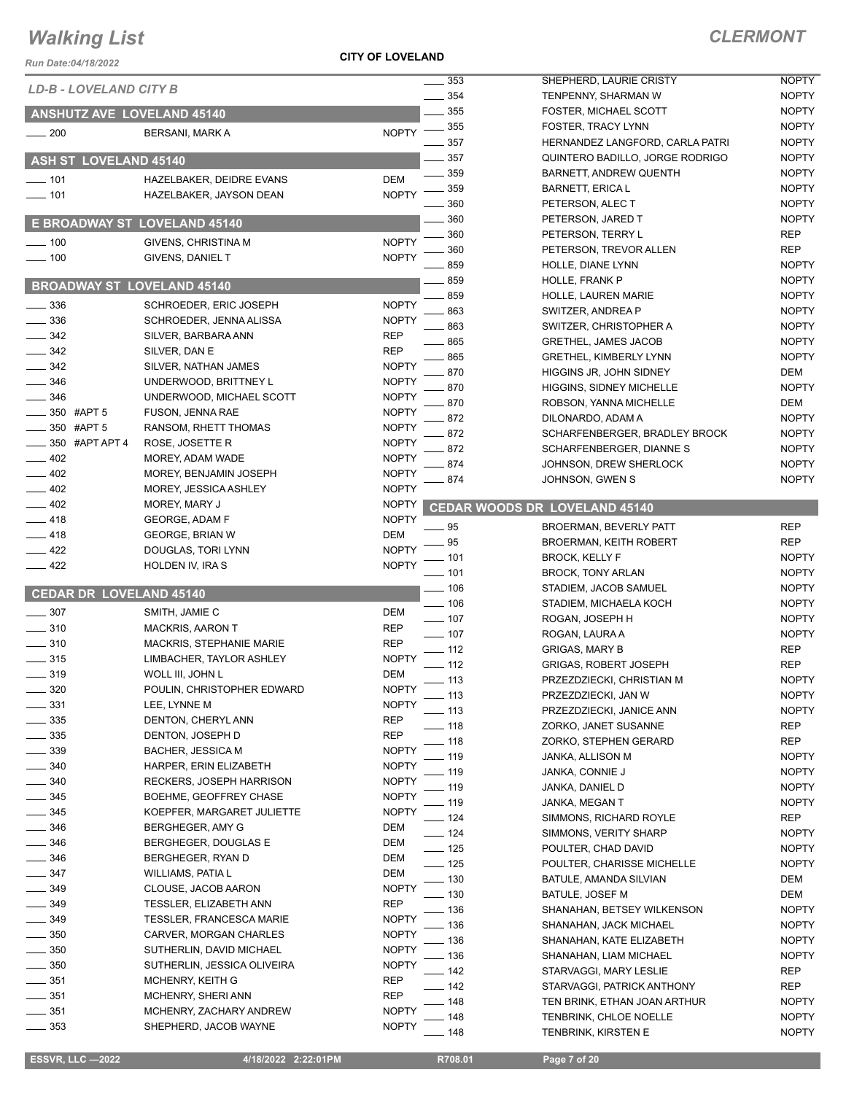**CITY OF LOVELAND**

| Run Date:04/18/2022               |                                                | I VI LUVLLAINU               |                   |                                                                    |                              |
|-----------------------------------|------------------------------------------------|------------------------------|-------------------|--------------------------------------------------------------------|------------------------------|
| LD-B - LOVELAND CITY B            |                                                |                              | 353               | SHEPHERD, LAURIE CRISTY                                            | <b>NOPTY</b>                 |
|                                   |                                                |                              | 354               | TENPENNY, SHARMAN W                                                | <b>NOPTY</b>                 |
| ANSHUTZ AVE LOVELAND 45140        |                                                |                              | 355               | <b>FOSTER, MICHAEL SCOTT</b>                                       | <b>NOPTY</b>                 |
| $-200$                            | <b>BERSANI, MARK A</b>                         | <b>NOPTY</b>                 | 355               | <b>FOSTER, TRACY LYNN</b>                                          | <b>NOPTY</b>                 |
|                                   |                                                |                              | 357<br>357        | HERNANDEZ LANGFORD, CARLA PATRI<br>QUINTERO BADILLO, JORGE RODRIGO | <b>NOPTY</b><br><b>NOPTY</b> |
| <b>ASH ST LOVELAND 45140</b>      |                                                |                              | 359               | BARNETT, ANDREW QUENTH                                             | <b>NOPTY</b>                 |
| $- 101$                           | HAZELBAKER, DEIDRE EVANS                       | <b>DEM</b>                   | 359               | <b>BARNETT, ERICA L</b>                                            | <b>NOPTY</b>                 |
| $- 101$                           | HAZELBAKER, JAYSON DEAN                        | <b>NOPTY</b>                 | 360               | PETERSON, ALEC T                                                   | <b>NOPTY</b>                 |
|                                   |                                                |                              | 360               | PETERSON, JARED T                                                  | <b>NOPTY</b>                 |
| E BROADWAY ST LOVELAND 45140      |                                                |                              | 360               | PETERSON, TERRY L                                                  | <b>REP</b>                   |
| $=$ 100                           | <b>GIVENS, CHRISTINA M</b>                     | <b>NOPTY</b>                 | 360               | PETERSON, TREVOR ALLEN                                             | <b>REP</b>                   |
| $- 100$                           | GIVENS, DANIEL T                               | <b>NOPTY</b>                 | 859               | HOLLE, DIANE LYNN                                                  | <b>NOPTY</b>                 |
| <b>BROADWAY ST LOVELAND 45140</b> |                                                |                              | 859               | HOLLE, FRANK P                                                     | <b>NOPTY</b>                 |
|                                   |                                                |                              | 859               | <b>HOLLE, LAUREN MARIE</b>                                         | <b>NOPTY</b>                 |
| 336<br>$\frac{1}{2}$ 336          | SCHROEDER, ERIC JOSEPH                         | <b>NOPTY</b><br><b>NOPTY</b> | 863               | SWITZER, ANDREA P                                                  | <b>NOPTY</b>                 |
| 342                               | SCHROEDER, JENNA ALISSA<br>SILVER, BARBARA ANN | <b>REP</b>                   | 863               | SWITZER, CHRISTOPHER A                                             | <b>NOPTY</b>                 |
| 342                               | SILVER, DAN E                                  | <b>REP</b>                   | 865               | <b>GRETHEL, JAMES JACOB</b>                                        | <b>NOPTY</b>                 |
| 342                               | SILVER, NATHAN JAMES                           | <b>NOPTY</b>                 | 865               | <b>GRETHEL, KIMBERLY LYNN</b>                                      | <b>NOPTY</b>                 |
| 346                               | UNDERWOOD, BRITTNEY L                          | <b>NOPTY</b>                 | 870               | HIGGINS JR, JOHN SIDNEY                                            | DEM                          |
| 346                               | UNDERWOOD, MICHAEL SCOTT                       | <b>NOPTY</b>                 | 870               | <b>HIGGINS, SIDNEY MICHELLE</b>                                    | <b>NOPTY</b>                 |
| 350 #APT 5                        | FUSON, JENNA RAE                               | <b>NOPTY</b>                 | 870               | ROBSON, YANNA MICHELLE                                             | DEM                          |
| 350 #APT 5                        | RANSOM, RHETT THOMAS                           | <b>NOPTY</b>                 | 872               | DILONARDO, ADAM A                                                  | <b>NOPTY</b>                 |
| 350 #APT APT 4                    | ROSE, JOSETTE R                                | <b>NOPTY</b>                 | 872<br>872        | SCHARFENBERGER, BRADLEY BROCK<br>SCHARFENBERGER, DIANNE S          | <b>NOPTY</b><br><b>NOPTY</b> |
| 402                               | MOREY, ADAM WADE                               | <b>NOPTY</b>                 | 874               | JOHNSON, DREW SHERLOCK                                             | <b>NOPTY</b>                 |
| $-402$                            | MOREY, BENJAMIN JOSEPH                         | <b>NOPTY</b>                 | 874               | JOHNSON, GWEN S                                                    | <b>NOPTY</b>                 |
| $-402$                            | MOREY, JESSICA ASHLEY                          | <b>NOPTY</b>                 |                   |                                                                    |                              |
| $\frac{1}{2}$ 402                 | MOREY, MARY J                                  | <b>NOPTY</b>                 |                   | CEDAR WOODS DR LOVELAND 45140                                      |                              |
| $-418$                            | GEORGE, ADAM F                                 | <b>NOPTY</b>                 | 95                | <b>BROERMAN, BEVERLY PATT</b>                                      | <b>REP</b>                   |
| $-418$                            | <b>GEORGE, BRIAN W</b>                         | <b>DEM</b>                   | 95                | <b>BROERMAN, KEITH ROBERT</b>                                      | <b>REP</b>                   |
| $-422$                            | DOUGLAS, TORI LYNN                             | <b>NOPTY</b>                 | $-101$            | <b>BROCK, KELLY F</b>                                              | <b>NOPTY</b>                 |
| $-422$                            | HOLDEN IV, IRA S                               | <b>NOPTY</b>                 | - 101             | <b>BROCK, TONY ARLAN</b>                                           | <b>NOPTY</b>                 |
| <b>CEDAR DR LOVELAND 45140</b>    |                                                |                              | $-106$            | STADIEM, JACOB SAMUEL                                              | <b>NOPTY</b>                 |
| 307                               | SMITH, JAMIE C                                 | <b>DEM</b>                   | $-106$            | STADIEM, MICHAELA KOCH                                             | <b>NOPTY</b>                 |
| $-310$                            | <b>MACKRIS, AARON T</b>                        | <b>REP</b>                   | $- 107$           | ROGAN, JOSEPH H                                                    | <b>NOPTY</b>                 |
| $\frac{1}{2}$ 310                 | MACKRIS, STEPHANIE MARIE                       | <b>REP</b>                   | $- 107$           | ROGAN, LAURA A                                                     | <b>NOPTY</b>                 |
| $\frac{1}{2}$ 315                 | LIMBACHER, TAYLOR ASHLEY                       | <b>NOPTY</b>                 | $-112$            | <b>GRIGAS, MARY B</b>                                              | <b>REP</b>                   |
| _ 319                             | WOLL III, JOHN L                               | <b>DEM</b>                   | $-112$            | <b>GRIGAS, ROBERT JOSEPH</b>                                       | <b>REP</b>                   |
| $-320$                            | POULIN, CHRISTOPHER EDWARD                     | <b>NOPTY</b>                 | $-113$            | PRZEZDZIECKI, CHRISTIAN M                                          | <b>NOPTY</b>                 |
| 331                               | LEE, LYNNE M                                   | <b>NOPTY</b>                 | $-113$<br>$-113$  | PRZEZDZIECKI, JAN W<br>PRZEZDZIECKI, JANICE ANN                    | <b>NOPTY</b><br><b>NOPTY</b> |
| 335                               | DENTON, CHERYL ANN                             | <b>REP</b>                   | $-118$            | ZORKO, JANET SUSANNE                                               | REP                          |
| 335                               | DENTON, JOSEPH D                               | <b>REP</b>                   | _ 118             | ZORKO, STEPHEN GERARD                                              | REP                          |
| $-339$                            | <b>BACHER, JESSICA M</b>                       | <b>NOPTY</b>                 | . 119             | JANKA, ALLISON M                                                   | <b>NOPTY</b>                 |
| 340                               | HARPER, ERIN ELIZABETH                         | <b>NOPTY</b>                 | . 119             | JANKA, CONNIE J                                                    | <b>NOPTY</b>                 |
| 340                               | RECKERS, JOSEPH HARRISON                       | <b>NOPTY</b>                 | . 119             | JANKA, DANIEL D                                                    | <b>NOPTY</b>                 |
| $\frac{1}{2}$ 345                 | BOEHME, GEOFFREY CHASE                         | <b>NOPTY</b>                 | _ 119             | JANKA, MEGAN T                                                     | <b>NOPTY</b>                 |
| $-345$                            | KOEPFER, MARGARET JULIETTE                     | <b>NOPTY</b>                 | $-124$            | SIMMONS, RICHARD ROYLE                                             | REP                          |
| $\frac{1}{2}$ 346                 | BERGHEGER, AMY G                               | DEM                          | $-124$            | SIMMONS, VERITY SHARP                                              | <b>NOPTY</b>                 |
| $\frac{1}{2}$ 346                 | BERGHEGER, DOUGLAS E                           | DEM                          | $\frac{1}{2}$ 125 | POULTER, CHAD DAVID                                                | <b>NOPTY</b>                 |
| __ 346                            | BERGHEGER, RYAN D                              | DEM                          | $-125$            | POULTER, CHARISSE MICHELLE                                         | <b>NOPTY</b>                 |
| $\frac{1}{2}$ 347<br>349          | WILLIAMS, PATIA L                              | DEM<br><b>NOPTY</b>          | _ 130             | BATULE, AMANDA SILVIAN                                             | DEM                          |
| $-349$                            | CLOUSE, JACOB AARON<br>TESSLER, ELIZABETH ANN  | <b>REP</b>                   | . 130             | BATULE, JOSEF M                                                    | DEM                          |
| 349                               | <b>TESSLER, FRANCESCA MARIE</b>                | <b>NOPTY</b>                 | . 136             | SHANAHAN, BETSEY WILKENSON                                         | <b>NOPTY</b>                 |
| 350                               | CARVER, MORGAN CHARLES                         | <b>NOPTY</b>                 | . 136             | SHANAHAN, JACK MICHAEL                                             | <b>NOPTY</b>                 |
| $=$ 350                           | SUTHERLIN, DAVID MICHAEL                       | <b>NOPTY</b>                 | . 136             | SHANAHAN, KATE ELIZABETH                                           | <b>NOPTY</b>                 |
| $\frac{1}{2}$ 350                 | SUTHERLIN, JESSICA OLIVEIRA                    | <b>NOPTY</b>                 | - 136             | SHANAHAN, LIAM MICHAEL                                             | <b>NOPTY</b>                 |
| $\frac{1}{2}$ 351                 | MCHENRY, KEITH G                               | <b>REP</b>                   | $-142$            | STARVAGGI, MARY LESLIE                                             | <b>REP</b>                   |
| $\frac{1}{2}$ 351                 | MCHENRY, SHERI ANN                             | <b>REP</b>                   | $-142$<br>148     | STARVAGGI, PATRICK ANTHONY<br>TEN BRINK, ETHAN JOAN ARTHUR         | REP<br><b>NOPTY</b>          |
| $-351$                            | MCHENRY, ZACHARY ANDREW                        | <b>NOPTY</b>                 | 148               | TENBRINK, CHLOE NOELLE                                             | <b>NOPTY</b>                 |
| $\frac{1}{2}$ 353                 | SHEPHERD, JACOB WAYNE                          | <b>NOPTY</b>                 | 148               | TENBRINK, KIRSTEN E                                                | <b>NOPTY</b>                 |
|                                   |                                                |                              |                   |                                                                    |                              |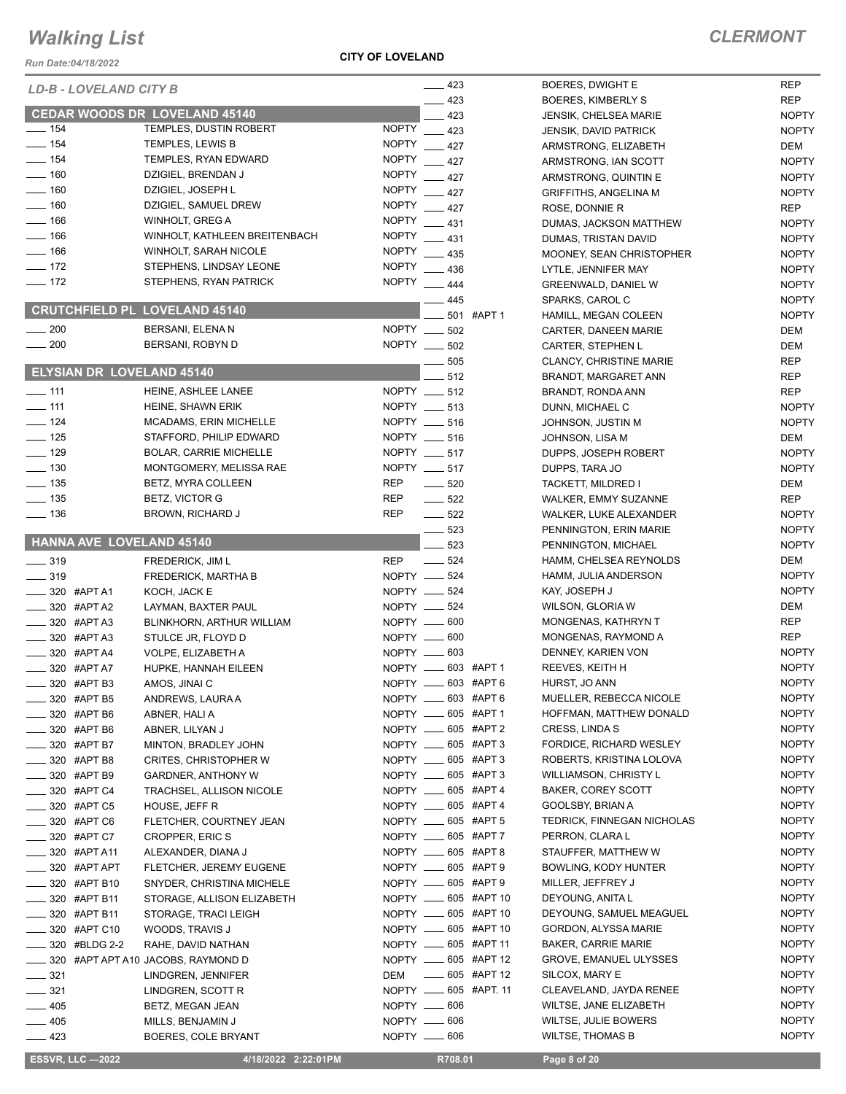#### **CITY OF LOVELAND**

### *CLERMONT*

NOPTY

| <b>Run Date:04/18/2022</b>                             |                                          |                                   |                                              |                     |
|--------------------------------------------------------|------------------------------------------|-----------------------------------|----------------------------------------------|---------------------|
| LD-B - LOVELAND CITY B                                 |                                          | $\frac{1}{2}$ 423                 | BOERES, DWIGHT E                             | <b>REP</b>          |
|                                                        | <b>CEDAR WOODS DR LOVELAND 45140</b>     | 423                               | BOERES, KIMBERLY S                           | <b>REP</b>          |
| $- 154$                                                | TEMPLES, DUSTIN ROBERT                   | 423<br>$\overline{N}$ OPTY __ 423 | <b>JENSIK, CHELSEA MARIE</b>                 | <b>NOPTY</b>        |
| $- 154$                                                | TEMPLES, LEWIS B                         | NOPTY __ 427                      | <b>JENSIK, DAVID PATRICK</b>                 | <b>NOPTY</b>        |
| $\frac{1}{2}$ 154                                      | TEMPLES, RYAN EDWARD                     | NOPTY __ 427                      | ARMSTRONG, ELIZABETH                         | DEM<br><b>NOPTY</b> |
| $- 160$                                                | DZIGIEL, BRENDAN J                       | <b>NOPTY</b><br>$-427$            | ARMSTRONG, IAN SCOTT<br>ARMSTRONG, QUINTIN E | <b>NOPTY</b>        |
| $\frac{1}{160}$                                        | DZIGIEL, JOSEPH L                        | <b>NOPTY</b><br>$-427$            | <b>GRIFFITHS, ANGELINA M</b>                 | <b>NOPTY</b>        |
| $- 160$                                                | DZIGIEL, SAMUEL DREW                     | NOPTY __ 427                      | ROSE, DONNIE R                               | <b>REP</b>          |
| $- 166$                                                | WINHOLT, GREG A                          | NOPTY __ 431                      | DUMAS, JACKSON MATTHEW                       | <b>NOPTY</b>        |
| $\frac{1}{166}$                                        | WINHOLT, KATHLEEN BREITENBACH            | NOPTY __ 431                      | DUMAS, TRISTAN DAVID                         | <b>NOPTY</b>        |
| $\frac{1}{166}$                                        | WINHOLT, SARAH NICOLE                    | NOPTY __ 435                      | MOONEY, SEAN CHRISTOPHER                     | <b>NOPTY</b>        |
| $\frac{1}{2}$ 172                                      | STEPHENS, LINDSAY LEONE                  | NOPTY __ 436                      | LYTLE, JENNIFER MAY                          | <b>NOPTY</b>        |
| $\frac{1}{2}$ 172                                      | STEPHENS, RYAN PATRICK                   | NOPTY __ 444                      | <b>GREENWALD, DANIEL W</b>                   | <b>NOPTY</b>        |
|                                                        |                                          | 445                               | SPARKS, CAROL C                              | <b>NOPTY</b>        |
|                                                        | <b>CRUTCHFIELD PL LOVELAND 45140</b>     | 501 #APT 1                        | HAMILL, MEGAN COLEEN                         | <b>NOPTY</b>        |
| $\sim$ 200                                             | BERSANI, ELENA N                         | NOPTY __<br>502                   | CARTER, DANEEN MARIE                         | DEM                 |
| $\frac{1}{200}$                                        | BERSANI, ROBYN D                         | NOPTY __ 502                      | CARTER, STEPHEN L                            | DEM                 |
|                                                        |                                          | 505                               | <b>CLANCY, CHRISTINE MARIE</b>               | <b>REP</b>          |
| <b>ELYSIAN DR LOVELAND 45140</b>                       |                                          | 512                               | BRANDT, MARGARET ANN                         | <b>REP</b>          |
| $-111$                                                 | HEINE, ASHLEE LANEE                      | NOPTY ____ 512                    | BRANDT, RONDA ANN                            | <b>REP</b>          |
| $\frac{1}{2}$ 111                                      | HEINE, SHAWN ERIK                        | NOPTY ____ 513                    | DUNN, MICHAEL C                              | <b>NOPTY</b>        |
| $\frac{1}{2}$ 124                                      | <b>MCADAMS, ERIN MICHELLE</b>            | NOPTY __ 516                      | JOHNSON, JUSTIN M                            | <b>NOPTY</b>        |
| $- 125$                                                | STAFFORD. PHILIP EDWARD                  | NOPTY __ 516                      | JOHNSON, LISA M                              | <b>DEM</b>          |
| $\frac{1}{2}$ 129                                      | <b>BOLAR, CARRIE MICHELLE</b>            | NOPTY __ 517                      | DUPPS, JOSEPH ROBERT                         | <b>NOPTY</b>        |
| $\frac{1}{2}$ 130                                      | MONTGOMERY, MELISSA RAE                  | NOPTY __ 517                      | DUPPS, TARA JO                               | <b>NOPTY</b>        |
| $\frac{1}{2}$ 135                                      | BETZ, MYRA COLLEEN                       | <b>REP</b><br>520                 | TACKETT, MILDRED I                           | DEM                 |
| $\frac{1}{2}$ 135                                      | BETZ, VICTOR G                           | <b>REP</b><br>$\frac{1}{2}$ 522   | WALKER, EMMY SUZANNE                         | <b>REP</b>          |
| $\frac{1}{2}$ 136                                      | <b>BROWN, RICHARD J</b>                  | <b>REP</b><br>$\frac{1}{2}$ 522   | WALKER, LUKE ALEXANDER                       | <b>NOPTY</b>        |
| HANNA AVE LOVELAND 45140                               |                                          | $- 523$                           | PENNINGTON, ERIN MARIE                       | <b>NOPTY</b>        |
|                                                        |                                          | 523                               | PENNINGTON, MICHAEL                          | <b>NOPTY</b>        |
| $\frac{1}{2}$ 319                                      | <b>FREDERICK, JIM L</b>                  | $\frac{1}{2}$ 524<br><b>REP</b>   | HAMM, CHELSEA REYNOLDS                       | DEM<br><b>NOPTY</b> |
| $\frac{1}{2}$ 319                                      | <b>FREDERICK, MARTHA B</b>               | NOPTY __ 524<br>NOPTY __ 524      | HAMM, JULIA ANDERSON<br>KAY, JOSEPH J        | <b>NOPTY</b>        |
| $\frac{1}{2}$ 320 #APT A1<br>$\frac{1}{2}$ 320 #APT A2 | KOCH, JACK E<br>LAYMAN, BAXTER PAUL      | NOPTY __ 524                      | WILSON, GLORIA W                             | DEM                 |
| $- 320$ #APT A3                                        | BLINKHORN, ARTHUR WILLIAM                | NOPTY __ 600                      | MONGENAS, KATHRYN T                          | <b>REP</b>          |
| $\frac{1}{2}$ 320 #APT A3                              | STULCE JR, FLOYD D                       | NOPTY __ 600                      | MONGENAS, RAYMOND A                          | <b>REP</b>          |
| $\frac{1}{2}$ 320 #APT A4                              | VOLPE, ELIZABETH A                       | NOPTY __ 603                      | DENNEY, KARIEN VON                           | <b>NOPTY</b>        |
| _____ 320 #APT A7                                      | HUPKE, HANNAH EILEEN                     | NOPTY __ 603 #APT 1               | REEVES, KEITH H                              | <b>NOPTY</b>        |
| _____ 320 #APT B3                                      | AMOS, JINAI C                            | NOPTY <u>_</u> 603 #APT 6         | HURST, JO ANN                                | <b>NOPTY</b>        |
| _____ 320 #APT B5                                      | ANDREWS, LAURA A                         | NOPTY __ 603 #APT 6               | MUELLER, REBECCA NICOLE                      | <b>NOPTY</b>        |
| _____ 320 #APT B6                                      | ABNER, HALI A                            | NOPTY __ 605 #APT 1               | HOFFMAN, MATTHEW DONALD                      | <b>NOPTY</b>        |
| _____ 320 #APT B6                                      | ABNER, LILYAN J                          | NOPTY __ 605 #APT 2               | CRESS, LINDA S                               | <b>NOPTY</b>        |
| <sub>—</sub> 320 #APT B7                               | MINTON, BRADLEY JOHN                     | NOPTY __ 605 #APT 3               | FORDICE, RICHARD WESLEY                      | <b>NOPTY</b>        |
| $\frac{1}{2}$ 320 #APT B8                              | <b>CRITES, CHRISTOPHER W</b>             | NOPTY __ 605 #APT 3               | ROBERTS, KRISTINA LOLOVA                     | <b>NOPTY</b>        |
| _____ 320 #APT B9                                      | <b>GARDNER, ANTHONY W</b>                | NOPTY __ 605 #APT 3               | <b>WILLIAMSON, CHRISTY L</b>                 | <b>NOPTY</b>        |
| _____ 320 #APT C4                                      | TRACHSEL, ALLISON NICOLE                 | NOPTY __ 605 #APT 4               | BAKER, COREY SCOTT                           | <b>NOPTY</b>        |
| _____ 320 #APT C5                                      | HOUSE, JEFF R                            | NOPTY _______ 605 #APT 4          | GOOLSBY, BRIAN A                             | <b>NOPTY</b>        |
| — 320 #APT С6                                          | FLETCHER, COURTNEY JEAN                  | NOPTY __ 605 #APT 5               | TEDRICK, FINNEGAN NICHOLAS                   | <b>NOPTY</b>        |
| ____ 320 #APT C7                                       | <b>CROPPER, ERIC S</b>                   | NOPTY __ 605 #APT 7               | PERRON, CLARA L                              | <b>NOPTY</b>        |
| $\frac{1}{2}$ 320 #APT A11                             | ALEXANDER, DIANA J                       | NOPTY __ 605 #APT 8               | STAUFFER, MATTHEW W                          | <b>NOPTY</b>        |
| _____ 320 #APT APT                                     | FLETCHER, JEREMY EUGENE                  | NOPTY __ 605 #APT 9               | BOWLING, KODY HUNTER                         | <b>NOPTY</b>        |
| _____ 320 #APT B10                                     | SNYDER, CHRISTINA MICHELE                | NOPTY __ 605 #APT 9               | MILLER, JEFFREY J                            | <b>NOPTY</b>        |
| $\frac{1}{2}$ 320 #APT B11                             | STORAGE, ALLISON ELIZABETH               | NOPTY __ 605 #APT 10              | DEYOUNG, ANITA L                             | <b>NOPTY</b>        |
| $\frac{1}{2}$ 320 #APT B11                             | STORAGE, TRACI LEIGH                     | NOPTY ______ 605 #APT 10          | DEYOUNG, SAMUEL MEAGUEL                      | <b>NOPTY</b>        |
| ____ 320 #APT C10                                      | WOODS, TRAVIS J                          | NOPTY ______ 605 #APT 10          | GORDON, ALYSSA MARIE                         | <b>NOPTY</b>        |
| <b>2.2 320 #BLDG 2-2</b>                               | RAHE, DAVID NATHAN                       | NOPTY __ 605 #APT 11              | <b>BAKER, CARRIE MARIE</b>                   | <b>NOPTY</b>        |
|                                                        | _____ 320 #APT APT A10 JACOBS, RAYMOND D | NOPTY __ 605 #APT 12              | <b>GROVE, EMANUEL ULYSSES</b>                | <b>NOPTY</b>        |
| $\frac{1}{2}$ 321                                      | LINDGREN, JENNIFER                       | _____ 605 #APT 12<br>DEM          | SILCOX, MARY E                               | <b>NOPTY</b>        |
| $\frac{1}{2}$ 321                                      | LINDGREN, SCOTT R                        | NOPTY __ 605 #APT. 11             | CLEAVELAND, JAYDA RENEE                      | <b>NOPTY</b>        |
| $-405$                                                 | BETZ, MEGAN JEAN                         | NOPTY __ 606                      | WILTSE, JANE ELIZABETH                       | <b>NOPTY</b>        |
| $-405$                                                 | MILLS, BENJAMIN J                        | NOPTY -606                        | WILTSE, JULIE BOWERS                         | <b>NOPTY</b>        |
| $\frac{1}{2}$ 423                                      | BOERES, COLE BRYANT                      | NOPTY __ 606                      | <b>WILTSE, THOMAS B</b>                      | <b>NOPTY</b>        |
| <b>ESSVR, LLC -2022</b>                                | 4/18/2022 2:22:01PM                      | R708.01                           | Page 8 of 20                                 |                     |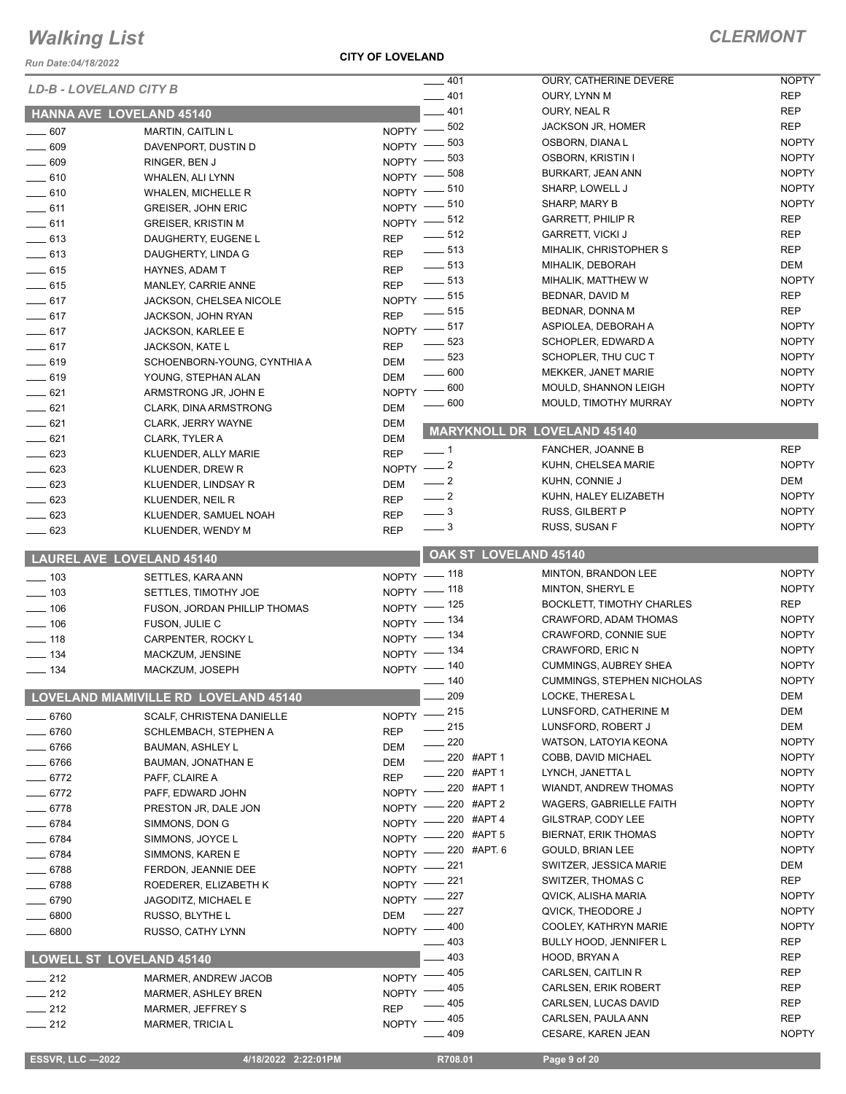*Run Date:04/18/2022*

|                        |                                       |                          |                            |                                                 | <b>NOPTY</b>        |
|------------------------|---------------------------------------|--------------------------|----------------------------|-------------------------------------------------|---------------------|
| LD-B - LOVELAND CITY B |                                       |                          | 401                        | OURY, CATHERINE DEVERE                          | <b>REP</b>          |
|                        |                                       |                          | 401                        | OURY, LYNN M<br>OURY, NEAL R                    | <b>REP</b>          |
|                        | HANNA AVE LOVELAND 45140              |                          | 401                        |                                                 |                     |
| $- 607$                | <b>MARTIN, CAITLIN L</b>              | NOPTY                    | 502                        | <b>JACKSON JR, HOMER</b>                        | <b>REP</b>          |
| $- 609$                | DAVENPORT, DUSTIN D                   | NOPTY -                  | 503                        | OSBORN, DIANA L                                 | <b>NOPTY</b>        |
| $\frac{1}{2}$ 609      | RINGER, BEN J                         | NOPTY -                  | 503                        | OSBORN, KRISTIN I                               | <b>NOPTY</b>        |
| $-610$                 | WHALEN, ALI LYNN                      | NOPTY -                  | 508                        | BURKART, JEAN ANN                               | <b>NOPTY</b>        |
| $- 610$                | <b>WHALEN, MICHELLE R</b>             | $NOPTY =$                | 510                        | SHARP, LOWELL J                                 | <b>NOPTY</b>        |
| $\frac{1}{2}$ 611      | <b>GREISER, JOHN ERIC</b>             | $NOPTY$ ––               | 510                        | SHARP, MARY B                                   | <b>NOPTY</b>        |
| $-611$                 | <b>GREISER, KRISTIN M</b>             | NOPTY -812               |                            | <b>GARRETT, PHILIP R</b>                        | <b>REP</b>          |
| $\frac{1}{2}$ 613      | DAUGHERTY, EUGENE L                   | <b>REP</b>               | $\frac{1}{2}$ 512          | <b>GARRETT, VICKI J</b>                         | <b>REP</b>          |
| $-613$                 | DAUGHERTY, LINDA G                    | <b>REP</b>               | $\frac{1}{2}$ 513          | MIHALIK, CHRISTOPHER S                          | <b>REP</b>          |
| $-615$                 | HAYNES, ADAM T                        | <b>REP</b>               | $\frac{1}{2}$ 513          | MIHALIK, DEBORAH                                | <b>DEM</b>          |
| $\frac{1}{2}$ 615      | MANLEY, CARRIE ANNE                   | <b>REP</b>               | $\frac{1}{2}$ 513          | MIHALIK, MATTHEW W                              | <b>NOPTY</b>        |
| $-617$                 | JACKSON, CHELSEA NICOLE               | NOPTY -815               |                            | BEDNAR, DAVID M                                 | <b>REP</b>          |
| $-617$                 | <b>JACKSON, JOHN RYAN</b>             | <b>REP</b>               | $\frac{1}{2}$ 515          | BEDNAR, DONNA M                                 | <b>REP</b>          |
| $-617$                 | JACKSON, KARLEE E                     | NOPTY -817               |                            | ASPIOLEA, DEBORAH A                             | <b>NOPTY</b>        |
| $-617$                 | JACKSON, KATE L                       | <b>REP</b>               | $\frac{1}{2}$ 523          | SCHOPLER, EDWARD A                              | <b>NOPTY</b>        |
| $-619$                 | SCHOENBORN-YOUNG, CYNTHIA A           | DEM                      | 523                        | SCHOPLER, THU CUC T                             | <b>NOPTY</b>        |
| $-619$                 | YOUNG, STEPHAN ALAN                   | DEM                      | $\frac{1}{2}$ 600          | MEKKER, JANET MARIE                             | <b>NOPTY</b>        |
| $-621$                 | ARMSTRONG JR, JOHN E                  | $NOPTY$ ––               | 600                        | MOULD, SHANNON LEIGH                            | <b>NOPTY</b>        |
| $-621$                 | CLARK, DINA ARMSTRONG                 | <b>DEM</b>               | $\equiv$ 600               | MOULD, TIMOTHY MURRAY                           | <b>NOPTY</b>        |
| $-621$                 |                                       | <b>DEM</b>               |                            |                                                 |                     |
|                        | CLARK, JERRY WAYNE                    |                          |                            | MARYKNOLL DR LOVELAND 45140                     |                     |
| $-621$                 | CLARK, TYLER A                        | <b>DEM</b><br><b>REP</b> | $-1$                       | <b>FANCHER, JOANNE B</b>                        | <b>REP</b>          |
| $-623$                 | KLUENDER, ALLY MARIE                  | NOPTY $-2$               |                            | KUHN, CHELSEA MARIE                             | <b>NOPTY</b>        |
| $- 623$                | KLUENDER, DREW R                      |                          | $\frac{1}{2}$              | KUHN, CONNIE J                                  | DEM                 |
| $\frac{1}{2}$ 623      | KLUENDER, LINDSAY R                   | DEM                      | $\frac{1}{2}$              | KUHN, HALEY ELIZABETH                           | <b>NOPTY</b>        |
| $\frac{1}{2}$ 623      | KLUENDER, NEIL R                      | <b>REP</b>               | $\overline{\phantom{0}}$ 3 | RUSS, GILBERT P                                 | <b>NOPTY</b>        |
| $- 623$                | KLUENDER, SAMUEL NOAH                 | <b>REP</b>               |                            |                                                 | <b>NOPTY</b>        |
| $\frac{1}{2}$ 623      | KLUENDER, WENDY M                     | <b>REP</b>               | $\frac{1}{2}$              | RUSS, SUSAN F                                   |                     |
|                        | LAUREL AVE LOVELAND 45140             |                          | OAK ST LOVELAND 45140      |                                                 |                     |
|                        |                                       |                          |                            | MINTON, BRANDON LEE                             | <b>NOPTY</b>        |
| $\frac{1}{2}$ 103      | SETTLES, KARA ANN                     | NOPTY - 118              |                            | MINTON, SHERYL E                                | <b>NOPTY</b>        |
| $\frac{1}{2}$ 103      | SETTLES, TIMOTHY JOE                  | NOPTY - 118              |                            | BOCKLETT, TIMOTHY CHARLES                       | <b>REP</b>          |
| $- 106$                | FUSON, JORDAN PHILLIP THOMAS          | NOPTY - 125              |                            | CRAWFORD, ADAM THOMAS                           | <b>NOPTY</b>        |
| $- 106$                | FUSON, JULIE C                        | NOPTY - 134              |                            | CRAWFORD, CONNIE SUE                            |                     |
| $\frac{1}{2}$ 118      | CARPENTER, ROCKY L                    | NOPTY - 134              |                            |                                                 | <b>NOPTY</b>        |
| $\frac{1}{2}$ 134      | MACKZUM, JENSINE                      | NOPTY - 134              |                            | CRAWFORD, ERIC N                                | <b>NOPTY</b>        |
| $- 134$                | MACKZUM, JOSEPH                       | NOPTY - 140              |                            | <b>CUMMINGS, AUBREY SHEA</b>                    | <b>NOPTY</b>        |
|                        |                                       |                          | $- 140$                    | <b>CUMMINGS, STEPHEN NICHOLAS</b>               | <b>NOPTY</b>        |
|                        | LOVELAND MIAMIVILLE RD LOVELAND 45140 |                          | 209                        | LOCKE, THERESA L                                | DEM                 |
| $-6760$                | SCALF, CHRISTENA DANIELLE             | NOPTY -                  | 215                        | LUNSFORD, CATHERINE M                           | DEM                 |
| 6760                   | SCHLEMBACH, STEPHEN A                 | <b>REP</b>               | 215                        | LUNSFORD, ROBERT J                              | DEM                 |
| 6766                   | <b>BAUMAN, ASHLEY L</b>               | DEM                      | 220                        | WATSON, LATOYIA KEONA                           | <b>NOPTY</b>        |
| 6766                   | BAUMAN, JONATHAN E                    | DEM                      | 220 #APT 1                 | COBB, DAVID MICHAEL                             | <b>NOPTY</b>        |
| 6772                   | PAFF, CLAIRE A                        | <b>REP</b>               | 220 #APT 1                 | LYNCH, JANETTA L                                | <b>NOPTY</b>        |
| $-6772$                | PAFF, EDWARD JOHN                     | <b>NOPTY</b>             | 220 #APT 1                 | <b>WIANDT, ANDREW THOMAS</b>                    | <b>NOPTY</b>        |
| 6778                   | PRESTON JR, DALE JON                  | <b>NOPTY</b>             | 220 #APT 2                 | WAGERS, GABRIELLE FAITH                         | <b>NOPTY</b>        |
| $-6784$                |                                       |                          | 220 #APT 4                 | GILSTRAP, CODY LEE                              | <b>NOPTY</b>        |
| 6784                   |                                       |                          |                            |                                                 |                     |
|                        | SIMMONS, DON G                        | <b>NOPTY</b>             | 220 #APT 5                 | <b>BIERNAT, ERIK THOMAS</b>                     | <b>NOPTY</b>        |
|                        | SIMMONS, JOYCE L                      | NOPTY -                  | 220 #APT. 6                | GOULD, BRIAN LEE                                | <b>NOPTY</b>        |
| $-6784$                | SIMMONS, KAREN E                      | NOPTY -                  | 221                        | SWITZER, JESSICA MARIE                          | DEM                 |
| $-6788$                | FERDON, JEANNIE DEE                   | <b>NOPTY</b>             | 221                        | SWITZER, THOMAS C                               | <b>REP</b>          |
| 6788                   | ROEDERER, ELIZABETH K                 | NOPTY -                  | 227                        | QVICK, ALISHA MARIA                             | <b>NOPTY</b>        |
| 6790                   | <b>JAGODITZ, MICHAEL E</b>            | <b>NOPTY</b>             | 227                        | QVICK, THEODORE J                               | <b>NOPTY</b>        |
| 6800                   | RUSSO, BLYTHE L                       | DEM                      |                            |                                                 | <b>NOPTY</b>        |
| 6800                   | RUSSO, CATHY LYNN                     | <b>NOPTY</b>             | 400                        | COOLEY, KATHRYN MARIE                           |                     |
|                        |                                       |                          | 403                        | <b>BULLY HOOD, JENNIFER L</b>                   | REP                 |
|                        | <b>LOWELL ST LOVELAND 45140</b>       |                          | 403                        | HOOD, BRYAN A                                   | REP                 |
| $-212$                 | <b>MARMER, ANDREW JACOB</b>           | <b>NOPTY</b>             | 405                        | CARLSEN, CAITLIN R                              | REP                 |
| $\frac{1}{212}$        | <b>MARMER, ASHLEY BREN</b>            | <b>NOPTY</b>             | 405                        | CARLSEN, ERIK ROBERT                            | REP                 |
| $-212$                 | MARMER, JEFFREY S                     | <b>REP</b>               | 405                        | CARLSEN, LUCAS DAVID                            | REP                 |
| $-212$                 | <b>MARMER, TRICIA L</b>               | <b>NOPTY</b>             | 405<br>409                 | CARLSEN, PAULA ANN<br><b>CESARE, KAREN JEAN</b> | REP<br><b>NOPTY</b> |

 **ESSVR, LLC —2022 4/18/2022 2:22:01PM R708.01 Page 9 of 20**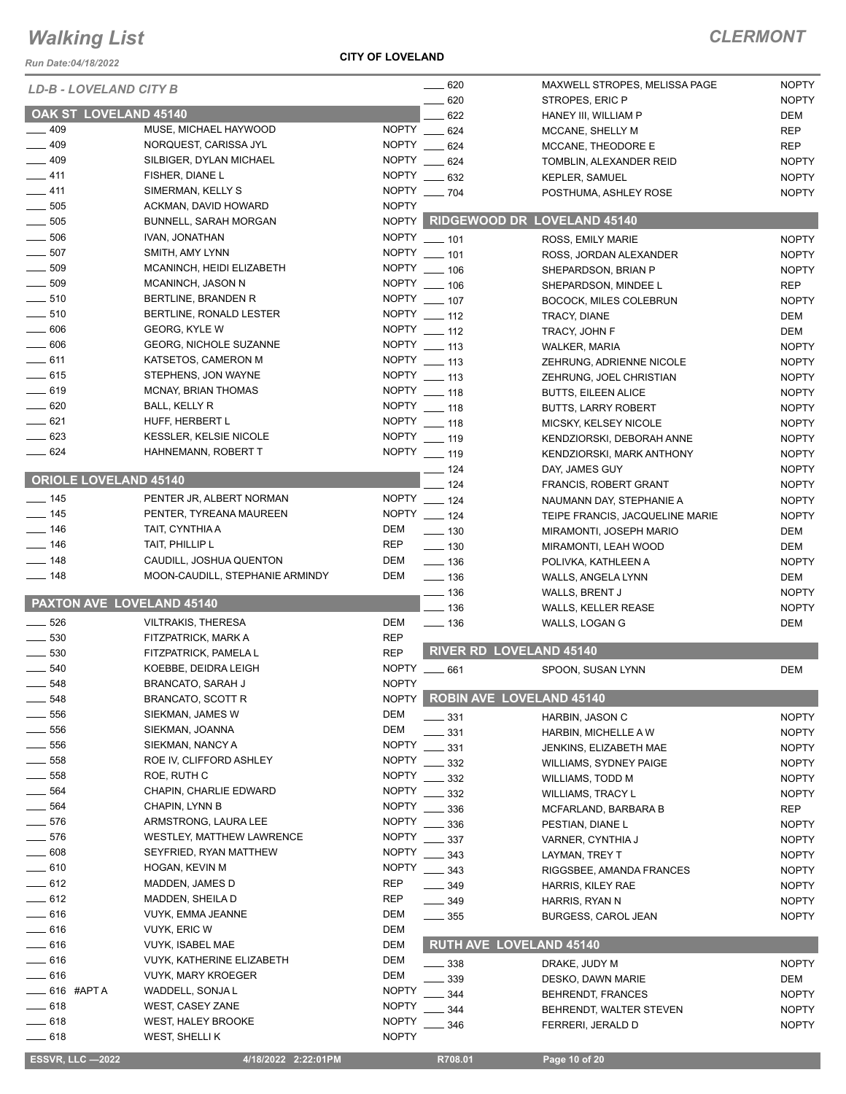### *Run Date:04/18/2022*

#### **CITY OF LOVELAND**

## *CLERMONT*

| NUII DAIC.04/10/2022             |                                 |              |                                |                                                  |                              |
|----------------------------------|---------------------------------|--------------|--------------------------------|--------------------------------------------------|------------------------------|
| <b>LD-B - LOVELAND CITY B</b>    |                                 |              | $- 620$<br>620                 | MAXWELL STROPES, MELISSA PAGE<br>STROPES, ERIC P | <b>NOPTY</b><br><b>NOPTY</b> |
| OAK ST LOVELAND 45140            |                                 |              | 622                            | HANEY III, WILLIAM P                             | DEM                          |
| $\frac{1}{2}$ 409                | MUSE, MICHAEL HAYWOOD           |              | NOPTY __ 624                   | MCCANE, SHELLY M                                 | <b>REP</b>                   |
| $-409$                           | NORQUEST, CARISSA JYL           |              | NOPTY __ 624                   | MCCANE, THEODORE E                               | <b>REP</b>                   |
| $- 409$                          | SILBIGER, DYLAN MICHAEL         |              | NOPTY __ 624                   | TOMBLIN, ALEXANDER REID                          | <b>NOPTY</b>                 |
| $-411$                           | FISHER, DIANE L                 |              | NOPTY __ 632                   | <b>KEPLER, SAMUEL</b>                            | <b>NOPTY</b>                 |
| $-411$                           | SIMERMAN, KELLY S               |              | NOPTY __ 704                   | POSTHUMA, ASHLEY ROSE                            | <b>NOPTY</b>                 |
| $\frac{1}{2}$ 505                | ACKMAN, DAVID HOWARD            | <b>NOPTY</b> |                                |                                                  |                              |
| $-505$                           | BUNNELL, SARAH MORGAN           |              |                                | NOPTY RIDGEWOOD DR LOVELAND 45140                |                              |
| $\frac{1}{2}$ 506                | IVAN, JONATHAN                  |              | NOPTY __ 101                   | ROSS, EMILY MARIE                                | <b>NOPTY</b>                 |
| $\frac{1}{2}$ 507                | SMITH, AMY LYNN                 |              | NOPTY __ 101                   | ROSS, JORDAN ALEXANDER                           | <b>NOPTY</b>                 |
| $\frac{1}{2}$ 509                | MCANINCH, HEIDI ELIZABETH       |              | NOPTY __ 106                   | SHEPARDSON, BRIAN P                              | <b>NOPTY</b>                 |
| $\frac{1}{2}$ 509                | MCANINCH, JASON N               |              | NOPTY __ 106                   | SHEPARDSON, MINDEE L                             | <b>REP</b>                   |
| $\frac{1}{2}$ 510                | BERTLINE, BRANDEN R             |              | NOPTY __ 107                   | BOCOCK, MILES COLEBRUN                           | <b>NOPTY</b>                 |
| $\frac{1}{2}$ 510                | BERTLINE, RONALD LESTER         |              | NOPTY __ 112                   | TRACY, DIANE                                     | DEM                          |
| 606                              | GEORG, KYLE W                   |              | NOPTY __ 112                   | TRACY, JOHN F                                    | DEM                          |
| $- 606$                          | <b>GEORG, NICHOLE SUZANNE</b>   |              | NOPTY __ 113                   | <b>WALKER, MARIA</b>                             | <b>NOPTY</b>                 |
| $-611$                           | KATSETOS, CAMERON M             |              | NOPTY __ 113                   | ZEHRUNG, ADRIENNE NICOLE                         | <b>NOPTY</b>                 |
| $-615$                           | STEPHENS, JON WAYNE             |              | NOPTY __ 113                   | ZEHRUNG, JOEL CHRISTIAN                          | <b>NOPTY</b>                 |
| $\frac{1}{2}$ 619                | <b>MCNAY, BRIAN THOMAS</b>      |              | NOPTY __ 118                   | <b>BUTTS, EILEEN ALICE</b>                       | <b>NOPTY</b>                 |
| $- 620$                          | BALL, KELLY R                   |              | NOPTY __ 118                   | <b>BUTTS, LARRY ROBERT</b>                       | <b>NOPTY</b>                 |
| $-621$                           | HUFF, HERBERT L                 |              | NOPTY __ 118                   | MICSKY, KELSEY NICOLE                            | <b>NOPTY</b>                 |
| $\sim$ 623                       | <b>KESSLER, KELSIE NICOLE</b>   |              | NOPTY __ 119                   | KENDZIORSKI, DEBORAH ANNE                        | <b>NOPTY</b>                 |
| $-624$                           | HAHNEMANN, ROBERT T             |              | NOPTY __ 119                   | KENDZIORSKI, MARK ANTHONY                        | <b>NOPTY</b>                 |
|                                  |                                 |              | $- 124$                        | DAY, JAMES GUY                                   | <b>NOPTY</b>                 |
| <b>ORIOLE LOVELAND 45140</b>     |                                 |              | $-124$                         | <b>FRANCIS, ROBERT GRANT</b>                     | <b>NOPTY</b>                 |
| $\frac{1}{2}$ 145                | PENTER JR, ALBERT NORMAN        |              | NOPTY __ 124                   | NAUMANN DAY, STEPHANIE A                         | <b>NOPTY</b>                 |
| $\frac{1}{2}$ 145                | PENTER, TYREANA MAUREEN         |              | NOPTY __ 124                   | TEIPE FRANCIS, JACQUELINE MARIE                  | <b>NOPTY</b>                 |
| $\frac{1}{2}$ 146                | TAIT, CYNTHIA A                 | DEM          | $\frac{1}{2}$ 130              | MIRAMONTI, JOSEPH MARIO                          | DEM                          |
| $-146$                           | TAIT, PHILLIP L                 | REP          | $\frac{1}{2}$ 130              | MIRAMONTI, LEAH WOOD                             | DEM                          |
| $\frac{1}{2}$ 148                | CAUDILL, JOSHUA QUENTON         | DEM          | $\frac{1}{2}$ 136              | POLIVKA, KATHLEEN A                              | <b>NOPTY</b>                 |
| $\frac{1}{2}$ 148                | MOON-CAUDILL, STEPHANIE ARMINDY | DEM          | $\frac{1}{2}$ 136              | WALLS, ANGELA LYNN                               | DEM                          |
|                                  |                                 |              | $- 136$                        | WALLS, BRENT J                                   | <b>NOPTY</b>                 |
| <b>PAXTON AVE LOVELAND 45140</b> |                                 |              | $- 136$                        | <b>WALLS, KELLER REASE</b>                       | <b>NOPTY</b>                 |
| $\frac{1}{2}$ 526                | <b>VILTRAKIS, THERESA</b>       | DEM          | $\frac{1}{2}$ 136              | WALLS, LOGAN G                                   | DEM                          |
| 530                              | FITZPATRICK, MARK A             | <b>REP</b>   |                                |                                                  |                              |
| $\frac{1}{2}$ 530                | FITZPATRICK, PAMELA L           | <b>REP</b>   | <b>RIVER RD LOVELAND 45140</b> |                                                  |                              |
| 540                              | KOEBBE, DEIDRA LEIGH            |              | NOPTY __ 661                   | SPOON, SUSAN LYNN                                | <b>DEM</b>                   |
| 548                              | BRANCATO, SARAH J               | <b>NOPTY</b> |                                |                                                  |                              |
| $=$ 548                          | BRANCATO, SCOTT R               | <b>NOPTY</b> | ROBIN AVE LOVELAND 45140       |                                                  |                              |
| 556                              | SIEKMAN, JAMES W                | <b>DEM</b>   | $-331$                         | HARBIN, JASON C                                  | <b>NOPTY</b>                 |
| $\frac{1}{2}$ 556                | SIEKMAN, JOANNA                 | DEM          | 331                            | HARBIN, MICHELLE A W                             | <b>NOPTY</b>                 |
| 556                              | SIEKMAN, NANCY A                | <b>NOPTY</b> | 331                            | JENKINS, ELIZABETH MAE                           | <b>NOPTY</b>                 |
| 558                              | ROE IV, CLIFFORD ASHLEY         | <b>NOPTY</b> | 332                            | WILLIAMS, SYDNEY PAIGE                           | <b>NOPTY</b>                 |
| 558                              | ROE, RUTH C                     | <b>NOPTY</b> | 332                            | WILLIAMS, TODD M                                 | <b>NOPTY</b>                 |
| 564                              | CHAPIN, CHARLIE EDWARD          | <b>NOPTY</b> | 332                            | <b>WILLIAMS, TRACY L</b>                         | <b>NOPTY</b>                 |
| 564                              | CHAPIN, LYNN B                  | <b>NOPTY</b> | 336                            | MCFARLAND, BARBARA B                             | <b>REP</b>                   |
| $-576$                           | ARMSTRONG, LAURA LEE            | <b>NOPTY</b> | 336                            | PESTIAN, DIANE L                                 | <b>NOPTY</b>                 |
| $=$ 576                          | WESTLEY, MATTHEW LAWRENCE       | NOPTY        | 337                            | VARNER, CYNTHIA J                                | <b>NOPTY</b>                 |
| 608                              | SEYFRIED, RYAN MATTHEW          | <b>NOPTY</b> | 343                            | LAYMAN, TREY T                                   | <b>NOPTY</b>                 |
| $-610$                           | HOGAN, KEVIN M                  | <b>NOPTY</b> | $-343$                         | RIGGSBEE, AMANDA FRANCES                         | <b>NOPTY</b>                 |
| $-612$                           | MADDEN, JAMES D                 | <b>REP</b>   | - 349                          | HARRIS, KILEY RAE                                | <b>NOPTY</b>                 |
| $= 612$                          | MADDEN, SHEILA D                | <b>REP</b>   | $-349$                         | HARRIS, RYAN N                                   | <b>NOPTY</b>                 |
| $-616$                           | VUYK, EMMA JEANNE               | DEM          | $\frac{1}{2}$ 355              | <b>BURGESS, CAROL JEAN</b>                       | <b>NOPTY</b>                 |
| $-616$                           | VUYK, ERIC W                    | DEM          |                                |                                                  |                              |
| $-616$                           | VUYK, ISABEL MAE                | DEM          | <b>RUTH AVE LOVELAND 45140</b> |                                                  |                              |
| $-616$                           | VUYK, KATHERINE ELIZABETH       | <b>DEM</b>   | 338                            | DRAKE, JUDY M                                    | <b>NOPTY</b>                 |
| $-616$                           | <b>VUYK, MARY KROEGER</b>       | <b>DEM</b>   | 339                            | DESKO, DAWN MARIE                                | DEM                          |
| $\frac{1}{2}$ 616 #APT A         | WADDELL, SONJA L                | <b>NOPTY</b> | 344                            | BEHRENDT, FRANCES                                | <b>NOPTY</b>                 |
| $= 618$                          | WEST, CASEY ZANE                | <b>NOPTY</b> | 344                            | BEHRENDT, WALTER STEVEN                          | <b>NOPTY</b>                 |
| $-618$                           | WEST, HALEY BROOKE              | <b>NOPTY</b> | 346                            | FERRERI, JERALD D                                | <b>NOPTY</b>                 |
| $- 618$                          | WEST, SHELLI K                  | <b>NOPTY</b> |                                |                                                  |                              |
|                                  |                                 |              |                                |                                                  |                              |

 **ESSVR, LLC —2022 4/18/2022 2:22:01PM R708.01 Page 10 of 20**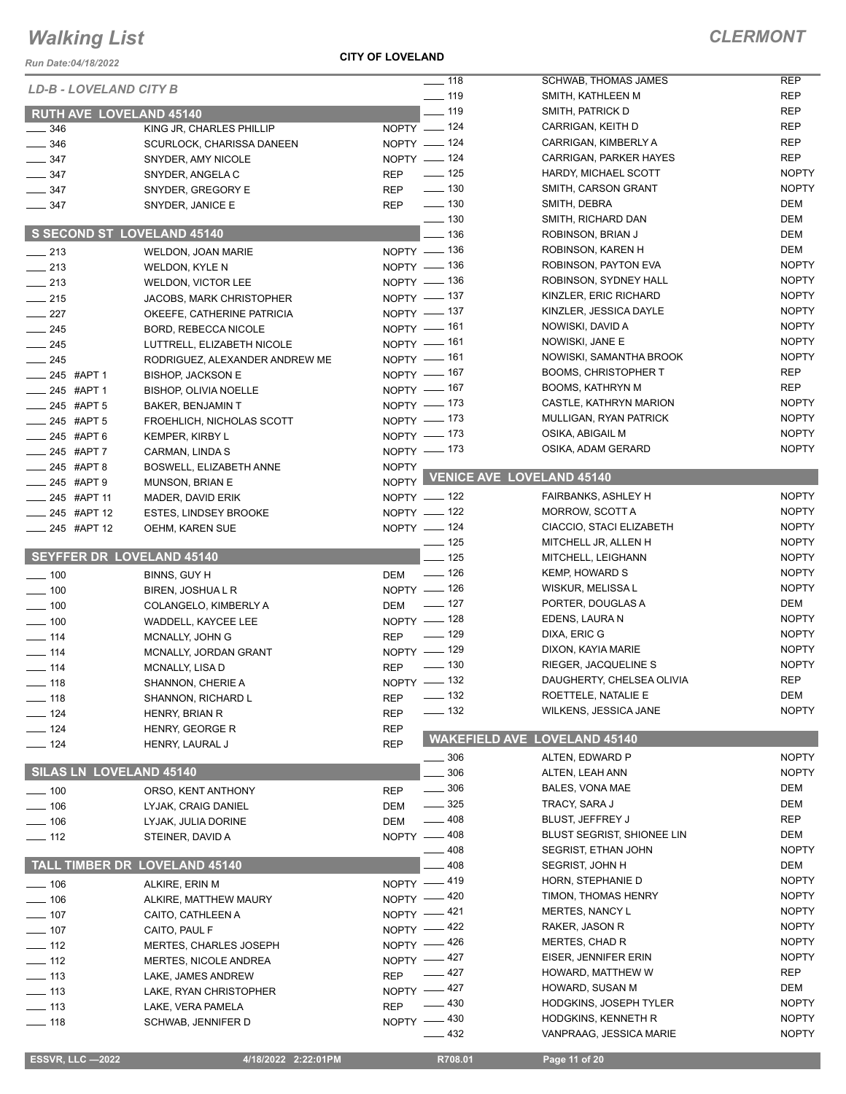| $-100$            | ORSO, KENT ANTHONY                   | <b>REP</b>   |
|-------------------|--------------------------------------|--------------|
| —— 106            | LYJAK. CRAIG DANIEL                  | DEM          |
| $\equiv$ 106      | LYJAK. JULIA DORINE                  | <b>DEM</b>   |
| $\equiv$ 112      | STEINER, DAVID A                     | <b>NOPTY</b> |
|                   |                                      |              |
|                   | <b>TALL TIMBER DR LOVELAND 45140</b> |              |
| $-106$            | ALKIRE, ERIN M                       | <b>NOPTY</b> |
| $-106$            | ALKIRE. MATTHEW MAURY                | <b>NOPTY</b> |
| $\sim$ 107        | CAITO, CATHLEEN A                    | <b>NOPTY</b> |
| $\frac{107}{107}$ | CAITO, PAUL F                        | <b>NOPTY</b> |
| $-112$            | <b>MERTES, CHARLES JOSEPH</b>        | <b>NOPTY</b> |
| $\equiv$ 112      | <b>MERTES, NICOLE ANDREA</b>         | <b>NOPTY</b> |
| $-113$            | LAKE, JAMES ANDREW                   | <b>REP</b>   |
| $-113$            | LAKE, RYAN CHRISTOPHER               | <b>NOPTY</b> |
| $-113$            | LAKE. VERA PAMELA                    | <b>REP</b>   |
|                   |                                      |              |

# *Run Date:04/18/2022 LD-B - LOVELA* **RUTH AVE LO**<br>-- 346

*Walking List*

| <b>Run Date:04/18/2022</b>                  |                                                     |                             |                    |                                                  |                          |
|---------------------------------------------|-----------------------------------------------------|-----------------------------|--------------------|--------------------------------------------------|--------------------------|
| LD-B - LOVELAND CITY B                      |                                                     |                             | $- 118$<br>$- 119$ | <b>SCHWAB, THOMAS JAMES</b><br>SMITH, KATHLEEN M | <b>REP</b><br><b>REP</b> |
|                                             |                                                     |                             |                    |                                                  | <b>REP</b>               |
| <b>RUTH AVE LOVELAND 45140</b>              |                                                     |                             | ___ 119            | SMITH, PATRICK D                                 | <b>REP</b>               |
| $\frac{1}{2}$ 346                           | KING JR, CHARLES PHILLIP                            | $NOPTY$ - 124               |                    | CARRIGAN, KEITH D<br>CARRIGAN, KIMBERLY A        | <b>REP</b>               |
| $- 346$                                     | SCURLOCK, CHARISSA DANEEN                           | NOPTY $- 124$<br>NOPTY -124 |                    | CARRIGAN, PARKER HAYES                           | <b>REP</b>               |
| $\frac{1}{2}$ 347                           | SNYDER, AMY NICOLE                                  |                             | $\frac{1}{2}$ 125  | HARDY, MICHAEL SCOTT                             | <b>NOPTY</b>             |
| $\frac{1}{2}$ 347                           | SNYDER, ANGELA C                                    | <b>REP</b>                  | $\frac{1}{2}$ 130  | SMITH, CARSON GRANT                              | <b>NOPTY</b>             |
| $\frac{1}{2}$ 347                           | SNYDER, GREGORY E                                   | <b>REP</b><br><b>REP</b>    | $\frac{1}{2}$ 130  | SMITH, DEBRA                                     | <b>DEM</b>               |
| $\frac{1}{2}$ 347                           | SNYDER, JANICE E                                    |                             | $\frac{1}{2}$ 130  | SMITH, RICHARD DAN                               | <b>DEM</b>               |
|                                             | <b>S SECOND ST LOVELAND 45140</b>                   |                             | $-136$             | ROBINSON, BRIAN J                                | DEM                      |
|                                             |                                                     | NOPTY - 136                 |                    | ROBINSON, KAREN H                                | <b>DEM</b>               |
| $\frac{1}{213}$                             | WELDON, JOAN MARIE                                  | NOPTY - 136                 |                    | ROBINSON, PAYTON EVA                             | <b>NOPTY</b>             |
| $\frac{1}{213}$                             | WELDON, KYLE N                                      | NOPTY - 136                 |                    | ROBINSON, SYDNEY HALL                            | <b>NOPTY</b>             |
| $-213$                                      | <b>WELDON, VICTOR LEE</b>                           | NOPTY - 137                 |                    | KINZLER, ERIC RICHARD                            | <b>NOPTY</b>             |
| $-215$                                      | <b>JACOBS, MARK CHRISTOPHER</b>                     | NOPTY - 137                 |                    | KINZLER, JESSICA DAYLE                           | <b>NOPTY</b>             |
| $\frac{1}{227}$                             | OKEEFE, CATHERINE PATRICIA                          | $NOPTY$ - 161               |                    | NOWISKI, DAVID A                                 | <b>NOPTY</b>             |
| $-245$                                      | BORD, REBECCA NICOLE                                | NOPTY - 161                 |                    | NOWISKI, JANE E                                  | <b>NOPTY</b>             |
| $\frac{1}{245}$                             | LUTTRELL, ELIZABETH NICOLE                          | NOPTY - 161                 |                    | NOWISKI, SAMANTHA BROOK                          | <b>NOPTY</b>             |
| $\frac{1}{245}$                             | RODRIGUEZ, ALEXANDER ANDREW ME                      | NOPTY - 167                 |                    | <b>BOOMS, CHRISTOPHER T</b>                      | <b>REP</b>               |
| ____ 245 #APT 1                             | <b>BISHOP, JACKSON E</b>                            | NOPTY - 167                 |                    | <b>BOOMS, KATHRYN M</b>                          | <b>REP</b>               |
| ____ 245 #APT 1                             | <b>BISHOP, OLIVIA NOELLE</b>                        | NOPTY - 173                 |                    | CASTLE, KATHRYN MARION                           | <b>NOPTY</b>             |
| $245$ #APT 5<br>$-245$ #APT 5               | <b>BAKER, BENJAMIN T</b>                            | NOPTY $-$ 173               |                    | MULLIGAN, RYAN PATRICK                           | <b>NOPTY</b>             |
| -245 #APT 6                                 | FROEHLICH, NICHOLAS SCOTT<br><b>KEMPER, KIRBY L</b> | NOPTY - 173                 |                    | OSIKA, ABIGAIL M                                 | <b>NOPTY</b>             |
| -245 #APT 7                                 |                                                     | NOPTY - 173                 |                    | OSIKA, ADAM GERARD                               | <b>NOPTY</b>             |
|                                             | CARMAN, LINDA S                                     | <b>NOPTY</b>                |                    |                                                  |                          |
| <b>LEGGE 448 THAPT 8</b>                    | <b>BOSWELL, ELIZABETH ANNE</b>                      |                             |                    | NOPTY VENICE AVE LOVELAND 45140                  |                          |
| $245$ #APT 9                                | MUNSON, BRIAN E                                     | NOPTY -122                  |                    | <b>FAIRBANKS, ASHLEY H</b>                       | <b>NOPTY</b>             |
| ____ 245 #APT 11<br>$\frac{1}{245}$ #APT 12 | MADER, DAVID ERIK                                   | NOPTY $- 122$               |                    | <b>MORROW, SCOTT A</b>                           | <b>NOPTY</b>             |
|                                             | <b>ESTES, LINDSEY BROOKE</b>                        | NOPTY - 124                 |                    | CIACCIO, STACI ELIZABETH                         | <b>NOPTY</b>             |
| <b>_____ 245 #APT 12</b>                    | <b>OEHM, KAREN SUE</b>                              |                             | $- 125$            | MITCHELL JR, ALLEN H                             | <b>NOPTY</b>             |
| <b>SEYFFER DR LOVELAND 45140</b>            |                                                     |                             | $-125$             | MITCHELL, LEIGHANN                               | <b>NOPTY</b>             |
|                                             |                                                     |                             | $\frac{1}{2}$ 126  | <b>KEMP, HOWARD S</b>                            | <b>NOPTY</b>             |
| $\frac{1}{2}$ 100                           | BINNS, GUY H                                        | DEM<br>NOPTY - 126          |                    | WISKUR, MELISSA L                                | <b>NOPTY</b>             |
| $\frac{1}{2}$ 100                           | BIREN, JOSHUA L R                                   |                             | $\frac{1}{2}$ 127  | PORTER, DOUGLAS A                                | DEM                      |
| $- 100$                                     | COLANGELO, KIMBERLY A                               | <b>DEM</b><br>NOPTY - 128   |                    | EDENS, LAURA N                                   | <b>NOPTY</b>             |
| $\frac{1}{2}$ 100                           | WADDELL, KAYCEE LEE                                 |                             | $\frac{1}{2}$ 129  | DIXA, ERIC G                                     | <b>NOPTY</b>             |
| $\frac{1}{2}$ 114                           | MCNALLY, JOHN G                                     | <b>REP</b><br>NOPTY - 129   |                    | DIXON, KAYIA MARIE                               | <b>NOPTY</b>             |
| $\frac{1}{114}$                             | MCNALLY, JORDAN GRANT                               |                             | $\frac{1}{2}$ 130  | RIEGER, JACQUELINE S                             | <b>NOPTY</b>             |
| $- 114$                                     | MCNALLY, LISA D                                     | <b>REP</b><br>NOPTY - 132   |                    | DAUGHERTY, CHELSEA OLIVIA                        | <b>REP</b>               |
| —— 118                                      | SHANNON, CHERIE A                                   |                             | $\frac{1}{2}$ 132  | ROETTELE, NATALIE E                              | DEM                      |
| $- 118$                                     | SHANNON, RICHARD L                                  | <b>REP</b>                  | $\frac{1}{2}$ 132  | WILKENS, JESSICA JANE                            | <b>NOPTY</b>             |
| $\frac{1}{2}$ 124                           | <b>HENRY, BRIAN R</b>                               | <b>REP</b>                  |                    |                                                  |                          |
| $- 124$<br>$\frac{1}{2}$ 124                | HENRY, GEORGE R                                     | <b>REP</b><br><b>REP</b>    |                    | <b>WAKEFIELD AVE LOVELAND 45140</b>              |                          |
|                                             | HENRY, LAURAL J                                     |                             | — 306              | ALTEN, EDWARD P                                  | <b>NOPTY</b>             |
| <b>SILAS LN LOVELAND 45140</b>              |                                                     |                             | 306                | ALTEN, LEAH ANN                                  | <b>NOPTY</b>             |
|                                             |                                                     |                             | $\frac{1}{2}$ 306  | BALES, VONA MAE                                  | DEM                      |
| $\frac{1}{2}$ 100                           | ORSO, KENT ANTHONY                                  | <b>REP</b>                  | $\frac{1}{2}$ 325  | TRACY, SARA J                                    | DEM                      |
| $- 106$                                     | LYJAK, CRAIG DANIEL                                 | DEM                         | 408                | BLUST, JEFFREY J                                 | REP                      |
| $- 106$                                     | LYJAK, JULIA DORINE                                 | DEM<br>NOPTY - 408          |                    | BLUST SEGRIST, SHIONEE LIN                       | DEM                      |
| $-112$                                      | STEINER, DAVID A                                    |                             | 408                | SEGRIST, ETHAN JOHN                              | <b>NOPTY</b>             |
|                                             | <b>TALL TIMBER DR LOVELAND 45140</b>                |                             | 408                | <b>SEGRIST, JOHN H</b>                           | DEM                      |
|                                             |                                                     | NOPTY -419                  |                    | HORN, STEPHANIE D                                | <b>NOPTY</b>             |
| $- 106$                                     | ALKIRE, ERIN M                                      |                             |                    | TIMON, THOMAS HENRY                              | <b>NOPTY</b>             |
| $\frac{1}{2}$ 106                           | ALKIRE, MATTHEW MAURY                               | NOPTY -420<br>NOPTY -421    |                    | <b>MERTES, NANCY L</b>                           | <b>NOPTY</b>             |
| $- 107$                                     | CAITO, CATHLEEN A                                   |                             |                    | RAKER, JASON R                                   | <b>NOPTY</b>             |
| $- 107$                                     | CAITO, PAUL F                                       | NOPTY -422                  |                    | MERTES, CHAD R                                   | <b>NOPTY</b>             |
| $\frac{1}{2}$ 112                           | <b>MERTES, CHARLES JOSEPH</b>                       | NOPTY -426                  |                    | EISER, JENNIFER ERIN                             | <b>NOPTY</b>             |
| $- 112$                                     | MERTES, NICOLE ANDREA                               | NOPTY -427                  | $-427$             | HOWARD, MATTHEW W                                | <b>REP</b>               |
| $- 113$                                     | LAKE, JAMES ANDREW                                  | <b>REP</b>                  |                    |                                                  | DEM                      |
| $\frac{1}{2}$ 113                           | LAKE, RYAN CHRISTOPHER                              | NOPTY -427                  | $-430$             | HOWARD, SUSAN M                                  | <b>NOPTY</b>             |
| $\frac{1}{2}$ 113                           | LAKE, VERA PAMELA                                   | <b>REP</b>                  |                    | <b>HODGKINS, JOSEPH TYLER</b>                    |                          |
| $\frac{1}{2}$ 118                           | SCHWAB, JENNIFER D                                  | <b>NOPTY</b>                | $-430$             | HODGKINS, KENNETH R                              | <b>NOPTY</b>             |
|                                             |                                                     |                             | 432                | VANPRAAG, JESSICA MARIE                          | <b>NOPTY</b>             |

 **ESSVR, LLC —2022 4/18/2022 2:22:01PM R708.01 Page 11 of 20**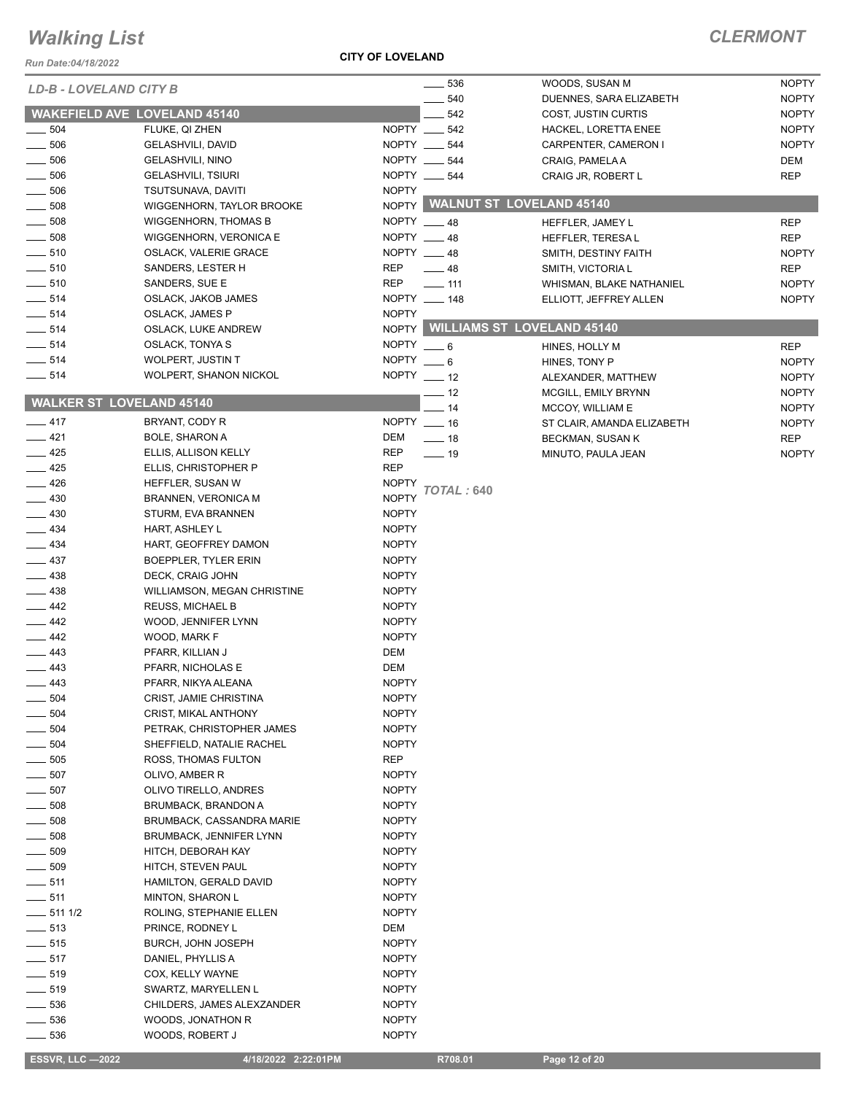#### *Run Date:04/18/2022*

**CITY OF LOVELAND**

### *CLERMONT*

|                                     |                                  |              | $\frac{1}{2}$ 536            | WOODS, SUSAN M                   | <b>NOPTY</b> |
|-------------------------------------|----------------------------------|--------------|------------------------------|----------------------------------|--------------|
| <b>LD-B - LOVELAND CITY B</b>       |                                  |              | $-540$                       | DUENNES, SARA ELIZABETH          | <b>NOPTY</b> |
| <b>WAKEFIELD AVE LOVELAND 45140</b> |                                  |              | 542                          | COST, JUSTIN CURTIS              | <b>NOPTY</b> |
| 504                                 | FLUKE, QI ZHEN                   |              | NOPTY __ 542                 | HACKEL, LORETTA ENEE             | <b>NOPTY</b> |
| 506                                 | <b>GELASHVILI, DAVID</b>         |              | NOPTY __ 544                 | CARPENTER, CAMERON I             | <b>NOPTY</b> |
| 506                                 | <b>GELASHVILI, NINO</b>          |              | NOPTY __ 544                 | CRAIG, PAMELA A                  | DEM          |
| 506                                 | <b>GELASHVILI, TSIURI</b>        |              | NOPTY __ 544                 | CRAIG JR, ROBERT L               | REP          |
| 506                                 | TSUTSUNAVA, DAVITI               | <b>NOPTY</b> |                              |                                  |              |
| 508                                 | WIGGENHORN, TAYLOR BROOKE        |              |                              | NOPTY WALNUT ST LOVELAND 45140   |              |
| $-508$                              | <b>WIGGENHORN, THOMAS B</b>      | NOPTY __ 48  |                              | HEFFLER, JAMEY L                 | <b>REP</b>   |
| $\frac{1}{2}$ 508                   | WIGGENHORN, VERONICA E           |              | NOPTY __ 48                  | HEFFLER, TERESAL                 | <b>REP</b>   |
| $\frac{1}{2}$ 510                   | OSLACK, VALERIE GRACE            | NOPTY 48     |                              | SMITH, DESTINY FAITH             | <b>NOPTY</b> |
| $-510$                              | SANDERS, LESTER H                | <b>REP</b>   | $\_\_48$                     | SMITH, VICTORIA L                | <b>REP</b>   |
| $-510$                              | SANDERS, SUE E                   | <b>REP</b>   | $\overline{\phantom{0}}$ 111 | WHISMAN, BLAKE NATHANIEL         | <b>NOPTY</b> |
| $\frac{1}{2}$ 514                   | OSLACK, JAKOB JAMES              |              | NOPTY __ 148                 | ELLIOTT, JEFFREY ALLEN           | <b>NOPTY</b> |
| $\frac{1}{2}$ 514                   | <b>OSLACK, JAMES P</b>           | <b>NOPTY</b> |                              |                                  |              |
| $\frac{1}{2}$ 514                   | OSLACK, LUKE ANDREW              |              |                              | NOPTY WILLIAMS ST LOVELAND 45140 |              |
| $- 514$                             | <b>OSLACK, TONYA S</b>           | NOPTY $-6$   |                              | HINES, HOLLY M                   | <b>REP</b>   |
| $\frac{1}{2}$ 514                   | WOLPERT, JUSTIN T                | <b>NOPTY</b> | $\overline{\phantom{0}}$ 6   | HINES, TONY P                    | <b>NOPTY</b> |
| $\frac{1}{2}$ 514                   | WOLPERT, SHANON NICKOL           | NOPTY $-12$  |                              | ALEXANDER, MATTHEW               | <b>NOPTY</b> |
|                                     |                                  |              | — 12                         | MCGILL, EMILY BRYNN              | <b>NOPTY</b> |
| <b>WALKER ST LOVELAND 45140</b>     |                                  |              | $-14$                        | MCCOY, WILLIAM E                 | <b>NOPTY</b> |
| $-417$                              | BRYANT, CODY R                   | NOPTY __ 16  |                              | ST CLAIR, AMANDA ELIZABETH       | <b>NOPTY</b> |
| $-421$                              | <b>BOLE, SHARON A</b>            | DEM          | $\frac{1}{2}$ 18             | BECKMAN, SUSAN K                 | REP          |
| 425                                 | ELLIS, ALLISON KELLY             | REP          | $\frac{1}{2}$ 19             | MINUTO, PAULA JEAN               | <b>NOPTY</b> |
| $-425$                              | ELLIS, CHRISTOPHER P             | <b>REP</b>   |                              |                                  |              |
| 426                                 | HEFFLER, SUSAN W                 | <b>NOPTY</b> |                              |                                  |              |
| $-430$                              | BRANNEN, VERONICA M              | <b>NOPTY</b> | TOTAL : 640                  |                                  |              |
| $\frac{1}{2}$ 430                   | STURM, EVA BRANNEN               | <b>NOPTY</b> |                              |                                  |              |
| $\frac{1}{2}$ 434                   | HART, ASHLEY L                   | <b>NOPTY</b> |                              |                                  |              |
| $\equiv$ 434                        | HART, GEOFFREY DAMON             | <b>NOPTY</b> |                              |                                  |              |
| $\frac{1}{2}$ 437                   | BOEPPLER, TYLER ERIN             | <b>NOPTY</b> |                              |                                  |              |
| __ 438                              | DECK, CRAIG JOHN                 | <b>NOPTY</b> |                              |                                  |              |
| $-438$                              | WILLIAMSON, MEGAN CHRISTINE      | <b>NOPTY</b> |                              |                                  |              |
| $-442$                              | <b>REUSS, MICHAEL B</b>          | <b>NOPTY</b> |                              |                                  |              |
| $-442$                              | WOOD, JENNIFER LYNN              | <b>NOPTY</b> |                              |                                  |              |
| $-442$                              | WOOD, MARK F                     | <b>NOPTY</b> |                              |                                  |              |
| $-443$                              | PFARR, KILLIAN J                 | DEM          |                              |                                  |              |
| $\frac{1}{2}$ 443                   | PFARR, NICHOLAS E                | <b>DEM</b>   |                              |                                  |              |
| _ 443                               | PFARR, NIKYA ALEANA              | <b>NOPTY</b> |                              |                                  |              |
| $=$ 504                             | CRIST, JAMIE CHRISTINA           | <b>NOPTY</b> |                              |                                  |              |
| 504                                 | CRIST, MIKAL ANTHONY             | <b>NOPTY</b> |                              |                                  |              |
| 504                                 | PETRAK, CHRISTOPHER JAMES        | NOPTY        |                              |                                  |              |
| 504                                 | SHEFFIELD, NATALIE RACHEL        | <b>NOPTY</b> |                              |                                  |              |
| 505                                 | ROSS, THOMAS FULTON              | REP          |                              |                                  |              |
| $\frac{1}{2}$ 507                   | OLIVO, AMBER R                   | <b>NOPTY</b> |                              |                                  |              |
| 507                                 | OLIVO TIRELLO, ANDRES            | <b>NOPTY</b> |                              |                                  |              |
| $-508$                              | <b>BRUMBACK, BRANDON A</b>       | NOPTY        |                              |                                  |              |
| $\frac{1}{2}$ 508                   | <b>BRUMBACK, CASSANDRA MARIE</b> | <b>NOPTY</b> |                              |                                  |              |
| 508                                 | BRUMBACK, JENNIFER LYNN          | NOPTY        |                              |                                  |              |
| $\frac{1}{2}$ 509                   | HITCH, DEBORAH KAY               | <b>NOPTY</b> |                              |                                  |              |
| $\frac{1}{2}$ 509                   | HITCH, STEVEN PAUL               | <b>NOPTY</b> |                              |                                  |              |
| $-511$                              | HAMILTON, GERALD DAVID           | NOPTY        |                              |                                  |              |
| $\frac{1}{2}$ 511                   | <b>MINTON, SHARON L</b>          | <b>NOPTY</b> |                              |                                  |              |
| $-5111/2$                           | ROLING, STEPHANIE ELLEN          | NOPTY        |                              |                                  |              |
| $- 513$                             | PRINCE, RODNEY L                 | DEM          |                              |                                  |              |
| $\frac{1}{2}$ 515                   | BURCH, JOHN JOSEPH               | <b>NOPTY</b> |                              |                                  |              |
| $-517$                              | DANIEL, PHYLLIS A                | NOPTY        |                              |                                  |              |
| $\frac{1}{2}$ 519                   | COX, KELLY WAYNE                 | <b>NOPTY</b> |                              |                                  |              |
| $- 519$                             | SWARTZ, MARYELLEN L              | NOPTY        |                              |                                  |              |
| $-536$                              | CHILDERS, JAMES ALEXZANDER       | NOPTY        |                              |                                  |              |
| $-536$                              | WOODS, JONATHON R                | <b>NOPTY</b> |                              |                                  |              |
| __ 536                              | WOODS, ROBERT J                  | NOPTY        |                              |                                  |              |

 **ESSVR, LLC —2022 4/18/2022 2:22:01PM R708.01 Page 12 of 20**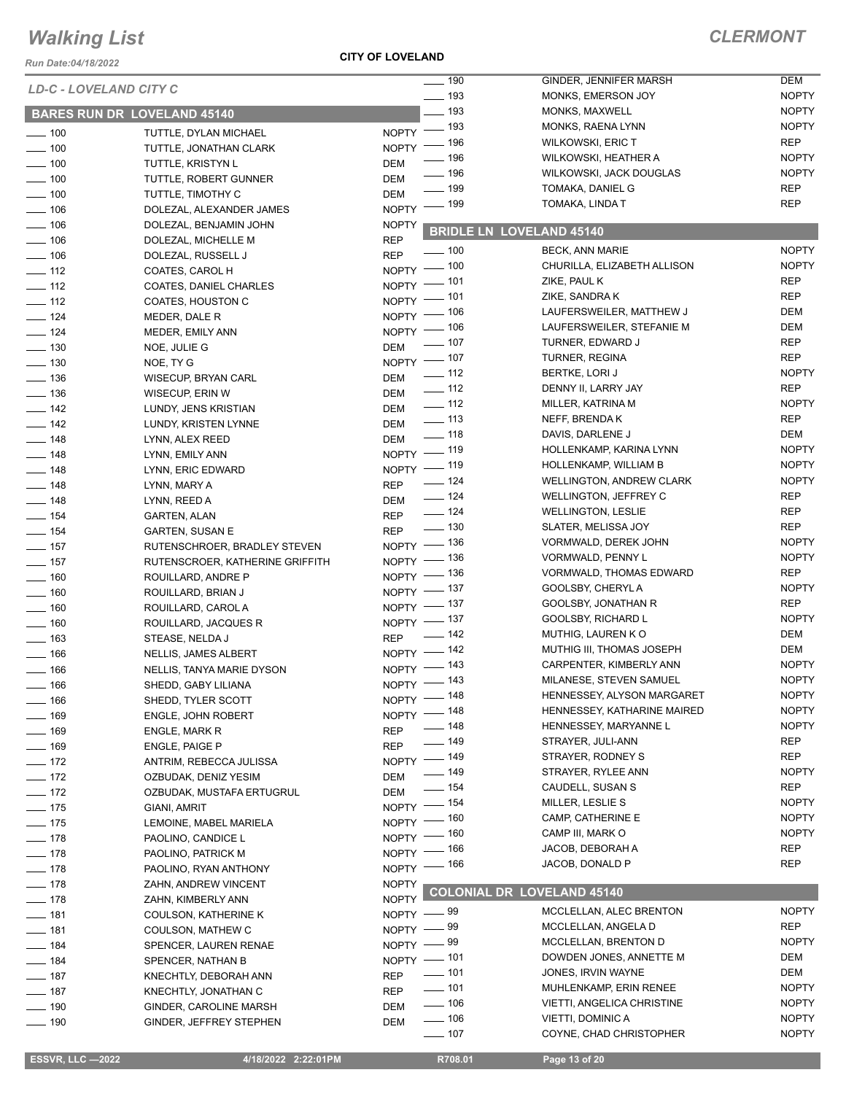*Run Date:04/18/2022*

**CITY OF LOVELAND**

| <b>LD-C - LOVELAND CITY C</b> |                                    | $- 190$                          | GINDER, JENNIFER MARSH            | <b>DEM</b>   |
|-------------------------------|------------------------------------|----------------------------------|-----------------------------------|--------------|
|                               |                                    | $\frac{1}{2}$ 193                | MONKS, EMERSON JOY                | <b>NOPTY</b> |
|                               | <b>BARES RUN DR LOVELAND 45140</b> | $-193$                           | MONKS, MAXWELL                    | <b>NOPTY</b> |
| $\frac{1}{2}$ 100             |                                    | NOPTY - 193                      | MONKS, RAENA LYNN                 | <b>NOPTY</b> |
|                               | TUTTLE, DYLAN MICHAEL              | NOPTY - 196                      | <b>WILKOWSKI, ERIC T</b>          | <b>REP</b>   |
| $- 100$                       | TUTTLE, JONATHAN CLARK             | - 196                            | WILKOWSKI, HEATHER A              | <b>NOPTY</b> |
| $\frac{1}{2}$ 100             | <b>TUTTLE, KRISTYN L</b>           | DEM<br>$-196$                    | WILKOWSKI, JACK DOUGLAS           | <b>NOPTY</b> |
| $- 100$                       | TUTTLE, ROBERT GUNNER              | <b>DEM</b><br>$-199$             | TOMAKA, DANIEL G                  | <b>REP</b>   |
| $\frac{1}{2}$ 100             | TUTTLE, TIMOTHY C                  | <b>DEM</b><br>$\frac{1}{2}$ 199  | TOMAKA, LINDA T                   | <b>REP</b>   |
| $- 106$                       | DOLEZAL, ALEXANDER JAMES           | <b>NOPTY</b>                     |                                   |              |
| $- 106$                       | DOLEZAL, BENJAMIN JOHN             | <b>NOPTY</b>                     | <b>BRIDLE LN LOVELAND 45140</b>   |              |
| $- 106$                       | DOLEZAL, MICHELLE M                | <b>REP</b>                       |                                   |              |
| $\frac{1}{2}$ 106             | DOLEZAL, RUSSELL J                 | $- 100$<br><b>REP</b>            | <b>BECK, ANN MARIE</b>            | <b>NOPTY</b> |
| $-112$                        | COATES, CAROL H                    | NOPTY - 100                      | CHURILLA, ELIZABETH ALLISON       | <b>NOPTY</b> |
| $\frac{1}{2}$ 112             | <b>COATES, DANIEL CHARLES</b>      | NOPTY - 101                      | ZIKE, PAUL K                      | <b>REP</b>   |
| $-112$                        | COATES, HOUSTON C                  | NOPTY - 101                      | ZIKE, SANDRA K                    | <b>REP</b>   |
| $- 124$                       | MEDER, DALE R                      | NOPTY - 106                      | LAUFERSWEILER, MATTHEW J          | DEM          |
| $-$ 124                       | MEDER, EMILY ANN                   | NOPTY - 106                      | LAUFERSWEILER, STEFANIE M         | DEM          |
| $- 130$                       | NOE, JULIE G                       | $\frac{1}{2}$ 107<br>DEM         | TURNER, EDWARD J                  | <b>REP</b>   |
| $\frac{1}{2}$ 130             | NOE, TY G                          | NOPTY - 107                      | TURNER, REGINA                    | <b>REP</b>   |
|                               |                                    | $\frac{1}{2}$ 112<br>DEM         | <b>BERTKE, LORI J</b>             | <b>NOPTY</b> |
| $\frac{1}{2}$ 136             | WISECUP, BRYAN CARL                | $\frac{1}{2}$ 112                | DENNY II, LARRY JAY               | <b>REP</b>   |
| $\frac{1}{2}$ 136             | WISECUP, ERIN W                    | DEM<br>$- 112$                   | MILLER, KATRINA M                 | <b>NOPTY</b> |
| $-$ 142                       | LUNDY, JENS KRISTIAN               | DEM<br>$\frac{1}{2}$ 113         | NEFF, BRENDAK                     | <b>REP</b>   |
| $-$ 142                       | LUNDY, KRISTEN LYNNE               | DEM<br>$- 118$                   |                                   | <b>DEM</b>   |
| $- 148$                       | LYNN, ALEX REED                    | DEM                              | DAVIS, DARLENE J                  |              |
| $- 148$                       | LYNN, EMILY ANN                    | NOPTY - 119                      | HOLLENKAMP, KARINA LYNN           | <b>NOPTY</b> |
| $\frac{1}{2}$ 148             | LYNN, ERIC EDWARD                  | NOPTY - 119                      | HOLLENKAMP, WILLIAM B             | <b>NOPTY</b> |
| $- 148$                       | LYNN, MARY A                       | $- 124$<br><b>REP</b>            | <b>WELLINGTON, ANDREW CLARK</b>   | <b>NOPTY</b> |
| $- 148$                       | LYNN, REED A                       | $- 124$<br>DEM                   | <b>WELLINGTON, JEFFREY C</b>      | <b>REP</b>   |
| $- 154$                       | <b>GARTEN, ALAN</b>                | $- 124$<br>REP                   | <b>WELLINGTON, LESLIE</b>         | <b>REP</b>   |
| $- 154$                       | GARTEN, SUSAN E                    | $\frac{1}{2}$ 130<br><b>REP</b>  | SLATER, MELISSA JOY               | <b>REP</b>   |
| $- 157$                       | RUTENSCHROER, BRADLEY STEVEN       | NOPTY - 136                      | VORMWALD, DEREK JOHN              | <b>NOPTY</b> |
| $\frac{1}{2}$ 157             | RUTENSCROER, KATHERINE GRIFFITH    | NOPTY - 136                      | VORMWALD, PENNY L                 | <b>NOPTY</b> |
|                               |                                    | NOPTY - 136                      | <b>VORMWALD, THOMAS EDWARD</b>    | <b>REP</b>   |
| $\frac{1}{160}$               | ROUILLARD, ANDRE P                 | NOPTY - 137                      | GOOLSBY, CHERYL A                 | <b>NOPTY</b> |
| $- 160$                       | ROUILLARD, BRIAN J                 | NOPTY - 137                      | GOOLSBY, JONATHAN R               | <b>REP</b>   |
| $- 160$                       | ROUILLARD, CAROL A                 |                                  | GOOLSBY, RICHARD L                | <b>NOPTY</b> |
| $- 160$                       | ROUILLARD, JACQUES R               | NOPTY - 137<br>$\frac{1}{2}$ 142 |                                   | <b>DEM</b>   |
| $- 163$                       | STEASE, NELDA J                    | <b>REP</b>                       | MUTHIG, LAUREN KO                 |              |
| $- 166$                       | NELLIS, JAMES ALBERT               | NOPTY - 142                      | MUTHIG III, THOMAS JOSEPH         | <b>DEM</b>   |
| $- 166$                       | NELLIS, TANYA MARIE DYSON          | NOPTY - 143                      | CARPENTER, KIMBERLY ANN           | <b>NOPTY</b> |
| $-$ 166                       | SHEDD, GABY LILIANA                | NOPTY - 143                      | MILANESE, STEVEN SAMUEL           | <b>NOPTY</b> |
| $\frac{1}{166}$               | SHEDD, TYLER SCOTT                 | NOPTY - 148                      | HENNESSEY, ALYSON MARGARET        | <b>NOPTY</b> |
| $- 169$                       | <b>ENGLE, JOHN ROBERT</b>          | NOPTY - 148                      | HENNESSEY, KATHARINE MAIRED       | <b>NOPTY</b> |
| $- 169$                       | ENGLE, MARK R                      | $- 148$<br><b>REP</b>            | HENNESSEY, MARYANNE L             | <b>NOPTY</b> |
| $- 169$                       | ENGLE, PAIGE P                     | $- 149$<br><b>REP</b>            | STRAYER, JULI-ANN                 | REP          |
|                               |                                    | NOPTY - 149                      | STRAYER, RODNEY S                 | <b>REP</b>   |
| $- 172$                       | ANTRIM, REBECCA JULISSA            | $- 149$                          | STRAYER, RYLEE ANN                | <b>NOPTY</b> |
| $-172$                        | OZBUDAK, DENIZ YESIM               | DEM<br>$- 154$                   | CAUDELL, SUSAN S                  | REP          |
| $-172$                        | OZBUDAK, MUSTAFA ERTUGRUL          | DEM                              | MILLER, LESLIE S                  | <b>NOPTY</b> |
| $- 175$                       | GIANI, AMRIT                       | NOPTY - 154                      | CAMP, CATHERINE E                 | <b>NOPTY</b> |
| $- 175$                       | LEMOINE, MABEL MARIELA             | NOPTY - 160                      |                                   |              |
| $- 178$                       | PAOLINO, CANDICE L                 | NOPTY - 160                      | CAMP III, MARK O                  | <b>NOPTY</b> |
| $- 178$                       | PAOLINO, PATRICK M                 | NOPTY - 166                      | JACOB, DEBORAH A                  | REP          |
| $- 178$                       | PAOLINO, RYAN ANTHONY              | NOPTY - 166                      | JACOB, DONALD P                   | <b>REP</b>   |
| $- 178$                       | ZAHN, ANDREW VINCENT               | <b>NOPTY</b>                     |                                   |              |
| $- 178$                       | ZAHN, KIMBERLY ANN                 | <b>NOPTY</b>                     | <b>COLONIAL DR LOVELAND 45140</b> |              |
| $- 181$                       | COULSON, KATHERINE K               | NOPTY -89                        | MCCLELLAN, ALEC BRENTON           | <b>NOPTY</b> |
| $- 181$                       | COULSON, MATHEW C                  | NOPTY -89                        | MCCLELLAN, ANGELA D               | <b>REP</b>   |
| $- 184$                       |                                    | NOPTY -89                        | MCCLELLAN, BRENTON D              | <b>NOPTY</b> |
|                               | SPENCER, LAUREN RENAE              | NOPTY - 101                      | DOWDEN JONES, ANNETTE M           | DEM          |
| $- 184$                       | <b>SPENCER, NATHAN B</b>           | $- 101$                          | JONES, IRVIN WAYNE                | DEM          |
| $- 187$                       | KNECHTLY, DEBORAH ANN              | <b>REP</b><br>$- 101$            | MUHLENKAMP, ERIN RENEE            | <b>NOPTY</b> |
| $- 187$                       | KNECHTLY, JONATHAN C               | <b>REP</b>                       |                                   |              |
| $- 190$                       | GINDER, CAROLINE MARSH             | $- 106$<br>DEM                   | VIETTI, ANGELICA CHRISTINE        | <b>NOPTY</b> |
| $- 190$                       | GINDER, JEFFREY STEPHEN            | $- 106$<br>DEM                   | VIETTI, DOMINIC A                 | <b>NOPTY</b> |
|                               |                                    | $- 107$                          | COYNE, CHAD CHRISTOPHER           | <b>NOPTY</b> |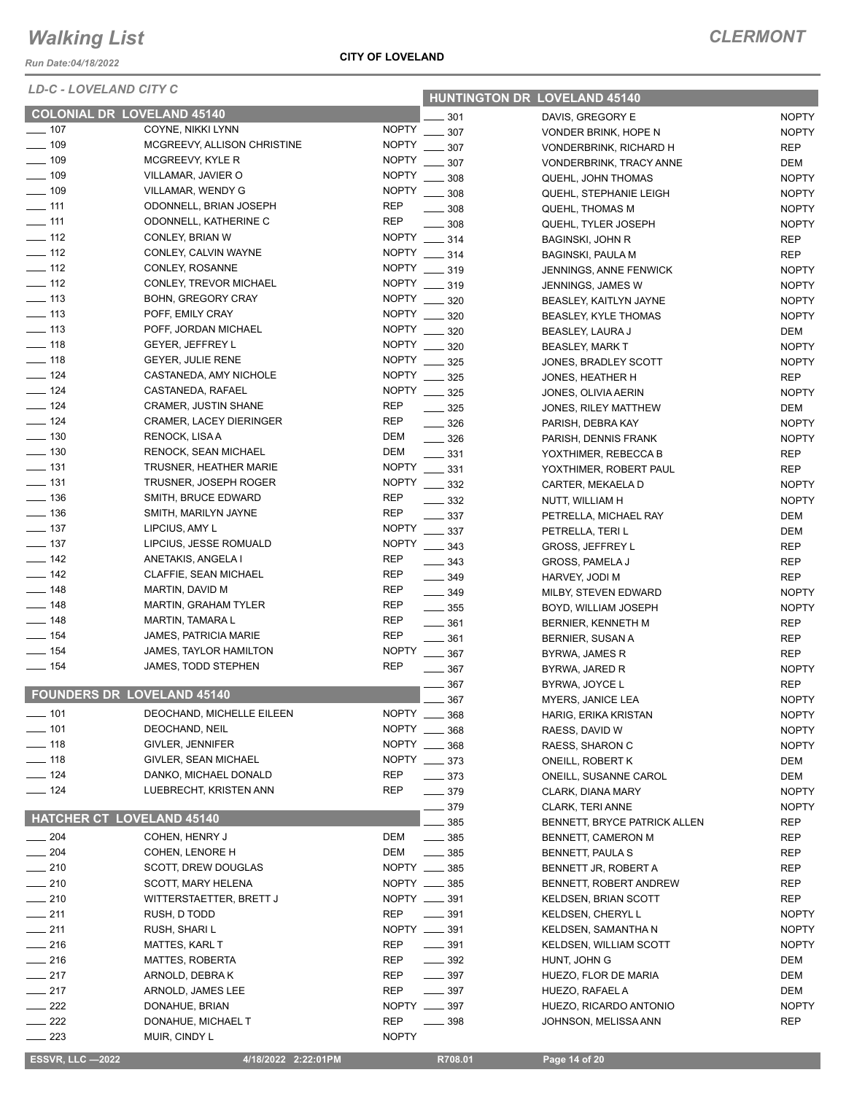*Run Date:04/18/2022*

*LD-C - LOVELAND CITY C*

#### **CITY OF LOVELAND**

| LUV - LUVLLAND VIII V        |                                               |              |                              | <b>HUNTINGTON DR LOVELAND 45140</b>                   |                     |
|------------------------------|-----------------------------------------------|--------------|------------------------------|-------------------------------------------------------|---------------------|
|                              | <b>COLONIAL DR LOVELAND 45140</b>             |              | 301                          | DAVIS, GREGORY E                                      | <b>NOPTY</b>        |
| $\frac{1}{2}$ 107            | COYNE, NIKKI LYNN                             | <b>NOPTY</b> | 307                          | VONDER BRINK, HOPE N                                  | <b>NOPTY</b>        |
| $- 109$                      | MCGREEVY, ALLISON CHRISTINE                   | <b>NOPTY</b> | 307                          | VONDERBRINK, RICHARD H                                | <b>REP</b>          |
| $\frac{1}{2}$ 109            | MCGREEVY, KYLE R                              | <b>NOPTY</b> | 307                          | VONDERBRINK, TRACY ANNE                               | DEM                 |
| $- 109$                      | VILLAMAR, JAVIER O                            | <b>NOPTY</b> | 308                          | QUEHL, JOHN THOMAS                                    | <b>NOPTY</b>        |
| $- 109$                      | VILLAMAR, WENDY G                             | <b>NOPTY</b> | 308                          | QUEHL, STEPHANIE LEIGH                                | <b>NOPTY</b>        |
| $-111$                       | ODONNELL, BRIAN JOSEPH                        | <b>REP</b>   | 308                          | QUEHL, THOMAS M                                       | <b>NOPTY</b>        |
| $- 111$                      | ODONNELL, KATHERINE C                         | <b>REP</b>   | 308                          | QUEHL, TYLER JOSEPH                                   | <b>NOPTY</b>        |
| $\equiv$ 112                 | CONLEY, BRIAN W                               | <b>NOPTY</b> | 314                          | <b>BAGINSKI, JOHN R</b>                               | <b>REP</b>          |
| $\frac{1}{2}$ 112            | CONLEY, CALVIN WAYNE                          | <b>NOPTY</b> | $\frac{1}{2}$ 314            | <b>BAGINSKI, PAULA M</b>                              | <b>REP</b>          |
| $- 112$                      | CONLEY, ROSANNE                               | <b>NOPTY</b> | $\frac{1}{2}$ 319            | JENNINGS, ANNE FENWICK                                | <b>NOPTY</b>        |
| $\frac{1}{2}$ 112            | CONLEY, TREVOR MICHAEL                        | <b>NOPTY</b> | $- 319$                      | JENNINGS, JAMES W                                     | <b>NOPTY</b>        |
| $\frac{1}{2}$ 113            | <b>BOHN, GREGORY CRAY</b>                     | <b>NOPTY</b> | 320                          | BEASLEY, KAITLYN JAYNE                                | <b>NOPTY</b>        |
| $- 113$                      | POFF, EMILY CRAY                              | <b>NOPTY</b> | 320                          | <b>BEASLEY, KYLE THOMAS</b>                           | <b>NOPTY</b>        |
| $\frac{1}{2}$ 113            | POFF, JORDAN MICHAEL                          | <b>NOPTY</b> | 320                          | BEASLEY, LAURA J                                      | DEM                 |
| $- 118$                      | <b>GEYER, JEFFREY L</b>                       | <b>NOPTY</b> | 320                          | <b>BEASLEY, MARK T</b>                                | <b>NOPTY</b>        |
| $\frac{1}{2}$ 118            | GEYER, JULIE RENE                             | <b>NOPTY</b> | 325                          | JONES, BRADLEY SCOTT                                  | <b>NOPTY</b>        |
| $\frac{1}{2}$ 124            | CASTANEDA, AMY NICHOLE                        | <b>NOPTY</b> | 325                          | JONES, HEATHER H                                      | <b>REP</b>          |
| $\frac{1}{2}$ 124            | CASTANEDA, RAFAEL                             | <b>NOPTY</b> | $\frac{1}{2}$ 325            | JONES, OLIVIA AERIN                                   | <b>NOPTY</b>        |
| $- 124$                      | <b>CRAMER, JUSTIN SHANE</b>                   | <b>REP</b>   | 325                          | JONES, RILEY MATTHEW                                  | DEM                 |
| $\equiv$ 124                 | <b>CRAMER, LACEY DIERINGER</b>                | <b>REP</b>   | 326                          | PARISH, DEBRA KAY                                     | <b>NOPTY</b>        |
| $\frac{1}{2}$ 130            | RENOCK, LISA A                                | DEM          | $\frac{1}{2}$ 326            | PARISH, DENNIS FRANK                                  | <b>NOPTY</b>        |
| $\frac{1}{2}$ 130            | RENOCK, SEAN MICHAEL                          | DEM          | $\equiv$ 331                 | YOXTHIMER, REBECCA B                                  | <b>REP</b>          |
| $\frac{1}{2}$ 131            | TRUSNER, HEATHER MARIE                        | <b>NOPTY</b> | 331                          | YOXTHIMER, ROBERT PAUL                                | <b>REP</b>          |
| $- 131$                      | TRUSNER, JOSEPH ROGER                         | <b>NOPTY</b> | 332                          | CARTER, MEKAELA D                                     | <b>NOPTY</b>        |
| $- 136$                      | SMITH, BRUCE EDWARD                           | <b>REP</b>   | $\equiv$ 332                 | NUTT, WILLIAM H                                       | <b>NOPTY</b>        |
| $\frac{1}{2}$ 136            | SMITH, MARILYN JAYNE                          | <b>REP</b>   | $\frac{1}{2}$ 337            | PETRELLA, MICHAEL RAY                                 | DEM                 |
| $\frac{1}{2}$ 137            | LIPCIUS, AMY L                                | <b>NOPTY</b> | 337                          | PETRELLA, TERI L                                      | <b>DEM</b>          |
| $\frac{1}{2}$ 137            | LIPCIUS, JESSE ROMUALD                        | <b>NOPTY</b> | $- 343$                      | <b>GROSS, JEFFREY L</b>                               | <b>REP</b>          |
| $\frac{1}{2}$ 142            | ANETAKIS, ANGELA I                            | <b>REP</b>   | $\frac{1}{2}$ 343            | <b>GROSS, PAMELA J</b>                                | REP                 |
| $\frac{1}{2}$ 142            | CLAFFIE, SEAN MICHAEL                         | <b>REP</b>   | $\frac{1}{2}$ 349            | HARVEY, JODI M                                        | <b>REP</b>          |
| $\frac{1}{2}$ 148            | MARTIN, DAVID M                               | REP          | $\frac{1}{2}$ 349            | MILBY, STEVEN EDWARD                                  | <b>NOPTY</b>        |
| $\frac{1}{2}$ 148            | <b>MARTIN, GRAHAM TYLER</b>                   | <b>REP</b>   | $\frac{1}{2}$ 355            | BOYD, WILLIAM JOSEPH                                  | <b>NOPTY</b>        |
| $\equiv$ 148                 | <b>MARTIN, TAMARA L</b>                       | <b>REP</b>   | $\frac{1}{2}$ 361            | BERNIER, KENNETH M                                    | <b>REP</b>          |
| $\frac{1}{2}$ 154            | <b>JAMES, PATRICIA MARIE</b>                  | <b>REP</b>   | 361                          | BERNIER, SUSAN A                                      | REP                 |
| $- 154$                      | JAMES, TAYLOR HAMILTON                        | <b>NOPTY</b> | 367                          | BYRWA, JAMES R                                        | <b>REP</b>          |
| $- 154$                      | JAMES, TODD STEPHEN                           | REP          | $\frac{1}{2}$ 367            | BYRWA, JARED R                                        | <b>NOPTY</b>        |
|                              | <b>FOUNDERS DR LOVELAND 45140</b>             |              | 367                          | BYRWA, JOYCE L                                        | <b>REP</b>          |
|                              |                                               |              | 367                          | MYERS, JANICE LEA                                     | <b>NOPTY</b>        |
| ____ 101                     | DEOCHAND, MICHELLE EILEEN                     |              | $NOPTY$ ___ 368              | HARIG, ERIKA KRISTAN                                  | <b>NOPTY</b>        |
| $- 101$<br>$\frac{1}{2}$ 118 | DEOCHAND, NEIL                                |              | NOPTY __ 368<br>NOPTY __ 368 | RAESS, DAVID W                                        | <b>NOPTY</b>        |
| $\frac{1}{2}$ 118            | GIVLER, JENNIFER                              |              | NOPTY __ 373                 | RAESS, SHARON C                                       | <b>NOPTY</b>        |
| $- 124$                      | GIVLER, SEAN MICHAEL<br>DANKO, MICHAEL DONALD | <b>REP</b>   |                              | ONEILL, ROBERT K                                      | DEM                 |
| $- 124$                      | LUEBRECHT, KRISTEN ANN                        | <b>REP</b>   | $\frac{1}{2}$ 373            | ONEILL, SUSANNE CAROL                                 | DEM<br><b>NOPTY</b> |
|                              |                                               |              | $- 379$                      | CLARK, DIANA MARY                                     |                     |
|                              | <b>HATCHER CT LOVELAND 45140</b>              |              | 379                          | <b>CLARK, TERI ANNE</b>                               | <b>NOPTY</b>        |
| $\frac{1}{204}$              | COHEN, HENRY J                                | DEM          | 385<br>$\frac{1}{2}$ 385     | BENNETT, BRYCE PATRICK ALLEN                          | REP                 |
| $\frac{1}{204}$              | COHEN, LENORE H                               | DEM          | $\frac{1}{2}$ 385            | BENNETT, CAMERON M                                    | REP                 |
| $\sim$ 210                   |                                               |              | NOPTY __ 385                 | BENNETT, PAULA S                                      | REP                 |
| $-210$                       | SCOTT, DREW DOUGLAS<br>SCOTT, MARY HELENA     |              | NOPTY __ 385                 | BENNETT JR, ROBERT A                                  | REP<br>REP          |
| $-210$                       | WITTERSTAETTER, BRETT J                       |              | NOPTY __ 391                 | BENNETT, ROBERT ANDREW<br><b>KELDSEN, BRIAN SCOTT</b> | <b>REP</b>          |
| $\frac{1}{211}$              | RUSH, D TODD                                  | REP          | $\frac{1}{2}$ 391            | KELDSEN, CHERYL L                                     | <b>NOPTY</b>        |
| $\frac{1}{211}$              | RUSH, SHARI L                                 |              | NOPTY __ 391                 | KELDSEN, SAMANTHA N                                   | <b>NOPTY</b>        |
| $-216$                       | MATTES, KARL T                                | <b>REP</b>   | $\frac{1}{2}$ 391            | KELDSEN, WILLIAM SCOTT                                | <b>NOPTY</b>        |
| $\frac{1}{216}$              | MATTES, ROBERTA                               | <b>REP</b>   | $\frac{1}{2}$ 392            | HUNT, JOHN G                                          | DEM                 |
| $-217$                       | ARNOLD, DEBRAK                                | REP          | $- 397$                      | HUEZO, FLOR DE MARIA                                  | <b>DEM</b>          |
| $\frac{1}{217}$              | ARNOLD, JAMES LEE                             | <b>REP</b>   | $\frac{1}{2}$ 397            | HUEZO, RAFAEL A                                       | DEM                 |
| $\frac{1}{222}$              | DONAHUE, BRIAN                                |              | NOPTY __ 397                 | HUEZO, RICARDO ANTONIO                                | <b>NOPTY</b>        |
| $\frac{1}{222}$              | DONAHUE, MICHAEL T                            | <b>REP</b>   | $\frac{1}{2}$ 398            | JOHNSON, MELISSA ANN                                  | REP                 |
| 223                          | MUIR, CINDY L                                 | <b>NOPTY</b> |                              |                                                       |                     |

 **ESSVR, LLC —2022 4/18/2022 2:22:01PM R708.01 Page 14 of 20**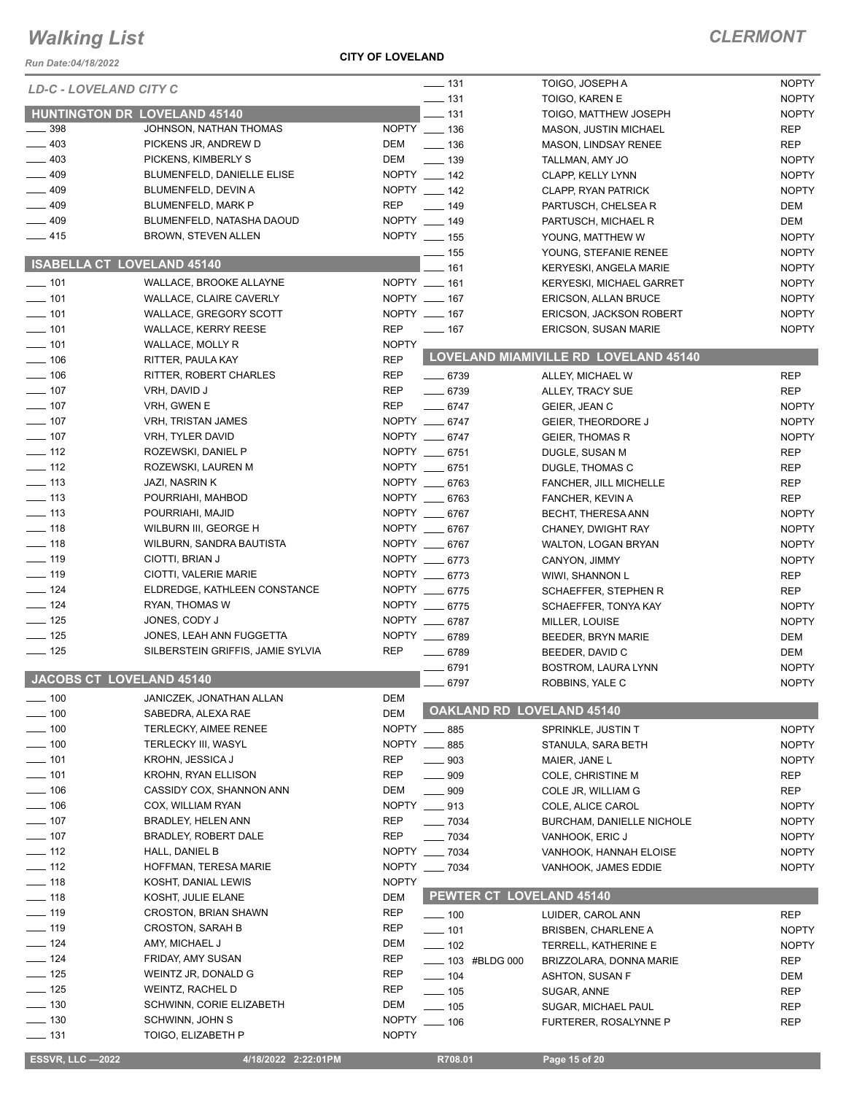*Run Date:04/18/2022*

**CITY OF LOVELAND**

| KUII Dale.04/10/∠022              |                                     |              |                                  |                                       |              |
|-----------------------------------|-------------------------------------|--------------|----------------------------------|---------------------------------------|--------------|
| <b>LD-C - LOVELAND CITY C</b>     |                                     |              | $\frac{1}{2}$ 131                | TOIGO, JOSEPH A                       | <b>NOPTY</b> |
|                                   |                                     |              | $\frac{1}{2}$ 131                | TOIGO, KAREN E                        | <b>NOPTY</b> |
| $\_\_$ 398                        | <b>HUNTINGTON DR LOVELAND 45140</b> | NOPTY __ 136 | $-131$                           | TOIGO, MATTHEW JOSEPH                 | <b>NOPTY</b> |
| $-403$                            | JOHNSON, NATHAN THOMAS              | DEM          | $- 136$                          | <b>MASON, JUSTIN MICHAEL</b>          | <b>REP</b>   |
|                                   | PICKENS JR, ANDREW D                |              |                                  | MASON, LINDSAY RENEE                  | <b>REP</b>   |
| $-403$                            | PICKENS, KIMBERLY S                 | DEM          | $\frac{1}{2}$ 139                | TALLMAN, AMY JO                       | <b>NOPTY</b> |
| $-409$                            | <b>BLUMENFELD, DANIELLE ELISE</b>   | NOPTY __ 142 |                                  | CLAPP, KELLY LYNN                     | <b>NOPTY</b> |
| $-409$                            | BLUMENFELD, DEVIN A                 | NOPTY __ 142 |                                  | <b>CLAPP, RYAN PATRICK</b>            | <b>NOPTY</b> |
| $-409$                            | BLUMENFELD, MARK P                  | <b>REP</b>   | $\frac{1}{2}$ 149                | PARTUSCH, CHELSEA R                   | DEM          |
| $\frac{1}{2}$ 409                 | BLUMENFELD, NATASHA DAOUD           | NOPTY __ 149 |                                  | PARTUSCH, MICHAEL R                   | DEM          |
| $-415$                            | <b>BROWN, STEVEN ALLEN</b>          | NOPTY __ 155 |                                  | YOUNG, MATTHEW W                      | <b>NOPTY</b> |
| <b>ISABELLA CT LOVELAND 45140</b> |                                     |              | $\frac{1}{2}$ 155                | YOUNG, STEFANIE RENEE                 | <b>NOPTY</b> |
|                                   |                                     |              | $-161$                           | KERYESKI, ANGELA MARIE                | <b>NOPTY</b> |
| $- 101$                           | WALLACE, BROOKE ALLAYNE             | NOPTY __ 161 |                                  | <b>KERYESKI, MICHAEL GARRET</b>       | <b>NOPTY</b> |
| $- 101$                           | WALLACE, CLAIRE CAVERLY             | NOPTY __ 167 |                                  | ERICSON, ALLAN BRUCE                  | <b>NOPTY</b> |
| $- 101$                           | WALLACE, GREGORY SCOTT              | NOPTY __ 167 |                                  | <b>ERICSON, JACKSON ROBERT</b>        | <b>NOPTY</b> |
| $- 101$                           | <b>WALLACE, KERRY REESE</b>         | <b>REP</b>   | $- 167$                          | ERICSON, SUSAN MARIE                  | <b>NOPTY</b> |
| $- 101$                           | WALLACE, MOLLY R                    | <b>NOPTY</b> |                                  |                                       |              |
| $\frac{1}{2}$ 106                 | RITTER, PAULA KAY                   | <b>REP</b>   |                                  | LOVELAND MIAMIVILLE RD LOVELAND 45140 |              |
| $- 106$                           | RITTER, ROBERT CHARLES              | REP          | $- 6739$                         | ALLEY, MICHAEL W                      | <b>REP</b>   |
| $- 107$                           | VRH, DAVID J                        | <b>REP</b>   | $- 6739$                         | ALLEY, TRACY SUE                      | <b>REP</b>   |
| $- 107$                           | VRH, GWEN E                         | REP          | $- 6747$                         | GEIER, JEAN C                         | <b>NOPTY</b> |
| $\frac{1}{2}$ 107                 | <b>VRH, TRISTAN JAMES</b>           |              | NOPTY __ 6747                    | <b>GEIER, THEORDORE J</b>             | <b>NOPTY</b> |
| $\frac{1}{2}$ 107                 | VRH, TYLER DAVID                    |              | NOPTY __ 6747                    | <b>GEIER, THOMAS R</b>                | <b>NOPTY</b> |
| $\frac{1}{2}$ 112                 | ROZEWSKI, DANIEL P                  |              | NOPTY __ 6751                    | DUGLE, SUSAN M                        | <b>REP</b>   |
| $\frac{1}{2}$ 112                 | ROZEWSKI, LAUREN M                  |              | NOPTY __ 6751                    | DUGLE, THOMAS C                       | <b>REP</b>   |
| $\frac{1}{2}$ 113                 | JAZI, NASRIN K                      |              | NOPTY __ 6763                    | FANCHER, JILL MICHELLE                | <b>REP</b>   |
| $\frac{1}{2}$ 113                 | POURRIAHI, MAHBOD                   |              | NOPTY __ 6763                    | FANCHER, KEVIN A                      | <b>REP</b>   |
| $\frac{1}{2}$ 113                 | POURRIAHI, MAJID                    |              | NOPTY __ 6767                    | BECHT, THERESA ANN                    | <b>NOPTY</b> |
| $- 118$                           | WILBURN III, GEORGE H               |              | NOPTY __ 6767                    | CHANEY, DWIGHT RAY                    | <b>NOPTY</b> |
| $- 118$                           | WILBURN, SANDRA BAUTISTA            |              | NOPTY __ 6767                    | WALTON, LOGAN BRYAN                   | <b>NOPTY</b> |
| $- 119$                           | CIOTTI, BRIAN J                     |              | NOPTY __ 6773                    | CANYON, JIMMY                         | <b>NOPTY</b> |
| $\frac{1}{2}$ 119                 | CIOTTI, VALERIE MARIE               |              | NOPTY __ 6773                    | WIWI, SHANNON L                       | <b>REP</b>   |
| $\frac{1}{2}$ 124                 | ELDREDGE, KATHLEEN CONSTANCE        |              | NOPTY __ 6775                    | SCHAEFFER, STEPHEN R                  | <b>REP</b>   |
| $\frac{1}{2}$ 124                 | RYAN, THOMAS W                      |              | NOPTY __ 6775                    | SCHAEFFER, TONYA KAY                  | <b>NOPTY</b> |
| $\frac{1}{2}$ 125                 | JONES, CODY J                       |              | NOPTY __ 6787                    |                                       | <b>NOPTY</b> |
| $-125$                            | JONES, LEAH ANN FUGGETTA            |              | NOPTY __ 6789                    | MILLER, LOUISE                        | DEM          |
| $\frac{1}{2}$ 125                 | SILBERSTEIN GRIFFIS, JAMIE SYLVIA   | <b>REP</b>   | $- 6789$                         | BEEDER, BRYN MARIE<br>BEEDER, DAVID C |              |
|                                   |                                     |              |                                  |                                       | DEM          |
| JACOBS CT LOVELAND 45140          |                                     |              | $-6791$                          | <b>BOSTROM, LAURA LYNN</b>            | <b>NOPTY</b> |
|                                   |                                     |              | $-6797$                          | ROBBINS, YALE C                       | <b>NOPTY</b> |
| $\frac{1}{2}$ 100                 | JANICZEK, JONATHAN ALLAN            | DEM          | <b>OAKLAND RD LOVELAND 45140</b> |                                       |              |
| $- 100$                           | SABEDRA, ALEXA RAE                  | DEM          |                                  |                                       |              |
| $- 100$                           | <b>TERLECKY, AIMEE RENEE</b>        | NOPTY __ 885 |                                  | SPRINKLE, JUSTIN T                    | <b>NOPTY</b> |
| $-$ 100                           | <b>TERLECKY III, WASYL</b>          | NOPTY __ 885 |                                  | STANULA, SARA BETH                    | <b>NOPTY</b> |
| $-101$                            | KROHN, JESSICA J                    | <b>REP</b>   | $\sim$ 903                       | MAIER, JANE L                         | <b>NOPTY</b> |
| $- 101$                           | <b>KROHN, RYAN ELLISON</b>          | <b>REP</b>   | $\frac{1}{2}$ 909                | COLE, CHRISTINE M                     | <b>REP</b>   |
| $- 106$                           | CASSIDY COX, SHANNON ANN            | DEM          | $- 909$                          | COLE JR, WILLIAM G                    | <b>REP</b>   |
| $- 106$                           | COX, WILLIAM RYAN                   | NOPTY __ 913 |                                  | COLE, ALICE CAROL                     | <b>NOPTY</b> |
| $\sim$ 107                        | BRADLEY, HELEN ANN                  | REP          | $- 7034$                         | BURCHAM, DANIELLE NICHOLE             | <b>NOPTY</b> |
| $- 107$                           | BRADLEY, ROBERT DALE                | <b>REP</b>   | $- 7034$                         | VANHOOK, ERIC J                       | <b>NOPTY</b> |
| $\equiv$ 112                      | HALL, DANIEL B                      |              | NOPTY __ 7034                    | VANHOOK, HANNAH ELOISE                | <b>NOPTY</b> |
| $\frac{1}{2}$ 112                 | <b>HOFFMAN, TERESA MARIE</b>        |              | NOPTY __ 7034                    | VANHOOK, JAMES EDDIE                  | <b>NOPTY</b> |
| $- 118$                           | KOSHT, DANIAL LEWIS                 | <b>NOPTY</b> |                                  |                                       |              |
| $- 118$                           | KOSHT, JULIE ELANE                  | DEM          | PEWTER CT LOVELAND 45140         |                                       |              |
| $- 119$                           | <b>CROSTON, BRIAN SHAWN</b>         | <b>REP</b>   | $\frac{1}{2}$ 100                | LUIDER, CAROL ANN                     | <b>REP</b>   |
| $\frac{1}{2}$ 119                 | <b>CROSTON, SARAH B</b>             | REP          | $- 101$                          | <b>BRISBEN, CHARLENE A</b>            | <b>NOPTY</b> |
| $- 124$                           | AMY, MICHAEL J                      | <b>DEM</b>   | $- 102$                          | TERRELL, KATHERINE E                  | <b>NOPTY</b> |
| $-$ 124                           | FRIDAY, AMY SUSAN                   | REP          | <b>LEGENT 103 #BLDG 000</b>      | BRIZZOLARA, DONNA MARIE               | REP          |
| $-$ 125                           | WEINTZ JR, DONALD G                 | REP          | $- 104$                          | ASHTON, SUSAN F                       | <b>DEM</b>   |
| $- 125$                           | WEINTZ, RACHEL D                    | <b>REP</b>   | $\frac{1}{2}$ 105                | SUGAR, ANNE                           | <b>REP</b>   |
| $- 130$                           | SCHWINN, CORIE ELIZABETH            | DEM          | $\frac{1}{2}$ 105                |                                       | <b>REP</b>   |
| $\frac{1}{2}$ 130                 | SCHWINN, JOHN S                     | <b>NOPTY</b> | $\frac{1}{2}$ 106                | SUGAR, MICHAEL PAUL                   |              |
| $- 131$                           | TOIGO, ELIZABETH P                  | <b>NOPTY</b> |                                  | FURTERER, ROSALYNNE P                 | <b>REP</b>   |
|                                   |                                     |              |                                  |                                       |              |
| <b>ESSVR, LLC -2022</b>           | 4/18/2022 2:22:01PM                 |              | R708.01                          | Page 15 of 20                         |              |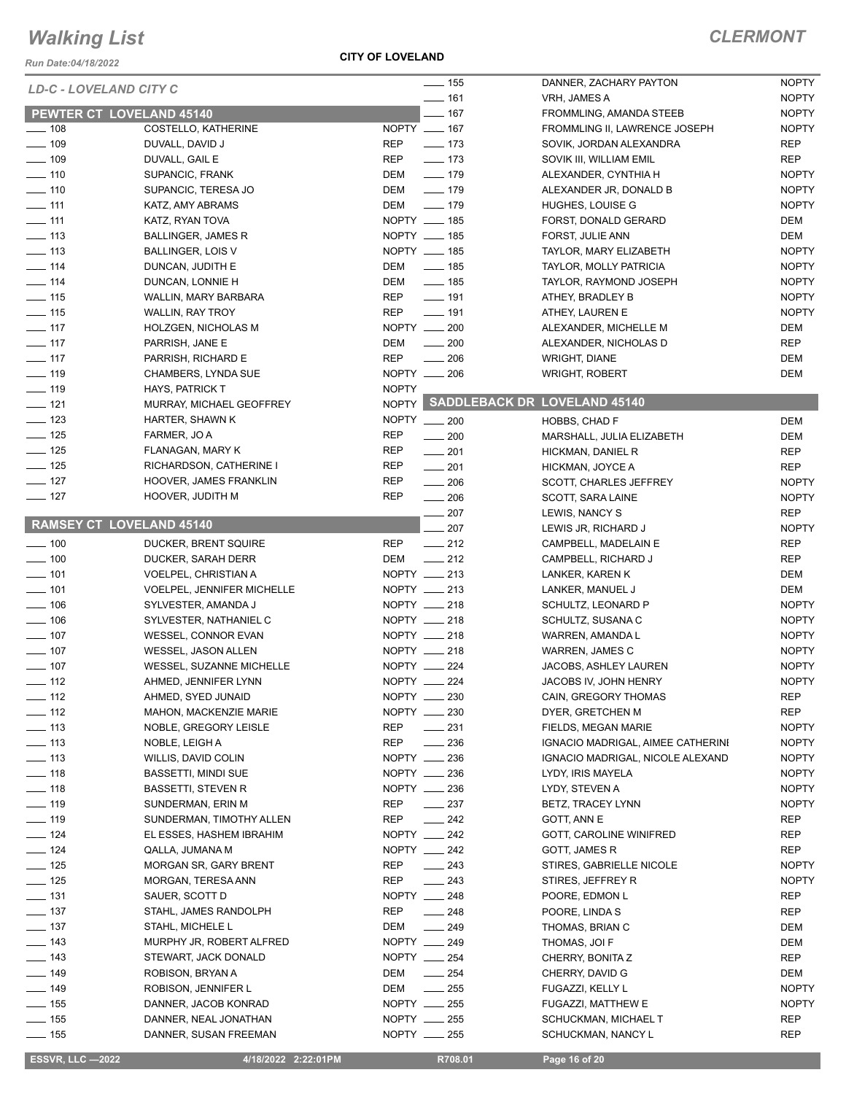*Run Date:04/18/2022*

**CITY OF LOVELAND**

|                   | LD-C - LOVELAND CITY C            | $\frac{1}{155}$               |     | DANNER, ZACHARY PAYTON             | <b>NOPTY</b> |
|-------------------|-----------------------------------|-------------------------------|-----|------------------------------------|--------------|
|                   |                                   | $- 161$                       |     | VRH, JAMES A                       | <b>NOPTY</b> |
|                   | PEWTER CT LOVELAND 45140          | $- 167$                       |     | FROMMLING, AMANDA STEEB            | <b>NOPTY</b> |
| $- 108$           | COSTELLO, KATHERINE               | NOPTY __ 167                  |     | FROMMLING II, LAWRENCE JOSEPH      | <b>NOPTY</b> |
| $- 109$           | DUVALL, DAVID J                   | $- 173$<br>REP                |     | SOVIK, JORDAN ALEXANDRA            | <b>REP</b>   |
| $\frac{1}{2}$ 109 | DUVALL, GAIL E                    | $- 173$<br>REP                |     | SOVIK III, WILLIAM EMIL            | <b>REP</b>   |
| $\frac{1}{2}$ 110 | SUPANCIC, FRANK                   | $- 179$<br>DEM                |     | ALEXANDER, CYNTHIA H               | <b>NOPTY</b> |
| $- 110$           | SUPANCIC, TERESA JO               | DEM<br>$\frac{1}{2}$ 179      |     | ALEXANDER JR, DONALD B             | <b>NOPTY</b> |
| $\frac{1}{111}$   | KATZ, AMY ABRAMS                  | DEM<br>$- 179$                |     | HUGHES, LOUISE G                   | <b>NOPTY</b> |
| $\frac{1}{111}$   | KATZ, RYAN TOVA                   | NOPTY __ 185                  |     | FORST, DONALD GERARD               | DEM          |
| $\frac{1}{2}$ 113 | BALLINGER, JAMES R                | NOPTY __ 185                  |     | FORST, JULIE ANN                   | DEM          |
| $\frac{1}{2}$ 113 | <b>BALLINGER, LOIS V</b>          | NOPTY __ 185                  |     | TAYLOR, MARY ELIZABETH             | <b>NOPTY</b> |
| $\frac{1}{2}$ 114 | DUNCAN, JUDITH E                  | $\frac{1}{2}$ 185<br>DEM      |     | TAYLOR, MOLLY PATRICIA             | <b>NOPTY</b> |
| $\frac{1}{114}$   | DUNCAN, LONNIE H                  | $\frac{1}{2}$ 185<br>DEM      |     | TAYLOR, RAYMOND JOSEPH             | <b>NOPTY</b> |
|                   |                                   | REP<br>$- 191$                |     |                                    | <b>NOPTY</b> |
| $- 115$           | WALLIN, MARY BARBARA              |                               |     | ATHEY, BRADLEY B                   |              |
| $- 115$           | WALLIN, RAY TROY                  | REP<br>$\frac{1}{2}$ 191      |     | ATHEY, LAUREN E                    | <b>NOPTY</b> |
| $\sim$ 117        | HOLZGEN, NICHOLAS M               | NOPTY __ 200                  |     | ALEXANDER, MICHELLE M              | DEM          |
| $- 117$           | PARRISH, JANE E                   | $\frac{1}{200}$<br>DEM        |     | ALEXANDER, NICHOLAS D              | <b>REP</b>   |
| $\frac{1}{2}$ 117 | PARRISH, RICHARD E                | <b>REP</b><br>$\frac{1}{206}$ |     | <b>WRIGHT, DIANE</b>               | DEM          |
| $- 119$           | CHAMBERS, LYNDA SUE               | NOPTY __ 206                  |     | <b>WRIGHT, ROBERT</b>              | DEM          |
| $- 119$           | HAYS, PATRICK T                   | <b>NOPTY</b>                  |     |                                    |              |
| $\frac{1}{2}$ 121 | MURRAY, MICHAEL GEOFFREY          |                               |     | NOPTY SADDLEBACK DR LOVELAND 45140 |              |
| $\frac{1}{2}$ 123 | HARTER, SHAWN K                   | NOPTY __ 200                  |     | HOBBS, CHAD F                      | DEM          |
| $- 125$           | FARMER, JO A                      | REP<br>$\sim$ 200             |     | MARSHALL, JULIA ELIZABETH          | DEM          |
| $\frac{1}{2}$ 125 | FLANAGAN, MARY K                  | REP<br>$\frac{1}{201}$        |     | HICKMAN, DANIEL R                  | <b>REP</b>   |
| $\frac{1}{2}$ 125 | RICHARDSON, CATHERINE I           | <b>REP</b><br>$\frac{1}{201}$ |     | HICKMAN, JOYCE A                   | <b>REP</b>   |
| $- 127$           | HOOVER, JAMES FRANKLIN            | <b>REP</b><br>$\frac{1}{206}$ |     | SCOTT, CHARLES JEFFREY             | <b>NOPTY</b> |
| $- 127$           | HOOVER, JUDITH M                  | <b>REP</b>                    |     |                                    |              |
|                   |                                   | $\frac{1}{206}$               |     | SCOTT, SARA LAINE                  | <b>NOPTY</b> |
|                   | <b>RAMSEY CT LOVELAND 45140</b>   |                               | 207 | LEWIS, NANCY S                     | <b>REP</b>   |
|                   |                                   |                               | 207 | LEWIS JR, RICHARD J                | <b>NOPTY</b> |
| $\frac{1}{2}$ 100 | DUCKER, BRENT SQUIRE              | <b>REP</b><br>$\frac{1}{212}$ |     | CAMPBELL, MADELAIN E               | <b>REP</b>   |
| $- 100$           | DUCKER, SARAH DERR                | $\frac{1}{212}$<br>DEM        |     | CAMPBELL, RICHARD J                | REP          |
| $\frac{1}{2}$ 101 | VOELPEL, CHRISTIAN A              | NOPTY __ 213                  |     | LANKER, KAREN K                    | DEM          |
| $\frac{1}{2}$ 101 | <b>VOELPEL, JENNIFER MICHELLE</b> | NOPTY __ 213                  |     | LANKER, MANUEL J                   | DEM          |
| $- 106$           | SYLVESTER, AMANDA J               | NOPTY __ 218                  |     | SCHULTZ, LEONARD P                 | <b>NOPTY</b> |
| $- 106$           | SYLVESTER, NATHANIEL C            | NOPTY __ 218                  |     | SCHULTZ, SUSANA C                  | <b>NOPTY</b> |
| $- 107$           | WESSEL, CONNOR EVAN               | NOPTY __ 218                  |     | WARREN, AMANDA L                   | <b>NOPTY</b> |
| $\frac{1}{2}$ 107 | WESSEL, JASON ALLEN               | NOPTY __ 218                  |     |                                    |              |
|                   |                                   |                               |     | <b>WARREN, JAMES C</b>             | <b>NOPTY</b> |
|                   | WESSEL, SUZANNE MICHELLE          | NOPTY __ 224                  |     |                                    | <b>NOPTY</b> |
| $- 107$           |                                   |                               |     | JACOBS, ASHLEY LAUREN              |              |
| $-$ 112           | AHMED, JENNIFER LYNN              | NOPTY __ 224                  |     | JACOBS IV, JOHN HENRY              | <b>NOPTY</b> |
| $\frac{1}{2}$ 112 | AHMED, SYED JUNAID                | NOPTY __ 230                  |     | CAIN, GREGORY THOMAS               | REP          |
| $\frac{1}{2}$ 112 | <b>MAHON, MACKENZIE MARIE</b>     | NOPTY __ 230                  |     | DYER, GRETCHEN M                   | REP          |
| $\frac{1}{2}$ 113 | NOBLE, GREGORY LEISLE             | $-231$<br>REP                 |     | FIELDS, MEGAN MARIE                | <b>NOPTY</b> |
| $- 113$           | NOBLE, LEIGH A                    | REP<br>$\frac{1}{2}$ 236      |     | IGNACIO MADRIGAL, AIMEE CATHERINI  | NOPTY        |
| $-113$            | WILLIS, DAVID COLIN               | NOPTY 236                     |     | IGNACIO MADRIGAL, NICOLE ALEXAND   | <b>NOPTY</b> |
| $- 118$           | <b>BASSETTI, MINDI SUE</b>        | NOPTY __ 236                  |     | LYDY, IRIS MAYELA                  | <b>NOPTY</b> |
| $- 118$           | BASSETTI, STEVEN R                | NOPTY __ 236                  |     | LYDY, STEVEN A                     | <b>NOPTY</b> |
| $\frac{1}{2}$ 119 | SUNDERMAN, ERIN M                 | $\frac{237}{2}$<br>REP        |     | BETZ, TRACEY LYNN                  | <b>NOPTY</b> |
| $- 119$           | SUNDERMAN, TIMOTHY ALLEN          | REP<br>$\frac{242}{2}$        |     | GOTT, ANN E                        | REP          |
| $- 124$           | EL ESSES, HASHEM IBRAHIM          | NOPTY __ 242                  |     | GOTT, CAROLINE WINIFRED            | REP          |
| $- 124$           | QALLA, JUMANA M                   | NOPTY __ 242                  |     | GOTT, JAMES R                      | <b>REP</b>   |
| $- 125$           | MORGAN SR, GARY BRENT             | $\frac{1}{243}$<br>REP        |     | STIRES, GABRIELLE NICOLE           | <b>NOPTY</b> |
|                   |                                   |                               |     |                                    |              |
| $\frac{1}{2}$ 125 | MORGAN, TERESA ANN                | $\frac{243}{2}$<br>REP        |     | STIRES, JEFFREY R                  | <b>NOPTY</b> |
| $\frac{1}{2}$ 131 | SAUER, SCOTT D                    | NOPTY __ 248                  |     | POORE, EDMON L                     | REP          |
| $\frac{1}{2}$ 137 | STAHL, JAMES RANDOLPH             | $\frac{1}{248}$<br>REP        |     | POORE, LINDA S                     | REP          |
| $- 137$           | STAHL, MICHELE L                  | $\frac{1}{249}$<br>DEM        |     | THOMAS, BRIAN C                    | DEM          |
| $\frac{1}{2}$ 143 | MURPHY JR, ROBERT ALFRED          | NOPTY __ 249                  |     | THOMAS, JOI F                      | DEM          |
| $\frac{1}{2}$ 143 | STEWART, JACK DONALD              | NOPTY __ 254                  |     | CHERRY, BONITA Z                   | REP          |
| $- 149$           | ROBISON, BRYAN A                  | $\sim$ 254<br>DEM             |     | CHERRY, DAVID G                    | DEM          |
| $- 149$           | ROBISON, JENNIFER L               | $\frac{1}{255}$<br>DEM        |     | FUGAZZI, KELLY L                   | <b>NOPTY</b> |
| $\frac{1}{2}$ 155 | DANNER, JACOB KONRAD              | NOPTY __ 255                  |     | FUGAZZI, MATTHEW E                 | <b>NOPTY</b> |
| $- 155$           | DANNER, NEAL JONATHAN             | NOPTY __ 255                  |     | SCHUCKMAN, MICHAEL T               | REP          |

 **ESSVR, LLC —2022 4/18/2022 2:22:01PM R708.01 Page 16 of 20**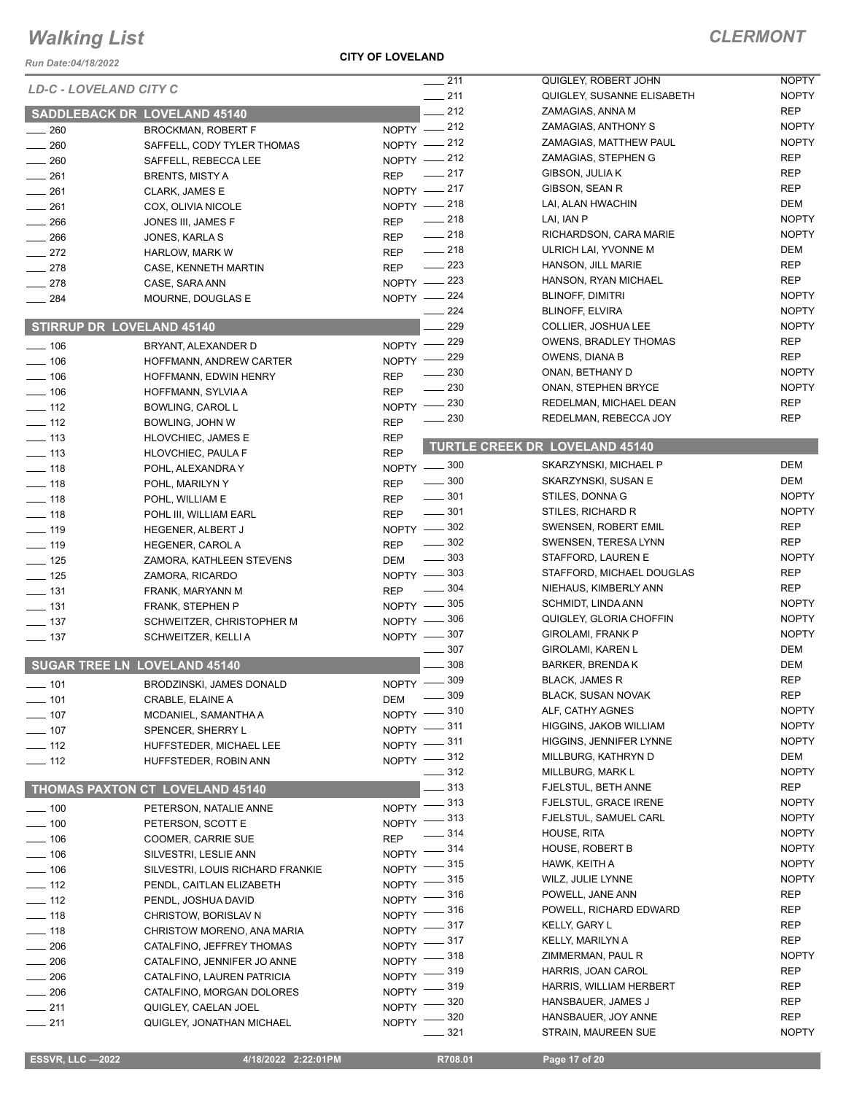*Run Date:04/18/2022*

### **CITY OF LOVELAND**

|                        |                                     |              | $\frac{1}{211}$                    | QUIGLEY, ROBERT JOHN                  | <b>NOPTY</b>      |
|------------------------|-------------------------------------|--------------|------------------------------------|---------------------------------------|-------------------|
| LD-C - LOVELAND CITY C |                                     |              | $-211$                             | QUIGLEY, SUSANNE ELISABETH            | <b>NOPTY</b>      |
|                        | <b>SADDLEBACK DR LOVELAND 45140</b> |              | $-212$                             | ZAMAGIAS, ANNA M                      | <b>REP</b>        |
| $\sim$ 260             |                                     |              | NOPTY -212                         | ZAMAGIAS, ANTHONY S                   | <b>NOPTY</b>      |
| $- 260$                | <b>BROCKMAN, ROBERT F</b>           |              | NOPTY -212                         | ZAMAGIAS, MATTHEW PAUL                | <b>NOPTY</b>      |
|                        | SAFFELL, CODY TYLER THOMAS          |              | NOPTY -212                         | ZAMAGIAS, STEPHEN G                   | <b>REP</b>        |
| $\frac{1}{260}$        | SAFFELL, REBECCA LEE                |              | $-217$                             | GIBSON, JULIA K                       | REP               |
| $\frac{1}{261}$        | <b>BRENTS, MISTY A</b>              | <b>REP</b>   | NOPTY -217                         | GIBSON, SEAN R                        | <b>REP</b>        |
| $-261$                 | CLARK, JAMES E                      |              |                                    | LAI, ALAN HWACHIN                     | <b>DEM</b>        |
| $\frac{1}{261}$        | COX, OLIVIA NICOLE                  |              | NOPTY -218<br>$-218$               | LAI, IAN P                            | <b>NOPTY</b>      |
| 266                    | JONES III, JAMES F                  | <b>REP</b>   | $\frac{1}{218}$                    | RICHARDSON, CARA MARIE                | <b>NOPTY</b>      |
| $\frac{1}{266}$        | JONES, KARLA S                      | <b>REP</b>   |                                    |                                       |                   |
| $-272$                 | <b>HARLOW, MARK W</b>               | <b>REP</b>   | $\frac{1}{218}$<br>$\frac{223}{2}$ | ULRICH LAI, YVONNE M                  | DEM<br><b>REP</b> |
| $-278$                 | CASE, KENNETH MARTIN                | <b>REP</b>   |                                    | HANSON, JILL MARIE                    |                   |
| $-278$                 | CASE, SARA ANN                      |              | NOPTY -223                         | HANSON, RYAN MICHAEL                  | <b>REP</b>        |
| $\frac{1}{284}$        | MOURNE, DOUGLAS E                   |              | NOPTY -224                         | <b>BLINOFF, DIMITRI</b>               | <b>NOPTY</b>      |
|                        |                                     |              | 224                                | <b>BLINOFF, ELVIRA</b>                | <b>NOPTY</b>      |
|                        | <b>STIRRUP DR LOVELAND 45140</b>    |              | 229                                | COLLIER, JOSHUA LEE                   | <b>NOPTY</b>      |
| $- 106$                | BRYANT, ALEXANDER D                 | $NOPTY$ –    | 229                                | <b>OWENS, BRADLEY THOMAS</b>          | <b>REP</b>        |
| $- 106$                | HOFFMANN, ANDREW CARTER             | NOPTY $-$    | 229                                | OWENS, DIANA B                        | <b>REP</b>        |
| $\frac{1}{2}$ 106      | HOFFMANN, EDWIN HENRY               | <b>REP</b>   | 230                                | ONAN, BETHANY D                       | <b>NOPTY</b>      |
| $- 106$                | HOFFMANN, SYLVIA A                  | <b>REP</b>   | 230                                | ONAN, STEPHEN BRYCE                   | <b>NOPTY</b>      |
| $\frac{1}{2}$ 112      | <b>BOWLING, CAROL L</b>             | <b>NOPTY</b> | 230                                | REDELMAN, MICHAEL DEAN                | <b>REP</b>        |
| $\frac{1}{2}$ 112      | BOWLING, JOHN W                     | <b>REP</b>   | 230                                | REDELMAN, REBECCA JOY                 | <b>REP</b>        |
| $\frac{1}{2}$ 113      | <b>HLOVCHIEC, JAMES E</b>           | <b>REP</b>   |                                    |                                       |                   |
| $- 113$                | HLOVCHIEC, PAULA F                  | <b>REP</b>   |                                    | <b>TURTLE CREEK DR LOVELAND 45140</b> |                   |
| $- 118$                | POHL, ALEXANDRA Y                   |              | NOPTY -800                         | SKARZYNSKI, MICHAEL P                 | <b>DEM</b>        |
| $\frac{1}{2}$ 118      | POHL, MARILYN Y                     | <b>REP</b>   | $\frac{1}{2}$ 300                  | SKARZYNSKI, SUSAN E                   | <b>DEM</b>        |
| $\frac{1}{2}$ 118      | POHL, WILLIAM E                     | <b>REP</b>   | $\frac{1}{2}$ 301                  | STILES, DONNA G                       | <b>NOPTY</b>      |
| $- 118$                | POHL III, WILLIAM EARL              | <b>REP</b>   | $\frac{1}{2}$ 301                  | STILES, RICHARD R                     | <b>NOPTY</b>      |
| $\frac{1}{2}$ 119      | HEGENER, ALBERT J                   |              | NOPTY -802                         | SWENSEN, ROBERT EMIL                  | <b>REP</b>        |
| $- 119$                |                                     | <b>REP</b>   | $\frac{1}{2}$ 302                  | SWENSEN, TERESA LYNN                  | <b>REP</b>        |
|                        | <b>HEGENER, CAROLA</b>              |              | $\frac{1}{2}$ 303                  | STAFFORD, LAUREN E                    | <b>NOPTY</b>      |
| $\frac{1}{2}$ 125      | ZAMORA, KATHLEEN STEVENS            | DEM          | NOPTY -803                         | STAFFORD, MICHAEL DOUGLAS             | <b>REP</b>        |
| $- 125$                | ZAMORA, RICARDO                     |              | $\frac{1}{2}$ 304                  | NIEHAUS, KIMBERLY ANN                 | <b>REP</b>        |
| $- 131$                | FRANK, MARYANN M                    | <b>REP</b>   | NOPTY -805                         | <b>SCHMIDT, LINDA ANN</b>             | <b>NOPTY</b>      |
| $\frac{1}{2}$ 131      | FRANK, STEPHEN P                    |              |                                    | QUIGLEY, GLORIA CHOFFIN               | <b>NOPTY</b>      |
| $\frac{1}{2}$ 137      | SCHWEITZER, CHRISTOPHER M           |              | NOPTY -806                         | <b>GIROLAMI, FRANK P</b>              | <b>NOPTY</b>      |
| $\frac{1}{2}$ 137      | SCHWEITZER, KELLI A                 |              | NOPTY -807                         | <b>GIROLAMI, KAREN L</b>              | <b>DEM</b>        |
|                        |                                     |              | 307<br>308                         |                                       |                   |
|                        | <b>SUGAR TREE LN LOVELAND 45140</b> |              |                                    | <b>BARKER, BRENDA K</b>               | <b>DEM</b>        |
| $- 101$                | <b>BRODZINSKI, JAMES DONALD</b>     |              | NOPTY -809                         | <b>BLACK, JAMES R</b>                 | <b>REP</b>        |
| $- 101$                | CRABLE, ELAINE A                    | DEM          | $\frac{1}{2}$ 309                  | <b>BLACK, SUSAN NOVAK</b>             | <b>REP</b>        |
| $\frac{1}{2}$ 107      | MCDANIEL, SAMANTHA A                |              | NOPTY -810                         | ALF, CATHY AGNES                      | <b>NOPTY</b>      |
| $- 107$                | SPENCER, SHERRY L                   |              | NOPTY -811                         | HIGGINS, JAKOB WILLIAM                | <b>NOPTY</b>      |
| $\frac{1}{2}$ 112      | HUFFSTEDER, MICHAEL LEE             |              | NOPTY $-$ 311                      | HIGGINS, JENNIFER LYNNE               | <b>NOPTY</b>      |
| $\frac{1}{2}$ 112      | HUFFSTEDER, ROBIN ANN               |              | NOPTY -812                         | MILLBURG, KATHRYN D                   | DEM               |
|                        |                                     |              | $\frac{1}{2}$ 312                  | MILLBURG, MARK L                      | <b>NOPTY</b>      |
|                        | THOMAS PAXTON CT LOVELAND 45140     |              | $\equiv$ 313                       | FJELSTUL, BETH ANNE                   | <b>REP</b>        |
| $\frac{1}{2}$ 100      | PETERSON, NATALIE ANNE              |              | NOPTY -813                         | FJELSTUL, GRACE IRENE                 | <b>NOPTY</b>      |
| $- 100$                | PETERSON, SCOTT E                   |              | NOPTY -813                         | FJELSTUL, SAMUEL CARL                 | <b>NOPTY</b>      |
| $\frac{1}{2}$ 106      | COOMER, CARRIE SUE                  | <b>REP</b>   | $\frac{1}{2}$ 314                  | HOUSE, RITA                           | <b>NOPTY</b>      |
| $- 106$                | SILVESTRI, LESLIE ANN               |              | NOPTY $-$ 314                      | <b>HOUSE, ROBERT B</b>                | <b>NOPTY</b>      |
| $- 106$                | SILVESTRI, LOUIS RICHARD FRANKIE    | $NOPTY$ -    | $-315$                             | HAWK, KEITH A                         | <b>NOPTY</b>      |
| $\frac{1}{2}$ 112      | PENDL, CAITLAN ELIZABETH            | NOPTY -      | 315                                | WILZ, JULIE LYNNE                     | <b>NOPTY</b>      |
| $\frac{1}{2}$ 112      | PENDL, JOSHUA DAVID                 | $NOPTY =$    | - 316                              | POWELL, JANE ANN                      | REP               |
|                        |                                     | $NOPTY =$    | . 316                              | POWELL, RICHARD EDWARD                | REP               |
| $\frac{1}{2}$ 118      | CHRISTOW, BORISLAV N                |              | NOPTY -817                         | KELLY, GARY L                         | REP               |
| $- 118$                | CHRISTOW MORENO, ANA MARIA          |              | NOPTY -817                         | KELLY, MARILYN A                      | <b>REP</b>        |
| $\frac{1}{206}$        | CATALFINO, JEFFREY THOMAS           |              | NOPTY -818                         | ZIMMERMAN, PAUL R                     | <b>NOPTY</b>      |
| $\frac{1}{206}$        | CATALFINO, JENNIFER JO ANNE         |              | NOPTY -819                         | HARRIS, JOAN CAROL                    | REP               |
| $\frac{1}{206}$        | CATALFINO, LAUREN PATRICIA          |              | _ 319                              | HARRIS, WILLIAM HERBERT               | <b>REP</b>        |
| $\frac{1}{206}$        | CATALFINO, MORGAN DOLORES           | $NOPTY =$    | . 320                              | HANSBAUER, JAMES J                    | REP               |
| $-211$                 | QUIGLEY, CAELAN JOEL                | $N$ OPTY -   | 320                                | HANSBAUER, JOY ANNE                   | <b>REP</b>        |
| $-211$                 | QUIGLEY, JONATHAN MICHAEL           | $NOPTY$ ––   | 321                                | STRAIN, MAUREEN SUE                   | <b>NOPTY</b>      |
|                        |                                     |              |                                    |                                       |                   |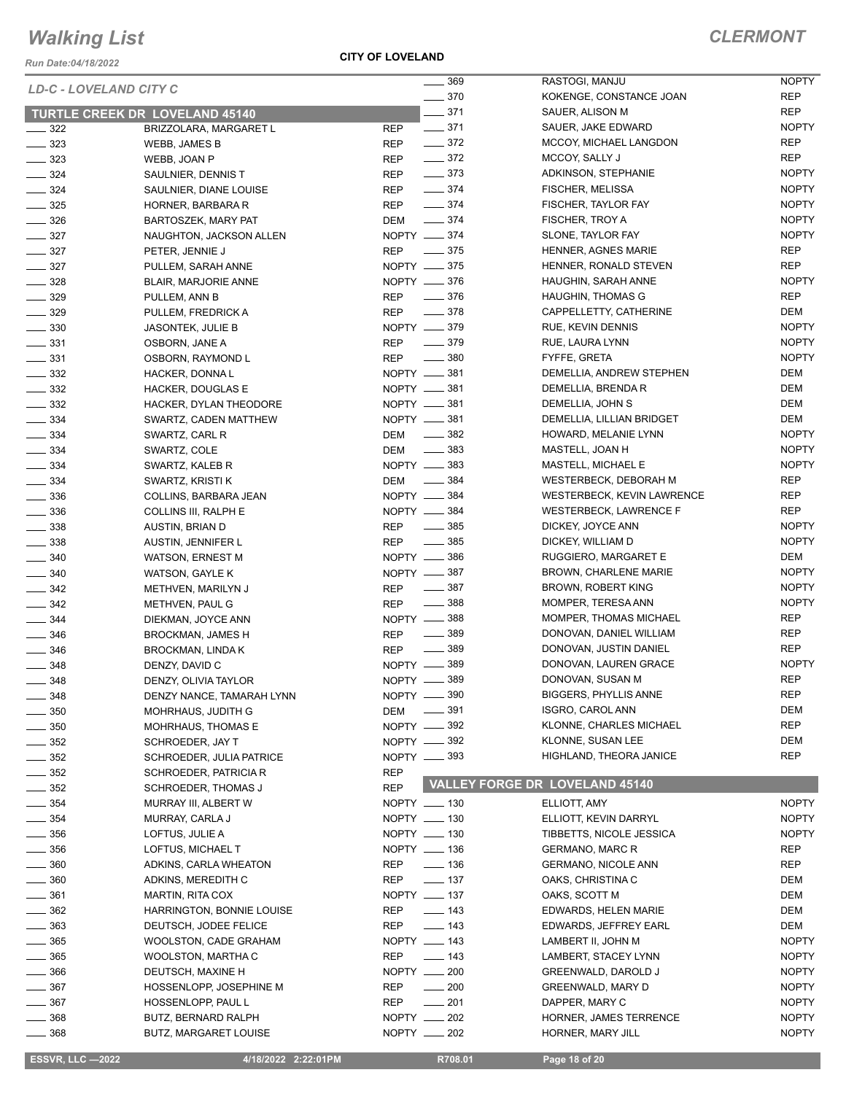*Run Date:04/18/2022*

#### *LD-C - LOVELAND CITY C*

**CITY OF LOVELAND**

| LD-C - LOVELAND CITY C |                                              | _ 369                           | RASTOGI, MANJU                              | <b>NOPTY</b>                 |
|------------------------|----------------------------------------------|---------------------------------|---------------------------------------------|------------------------------|
|                        |                                              | $\frac{1}{2}$ 370               | KOKENGE, CONSTANCE JOAN                     | REP                          |
|                        | <b>TURTLE CREEK DR LOVELAND 45140</b>        | $- 371$                         | SAUER, ALISON M                             | REP                          |
| $\frac{1}{2}$ 322      | BRIZZOLARA, MARGARET L                       | <b>REP</b><br>$\frac{1}{2}$ 371 | SAUER, JAKE EDWARD                          | <b>NOPTY</b>                 |
| $\frac{1}{2}$ 323      | WEBB, JAMES B                                | $\frac{1}{2}$ 372<br>REP        | MCCOY, MICHAEL LANGDON                      | REP                          |
| $- 323$                | WEBB, JOAN P                                 | $\frac{1}{2}$ 372<br>REP        | MCCOY, SALLY J                              | REP                          |
| $\frac{324}{ }$        | SAULNIER, DENNIS T                           | $- 373$<br>REP                  | ADKINSON, STEPHANIE                         | <b>NOPTY</b>                 |
| $\frac{1}{2}$ 324      | SAULNIER, DIANE LOUISE                       | $\frac{1}{2}$ 374<br>REP        | <b>FISCHER, MELISSA</b>                     | <b>NOPTY</b>                 |
| $\frac{1}{2}$ 325      | HORNER, BARBARA R                            | $-374$<br>REP                   | FISCHER, TAYLOR FAY                         | <b>NOPTY</b>                 |
| $\frac{1}{2}$ 326      | BARTOSZEK, MARY PAT                          | DEM -374                        | FISCHER, TROY A                             | <b>NOPTY</b>                 |
| $- 327$                | NAUGHTON, JACKSON ALLEN                      | NOPTY __ 374                    | SLONE, TAYLOR FAY                           | <b>NOPTY</b>                 |
| $\frac{327}{2}$        | PETER, JENNIE J                              | REP __ 375                      | HENNER, AGNES MARIE                         | REP                          |
| $\frac{1}{2}$ 327      | PULLEM, SARAH ANNE                           | NOPTY <u>_</u> 375              | HENNER, RONALD STEVEN                       | REP                          |
| $\frac{1}{2}$ 328      | BLAIR, MARJORIE ANNE                         | NOPTY __ 376                    | HAUGHIN, SARAH ANNE                         | <b>NOPTY</b>                 |
| $\frac{1}{2}$ 329      | PULLEM, ANN B                                | REP - 376                       | HAUGHIN, THOMAS G                           | REP                          |
| $- 329$                | PULLEM, FREDRICK A                           | $\frac{1}{2}$ 378<br><b>REP</b> | CAPPELLETTY, CATHERINE                      | DEM                          |
| $\frac{1}{2}$ 330      | JASONTEK, JULIE B                            | NOPTY -879                      | RUE, KEVIN DENNIS                           | <b>NOPTY</b>                 |
| $\frac{1}{2}$ 331      | OSBORN, JANE A                               | $\frac{1}{2}$ 379<br>REP        | RUE, LAURA LYNN                             | <b>NOPTY</b>                 |
| $\frac{331}{2}$        | OSBORN, RAYMOND L                            | <b>REP</b><br>$\frac{1}{2}$ 380 | FYFFE, GRETA                                | <b>NOPTY</b>                 |
| $\frac{332}{2}$        | HACKER, DONNA L                              | NOPTY -881                      | DEMELLIA, ANDREW STEPHEN                    | DEM                          |
| $\frac{1}{2}$ 332      | <b>HACKER, DOUGLAS E</b>                     | NOPTY -881                      | DEMELLIA, BRENDA R                          | DEM                          |
| $\frac{332}{2}$        | HACKER, DYLAN THEODORE                       | NOPTY -881                      | DEMELLIA, JOHN S                            | DEM                          |
| $\frac{1}{2}$ 334      | SWARTZ, CADEN MATTHEW                        | NOPTY __ 381                    | DEMELLIA, LILLIAN BRIDGET                   | DEM                          |
| $\frac{1}{2}$ 334      | SWARTZ, CARL R                               | DEM ______ 382                  | HOWARD, MELANIE LYNN                        | <b>NOPTY</b>                 |
| $\frac{1}{2}$ 334      | SWARTZ, COLE                                 | DEM -883                        | MASTELL, JOAN H                             | <b>NOPTY</b>                 |
| $\frac{1}{2}$ 334      | SWARTZ, KALEB R                              | NOPTY <u>_</u> 383              | MASTELL, MICHAEL E                          | <b>NOPTY</b>                 |
| $- 334$                | SWARTZ, KRISTI K                             | DEM -884                        | WESTERBECK, DEBORAH M                       | REP                          |
| $\frac{1}{2}$ 336      | COLLINS, BARBARA JEAN                        | NOPTY -884                      | WESTERBECK, KEVIN LAWRENCE                  | REP                          |
| $\frac{1}{2}$ 336      | COLLINS III, RALPH E                         | NOPTY __ 384                    | <b>WESTERBECK, LAWRENCE F</b>               | REP                          |
| $\frac{1}{2}$ 338      | AUSTIN, BRIAN D                              | $\sim$ 385<br>REP               | DICKEY, JOYCE ANN                           | <b>NOPTY</b>                 |
| $\frac{1}{2}$ 338      | AUSTIN, JENNIFER L                           | REP __ 385                      | DICKEY, WILLIAM D                           | <b>NOPTY</b>                 |
| $\frac{1}{2}$ 340      | WATSON, ERNEST M                             | NOPTY __ 386                    | RUGGIERO, MARGARET E                        | DEM                          |
| $\frac{1}{2}$ 340      | WATSON, GAYLE K                              | NOPTY __ 387                    | <b>BROWN, CHARLENE MARIE</b>                | <b>NOPTY</b>                 |
| $\frac{1}{2}$ 342      | METHVEN, MARILYN J                           | REP __ 387                      | BROWN, ROBERT KING                          | <b>NOPTY</b>                 |
| $\frac{1}{2}$ 342      | METHVEN, PAUL G                              | $\frac{1}{2}$ 388<br>REP        | MOMPER, TERESA ANN                          | <b>NOPTY</b>                 |
| $\frac{1}{2}$ 344      | DIEKMAN, JOYCE ANN                           | NOPTY -888                      | MOMPER, THOMAS MICHAEL                      | REP                          |
| $\frac{1}{2}$ 346      | BROCKMAN, JAMES H                            | <b>REP</b><br>$\frac{1}{2}$ 389 | DONOVAN, DANIEL WILLIAM                     | REP                          |
| $\frac{1}{2}$ 346      | BROCKMAN, LINDA K                            | $\frac{1}{2}$ 389<br>REP        | DONOVAN, JUSTIN DANIEL                      | REP                          |
| $- 348$                | DENZY, DAVID C                               | NOPTY __ 389                    | DONOVAN, LAUREN GRACE                       | <b>NOPTY</b>                 |
| $\frac{1}{2}$ 348      | DENZY, OLIVIA TAYLOR                         | NOPTY -889                      | DONOVAN, SUSAN M                            | <b>REP</b>                   |
| $-348$                 | DENZY NANCE, TAMARAH LYNN                    | NOPTY -890                      | BIGGERS, PHYLLIS ANNE                       | <b>REP</b>                   |
| $\frac{1}{2}$ 350      | MOHRHAUS, JUDITH G                           | DEM ______ 391                  | ISGRO, CAROL ANN                            | DEM                          |
| $\frac{1}{2}$ 350      | MOHRHAUS, THOMAS E                           | NOPTY -892                      | KLONNE, CHARLES MICHAEL                     | <b>REP</b>                   |
| $\frac{1}{2}$ 352      | SCHROEDER, JAY T                             | NOPTY <u>_</u> 392              | KLONNE, SUSAN LEE                           | DEM                          |
| $\frac{1}{2}$ 352      | SCHROEDER, JULIA PATRICE                     | NOPTY <u>_</u> 393              | HIGHLAND, THEORA JANICE                     | <b>REP</b>                   |
| $\frac{1}{2}$ 352      | SCHROEDER, PATRICIA R                        | <b>REP</b>                      |                                             |                              |
| $\frac{1}{2}$ 352      | <b>SCHROEDER, THOMAS J</b>                   | <b>REP</b>                      | VALLEY FORGE DR LOVELAND 45140              |                              |
|                        |                                              |                                 |                                             |                              |
| $\frac{1}{2}$ 354      | MURRAY III, ALBERT W                         | NOPTY __ 130<br>NOPTY __ 130    | ELLIOTT, AMY                                | <b>NOPTY</b>                 |
| $\frac{1}{2}$ 354      | MURRAY, CARLA J                              |                                 | ELLIOTT, KEVIN DARRYL                       | <b>NOPTY</b>                 |
| $\frac{1}{2}$ 356      | LOFTUS, JULIE A                              | NOPTY __ 130                    | TIBBETTS, NICOLE JESSICA                    | <b>NOPTY</b>                 |
| $\frac{1}{2}$ 356      | LOFTUS, MICHAEL T                            | NOPTY __ 136                    | <b>GERMANO, MARC R</b>                      | REP                          |
| $\frac{1}{2}$ 360      | ADKINS, CARLA WHEATON                        | REP<br>$\frac{1}{2}$ 136        | <b>GERMANO, NICOLE ANN</b>                  | REP                          |
| $\frac{1}{2}$ 360      | ADKINS, MEREDITH C                           | REP<br>$\frac{1}{2}$ 137        | OAKS, CHRISTINA C                           | DEM                          |
| $\frac{1}{2}$ 361      | MARTIN, RITA COX                             | NOPTY __ 137                    | OAKS, SCOTT M                               | DEM                          |
| $\frac{1}{2}$ 362      | HARRINGTON, BONNIE LOUISE                    | $\frac{1}{2}$ 143<br>REP        | EDWARDS, HELEN MARIE                        | DEM                          |
| $\frac{1}{2}$ 363      | DEUTSCH, JODEE FELICE                        | $\frac{1}{2}$ 143<br>REP        | EDWARDS, JEFFREY EARL                       | DEM                          |
| $\frac{1}{2}$ 365      | WOOLSTON, CADE GRAHAM                        | NOPTY __ 143                    | LAMBERT II, JOHN M                          | <b>NOPTY</b>                 |
| $\frac{1}{2}$ 365      | <b>WOOLSTON, MARTHA C</b>                    | REP<br>$\frac{1}{2}$ 143        | LAMBERT, STACEY LYNN                        | <b>NOPTY</b>                 |
| $\frac{1}{2}$ 366      | DEUTSCH, MAXINE H                            | NOPTY __ 200                    | GREENWALD, DAROLD J                         | <b>NOPTY</b>                 |
| $\frac{1}{2}$ 367      | HOSSENLOPP, JOSEPHINE M                      | $\sim$ 200<br>REP               | GREENWALD, MARY D                           | <b>NOPTY</b>                 |
| $\frac{1}{2}$ 367      | HOSSENLOPP, PAUL L                           | REP<br>$\frac{1}{201}$          | DAPPER, MARY C                              | <b>NOPTY</b>                 |
|                        |                                              |                                 |                                             |                              |
| $=$ 368<br>_ 368       | BUTZ, BERNARD RALPH<br>BUTZ, MARGARET LOUISE | NOPTY __ 202<br>NOPTY __ 202    | HORNER, JAMES TERRENCE<br>HORNER, MARY JILL | <b>NOPTY</b><br><b>NOPTY</b> |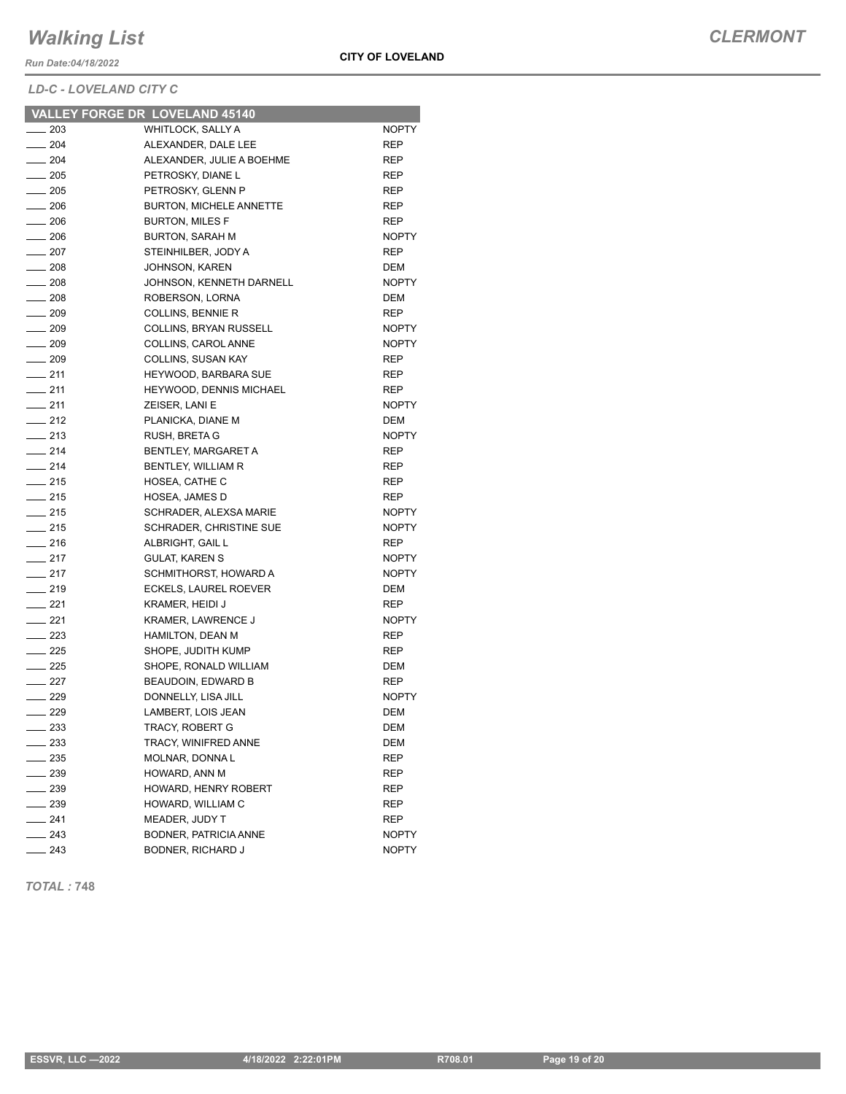*Run Date:04/18/2022*

*LD-C - LOVELAND CITY C*

|                              | VALLEY FORGE DR LOVELAND 45140 |              |
|------------------------------|--------------------------------|--------------|
| $-203$                       | WHITLOCK, SALLY A              | <b>NOPTY</b> |
| $-204$                       | ALEXANDER, DALE LEE            | REP          |
| $\equiv$ 204                 | ALEXANDER, JULIE A BOEHME      | REP          |
| $\sim$ 205                   | PETROSKY, DIANE L              | REP          |
| $\frac{1}{205}$              | PETROSKY, GLENN P              | <b>REP</b>   |
| $-206$                       | <b>BURTON, MICHELE ANNETTE</b> | <b>REP</b>   |
| $\sim$ 206                   | <b>BURTON, MILES F</b>         | REP          |
| $\equiv$ 206                 | <b>BURTON, SARAH M</b>         | <b>NOPTY</b> |
| $-207$                       | STEINHILBER, JODY A            | <b>REP</b>   |
| $\frac{1}{208}$              | <b>JOHNSON, KAREN</b>          | <b>DEM</b>   |
| $\frac{1}{208}$              | JOHNSON, KENNETH DARNELL       | <b>NOPTY</b> |
| $\frac{1}{208}$              | ROBERSON, LORNA                | DEM          |
| $\frac{1}{209}$              | <b>COLLINS, BENNIE R</b>       | <b>REP</b>   |
| $\sim$ 209                   | COLLINS, BRYAN RUSSELL         | <b>NOPTY</b> |
| $-209$                       | COLLINS, CAROL ANNE            | <b>NOPTY</b> |
| $-209$                       | COLLINS, SUSAN KAY             | <b>REP</b>   |
| $-211$                       | HEYWOOD, BARBARA SUE           | <b>REP</b>   |
| $-211$                       | HEYWOOD, DENNIS MICHAEL        | <b>REP</b>   |
| $-211$                       | ZEISER, LANI E                 | <b>NOPTY</b> |
| $-212$                       | PLANICKA, DIANE M              | <b>DEM</b>   |
| $-213$                       | <b>RUSH, BRETA G</b>           | <b>NOPTY</b> |
| $-214$                       | BENTLEY, MARGARET A            | <b>REP</b>   |
| $-214$                       | BENTLEY, WILLIAM R             | <b>REP</b>   |
| $\frac{1}{215}$              | HOSEA, CATHE C                 | REP          |
|                              |                                |              |
| $-215$                       | <b>HOSEA, JAMES D</b>          | <b>REP</b>   |
| $\frac{1}{215}$              | SCHRADER, ALEXSA MARIE         | <b>NOPTY</b> |
| $-215$                       | SCHRADER, CHRISTINE SUE        | <b>NOPTY</b> |
| $-216$                       | ALBRIGHT, GAIL L               | <b>REP</b>   |
| $-217$                       | <b>GULAT, KAREN S</b>          | <b>NOPTY</b> |
| $-217$                       | SCHMITHORST, HOWARD A          | <b>NOPTY</b> |
| $\overline{\phantom{0}}$ 219 | ECKELS, LAUREL ROEVER          | <b>DEM</b>   |
| $-221$                       | <b>KRAMER, HEIDI J</b>         | <b>REP</b>   |
| $-221$                       | <b>KRAMER, LAWRENCE J</b>      | <b>NOPTY</b> |
| $\equiv$ 223                 | <b>HAMILTON, DEAN M</b>        | REP          |
| $\equiv$ 225                 | SHOPE, JUDITH KUMP             | <b>REP</b>   |
| $-225$                       | SHOPE, RONALD WILLIAM          | DEM          |
| $-227$                       | BEAUDOIN, EDWARD B             | REP          |
| $\equiv$ 229                 | DONNELLY. LISA JILL            | <b>NOPTY</b> |
| $\frac{229}{2}$              | LAMBERT, LOIS JEAN             | <b>DEM</b>   |
| ____ 233                     | TRACY, ROBERT G                | DEM          |
| ___ 233                      | TRACY, WINIFRED ANNE           | DEM          |
| $-235$                       | MOLNAR, DONNA L                | REP          |
| $\equiv$ 239                 | HOWARD, ANN M                  | REP          |
| $-239$                       | HOWARD, HENRY ROBERT           | REP          |
| $\sim$ 239                   | HOWARD, WILLIAM C              | REP          |
| $-241$                       | MEADER, JUDY T                 | <b>REP</b>   |
|                              |                                |              |
| ___ 243                      | BODNER, PATRICIA ANNE          | NOPTY        |

*TOTAL :* **748**